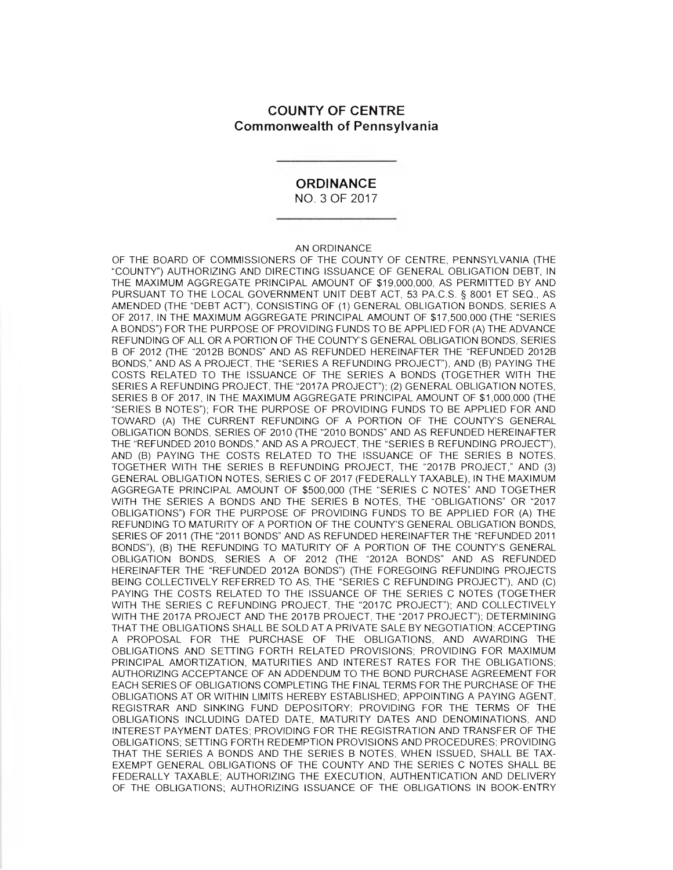## **COUNTY OF CENTRE Commonwealth of Pennsylvania**

## **ORDINANCE**

NO. 3 OF 2017

#### AN ORDINANCE

OF THE BOARD OF COMMISSIONERS OF THE COUNTY OF CENTRE, PENNSYLVANIA (THE "COUNTY") AUTHORIZING AND DIRECTING ISSUANCE OF GENERAL OBLIGATION DEBT, IN THE MAXIMUM AGGREGATE PRINCIPAL AMOUNT OF \$19,000,000, AS PERMITTED BY AND PURSUANT TO THE LOCAL GOVERNMENT UNIT DEBT ACT, 53 PA.C.S. § 8001 ET SEQ., AS AMENDED (THE "DEBT ACT"), CONSISTING OF (1) GENERAL OBLIGATION BONDS, SERIES A OF 2017, IN THE MAXIMUM AGGREGATE PRINCIPAL AMOUNT OF \$17,500,000 (THE "SERIES A BONDS") FOR THE PURPOSE OF PROVIDING FUNDS TO BE APPLIED FOR (A) THE ADVANCE REFUNDING OF ALL OR A PORTION OF THE COUNTY'S GENERAL OBLIGATION BONDS, SERIES B OF 2012 (THE "2012B BONDS" AND AS REFUNDED HEREINAFTER THE "REFUNDED 2012B BONDS," AND AS A PROJECT, THE "SERIES A REFUNDING PROJECT"), AND (B) PAYING THE COSTS RELATED TO THE ISSUANCE OF THE SERIES A BONDS (TOGETHER WITH THE SERIES A REFUNDING PROJECT, THE "2017A PROJECT"); (2) GENERAL OBLIGATION NOTES, SERIES B OF 2017, IN THE MAXIMUM AGGREGATE PRINCIPAL AMOUNT OF \$1,000,000 (THE "SERIES B NOTES"); FOR THE PURPOSE OF PROVIDING FUNDS TO BE APPLIED FOR AND TOWARD (A) THE CURRENT REFUNDING OF A PORTION OF THE COUNTY'S GENERAL OBLIGATION BONDS, SERIES OF 2010 (THE "2010 BONDS" AND AS REFUNDED HEREINAFTER THE "REFUNDED 2010 BONDS," AND AS A PROJECT, THE "SERIES B REFUNDING PROJECT"), AND (B) PAYING THE COSTS RELATED TO THE ISSUANCE OF THE SERIES B NOTES, TOGETHER WITH THE SERIES B REFUNDING PROJECT, THE "2017B PROJECT," AND (3) GENERAL OBLIGATION NOTES, SERIES C OF 2017 (FEDERALLY TAXABLE), IN THE MAXIMUM AGGREGATE PRINCIPAL AMOUNT OF \$500,000 (THE "SERIES C NOTES" AND TOGETHER WITH THE SERIES A BONDS AND THE SERIES B NOTES, THE "OBLIGATIONS" OR "2017 OBLIGATIONS") FOR THE PURPOSE OF PROVIDING FUNDS TO BE APPLIED FOR (A) THE REFUNDING TO MATURITY OF A PORTION OF THE COUNTY'S GENERAL OBLIGATION BONDS, SERIES OF 2011 (THE "2011 BONDS" AND AS REFUNDED HEREINAFTER THE "REFUNDED 2011 BONDS"), (B) THE REFUNDING TO MATURITY OF A PORTION OF THE COUNTY'S GENERAL OBLIGATION BONDS, SERIES A OF 2012 (THE "2012A BONDS" AND AS REFUNDED HEREINAFTER THE "REFUNDED 2012A BONDS") (THE FOREGOING REFUNDING PROJECTS BEING COLLECTIVELY REFERRED TO AS, THE "SERIES C REFUNDING PROJECT"), AND (C) PAYING THE COSTS RELATED TO THE ISSUANCE OF THE SERIES C NOTES (TOGETHER WITH THE SERIES C REFUNDING PROJECT, THE "2017C PROJECT"); AND COLLECTIVELY WITH THE 2017A PROJECT AND THE 2017B PROJECT, THE "2017 PROJECT"); DETERMINING THAT THE OBLIGATIONS SHALL BE SOLD AT A PRIVATE SALE BY NEGOTIATION; ACCEPTING A PROPOSAL FOR THE PURCHASE OF THE OBLIGATIONS, AND AWARDING THE OBLIGATIONS AND SETTING FORTH RELATED PROVISIONS; PROVIDING FOR MAXIMUM PRINCIPAL AMORTIZATION, MATURITIES AND INTEREST RATES FOR THE OBLIGATIONS; AUTHORIZING ACCEPTANCE OF AN ADDENDUM TO THE BOND PURCHASE AGREEMENT FOR EACH SERIES OF OBLIGATIONS COMPLETING THE FINAL TERMS FOR THE PURCHASE OF THE OBLIGATIONS AT OR WITHIN LIMITS HEREBY ESTABLISHED; APPOINTING A PAYING AGENT, REGISTRAR AND SINKING FUND DEPOSITORY; PROVIDING FOR THE TERMS OF THE OBLIGATIONS INCLUDING DATED DATE, MATURITY DATES AND DENOMINATIONS, AND INTEREST PAYMENT DATES; PROVIDING FOR THE REGISTRATION AND TRANSFER OF THE OBLIGATIONS; SETTING FORTH REDEMPTION PROVISIONS AND PROCEDURES; PROVIDING THAT THE SERIES A BONDS AND THE SERIES B NOTES, WHEN ISSUED, SHALL BE TAX-EXEMPT GENERAL OBLIGATIONS OF THE COUNTY AND THE SERIES C NOTES SHALL BE FEDERALLY TAXABLE; AUTHORIZING THE EXECUTION, AUTHENTICATION AND DELIVERY OF THE OBLIGATIONS; AUTHORIZING ISSUANCE OF THE OBLIGATIONS IN BOOK-ENTRY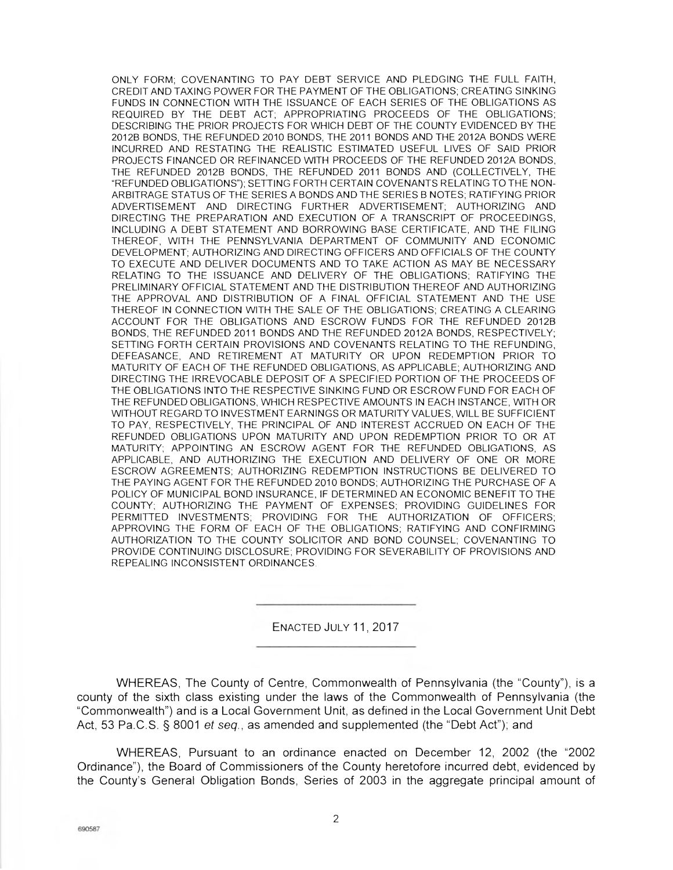ONLY FORM; COVENANTING TO PAY DEBT SERVICE AND PLEDGING THE FULL FAITH, CREDIT AND TAXING POWER FOR THE PAYMENT OF THE OBLIGATIONS; CREATING SINKING FUNDS IN CONNECTION WITH THE ISSUANCE OF EACH SERIES OF THE OBLIGATIONS AS REQUIRED BY THE DEBT ACT; APPROPRIATING PROCEEDS OF THE OBLIGATIONS; DESCRIBING THE PRIOR PROJECTS FOR WHICH DEBT OF THE COUNTY EVIDENCED BY THE 2012B BONDS, THE REFUNDED 2010 BONDS, THE 2011 BONDS AND THE 2012A BONDS WERE INCURRED AND RESTATING THE REALISTIC ESTIMATED USEFUL LIVES OF SAID PRIOR PROJECTS FINANCED OR REFINANCED WITH PROCEEDS OF THE REFUNDED 2012A BONDS, THE REFUNDED 2012B BONDS, THE REFUNDED 2011 BONDS AND (COLLECTIVELY, THE "REFUNDED OBLIGATIONS"); SETTING FORTH CERTAIN COVENANTS RELATING TO THE NON-ARBITRAGE STATUS OF THE SERIES A BONDS AND THE SERIES B NOTES; RATIFYING PRIOR ADVERTISEMENT AND DIRECTING FURTHER ADVERTISEMENT; AUTHORIZING AND DIRECTING THE PREPARATION AND EXECUTION OF A TRANSCRIPT OF PROCEEDINGS, INCLUDING A DEBT STATEMENT AND BORROWING BASE CERTIFICATE, AND THE FILING THEREOF, WITH THE PENNSYLVANIA DEPARTMENT OF COMMUNITY AND ECONOMIC DEVELOPMENT; AUTHORIZING AND DIRECTING OFFICERS AND OFFICIALS OF THE COUNTY TO EXECUTE AND DELIVER DOCUMENTS AND TO TAKE ACTION AS MAY BE NECESSARY RELATING TO THE ISSUANCE AND DELIVERY OF THE OBLIGATIONS; RATIFYING THE PRELIMINARY OFFICIAL STATEMENT AND THE DISTRIBUTION THEREOF AND AUTHORIZING THE APPROVAL AND DISTRIBUTION OF A FINAL OFFICIAL STATEMENT AND THE USE THEREOF IN CONNECTION WITH THE SALE OF THE OBLIGATIONS; CREATING A CLEARING ACCOUNT FOR THE OBLIGATIONS AND ESCROW FUNDS FOR THE REFUNDED 2012B BONDS, THE REFUNDED 2011 BONDS AND THE REFUNDED 2012A BONDS, RESPECTIVELY; SETTING FORTH CERTAIN PROVISIONS AND COVENANTS RELATING TO THE REFUNDING, DEFEASANCE, AND RETIREMENT AT MATURITY OR UPON REDEMPTION PRIOR TO MATURITY OF EACH OF THE REFUNDED OBLIGATIONS, AS APPLICABLE; AUTHORIZING AND DIRECTING THE IRREVOCABLE DEPOSIT OF A SPECIFIED PORTION OF THE PROCEEDS OF THE OBLIGATIONS INTO THE RESPECTIVE SINKING FUND OR ESCROW FUND FOR EACH OF THE REFUNDED OBLIGATIONS, WHICH RESPECTIVE AMOUNTS IN EACH INSTANCE, WITH OR WITHOUT REGARD TO INVESTMENT EARNINGS OR MATURITY VALUES, WILL BE SUFFICIENT TO PAY, RESPECTIVELY, THE PRINCIPAL OF AND INTEREST ACCRUED ON EACH OF THE REFUNDED OBLIGATIONS UPON MATURITY AND UPON REDEMPTION PRIOR TO OR AT MATURITY; APPOINTING AN ESCROW AGENT FOR THE REFUNDED OBLIGATIONS, AS APPLICABLE, AND AUTHORIZING THE EXECUTION AND DELIVERY OF ONE OR MORE ESCROW AGREEMENTS; AUTHORIZING REDEMPTION INSTRUCTIONS BE DELIVERED TO THE PAYING AGENT FOR THE REFUNDED 2010 BONDS; AUTHORIZING THE PURCHASE OF A POLICY OF MUNICIPAL BOND INSURANCE, IF DETERMINED AN ECONOMIC BENEFIT TO THE COUNTY; AUTHORIZING THE PAYMENT OF EXPENSES; PROVIDING GUIDELINES FOR PERMITTED INVESTMENTS; PROVIDING FOR THE AUTHORIZATION OF OFFICERS; APPROVING THE FORM OF EACH OF THE OBLIGATIONS; RATIFYING AND CONFIRMING AUTHORIZATION TO THE COUNTY SOLICITOR AND BOND COUNSEL; COVENANTING TO PROVIDE CONTINUING DISCLOSURE; PROVIDING FOR SEVERABILITY OF PROVISIONS AND REPEALING INCONSISTENT ORDINANCES.

ENACTED JULY 11, 2017

WHEREAS, The County of Centre, Commonwealth of Pennsylvania (the 'County"), is a county of the sixth class existing under the laws of the Commonwealth of Pennsylvania (the "Commonwealth") and is a Local Government Unit, as defined in the Local Government Unit Debt Act, 53 Pa.C.S. § 8001 et seq., as amended and supplemented (the "Debt Act"); and

WHEREAS, Pursuant to an ordinance enacted on December 12, 2002 (the "2002 Ordinance"), the Board of Commissioners of the County heretofore incurred debt, evidenced by the County's General Obligation Bonds, Series of 2003 in the aggregate principal amount of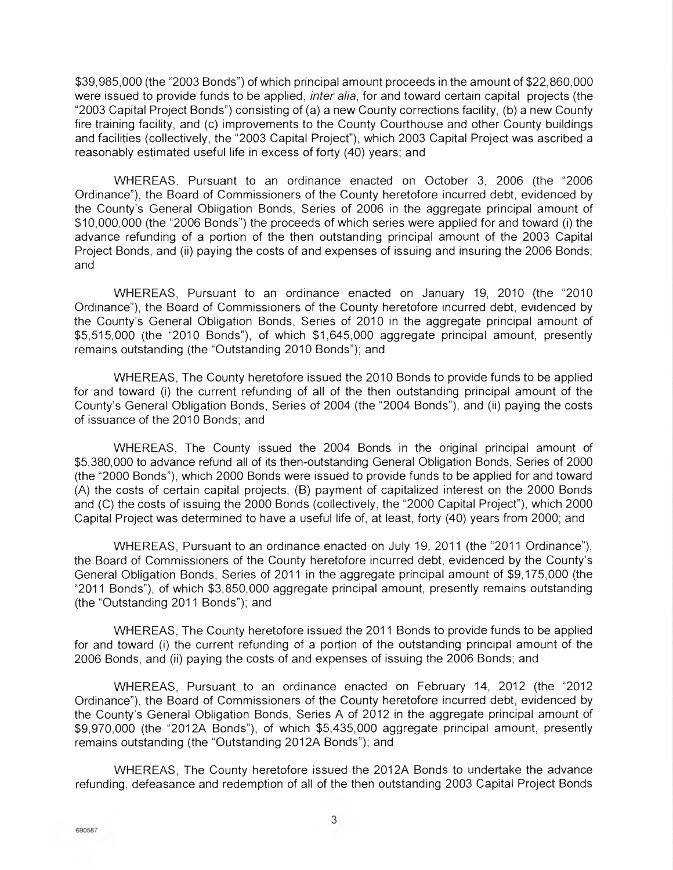\$39,985,000 (the "2003 Bonds") of which principal amount proceeds in the amount of \$22,860,000 were issued to provide funds to be applied, *inter alia*, for and toward certain capital projects (the "2003 Capital Project Bonds") consisting of (a) a new County corrections facility, (b) a new County fire training facility, and (c) improvements to the County Courthouse and other County buildings and facilities (collectively, the "2003 Capital Project"), which 2003 Capital Project was ascribed a reasonably estimated useful life in excess of forty (40) years; and

WHEREAS, Pursuant to an ordinance enacted on October 3, 2006 (the '2006 Ordinance"), the Board of Commissioners of the County heretofore incurred debt, evidenced by the County's General Obligation Bonds, Series of 2006 in the aggregate principal amount of \$10,000,000 (the "2006 Bonds") the proceeds of which series were applied for and toward (i) the advance refunding of a portion of the then outstanding principal amount of the 2003 Capital Project Bonds, and (ii) paying the costs of and expenses of issuing and insuring the 2006 Bonds; and

WHEREAS, Pursuant to an ordinance enacted on January 19, 2010 (the "2010 Ordinance"), the Board of Commissioners of the County heretofore incurred debt, evidenced by the County's General Obligation Bonds, Series of 2010 in the aggregate principal amount of \$5,515,000 (the "2010 Bonds"), of which \$1,645,000 aggregate principal amount, presently remains outstanding (the "Outstanding 2010 Bonds"); and

WHEREAS, The County heretofore issued the 2010 Bonds to provide funds to be applied for and toward (i) the current refunding of all of the then outstanding principal amount of the County's General Obligation Bonds, Series of 2004 (the "2004 Bonds"), and (ii) paying the costs of issuance of the 2010 Bonds; and

WHEREAS, The County issued the 2004 Bonds in the original principal amount of \$5,380,000 to advance refund all of its then-outstanding General Obligation Bonds, Series of 2000 (the "2000 Bonds"), which 2000 Bonds were issued to provide funds to be applied for and toward (A) the costs of certain capital projects, (B) payment of capitalized interest on the 2000 Bonds and (C) the costs of issuing the 2000 Bonds (collectively, the '2000 Capital Project"), which 2000 Capital Project was determined to have a useful life of, at least, forty (40) years from 2000; and

WHEREAS, Pursuant to an ordinance enacted on July 19, 2011 (the "2011 Ordinance"), the Board of Commissioners of the County heretofore incurred debt, evidenced by the County's General Obligation Bonds, Series of 2011 in the aggregate principal amount of \$9,175,000 (the "2011 Bonds"), of which \$3,850,000 aggregate principal amount, presently remains outstanding (the "Outstanding 2011 Bonds"); and

WHEREAS, The County heretofore issued the 2011 Bonds to provide funds to be applied for and toward (i) the current refunding of a portion of the outstanding principal amount of the 2006 Bonds, and (ii) paying the costs of and expenses of issuing the 2006 Bonds; and

WHEREAS, Pursuant to an ordinance enacted on February 14, 2012 (the "2012 Ordinance"), the Board of Commissioners of the County heretofore incurred debt, evidenced by the County's General Obligation Bonds, Series A of 2012 in the aggregate principal amount of \$9,970,000 (the "2012A Bonds"), of which \$5,435,000 aggregate principal amount, presently remains outstanding (the "Outstanding 2012A Bonds"); and

WHEREAS, The County heretofore issued the 2012A Bonds to undertake the advance refunding, defeasance and redemption of all of the then outstanding 2003 Capital Project Bonds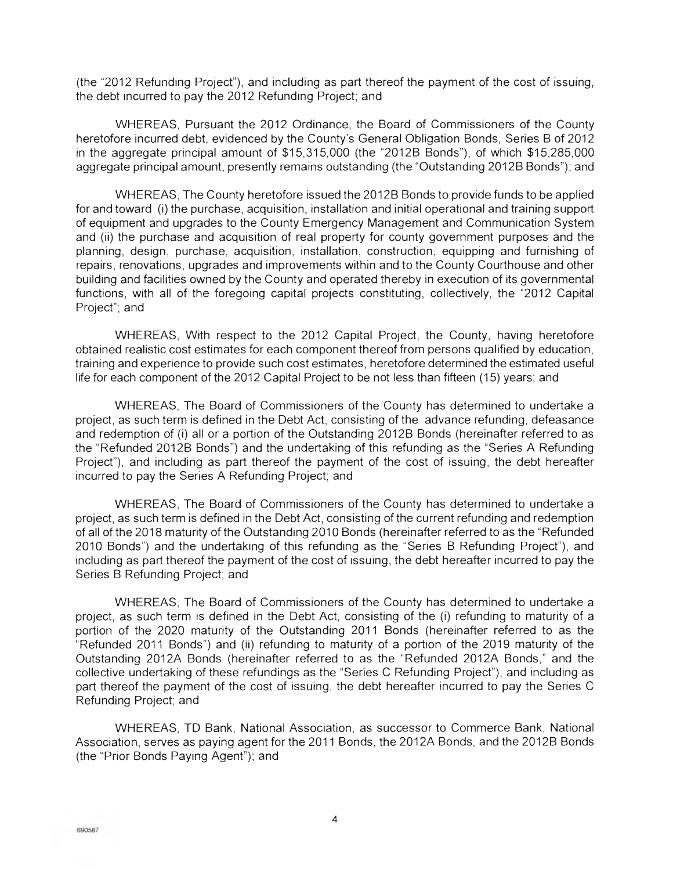(the '2012 Refunding Project"), and including as part thereof the payment of the cost of issuing, the debt incurred to pay the 2012 Refunding Project; and

WHEREAS, Pursuant the 2012 Ordinance, the Board of Commissioners of the County heretofore incurred debt, evidenced by the County's General Obligation Bonds, Series B of 2012 in the aggregate principal amount of \$15,315,000 (the "2012B Bonds"), of which \$15,285,000 aggregate principal amount, presently remains outstanding (the "Outstanding 2012B Bonds"); and

WHEREAS, The County heretofore issued the 2012B Bonds to provide funds to be applied for and toward (i) the purchase, acquisition, installation and initial operational and training support of equipment and upgrades to the County Emergency Management and Communication System and (ii) the purchase and acquisition of real property for county government purposes and the planning, design, purchase, acquisition, installation, construction, equipping and furnishing of repairs, renovations, upgrades and improvements within and to the County Courthouse and other building and facilities owned by the County and operated thereby in execution of its governmental functions, with all of the foregoing capital projects constituting, collectively, the "2012 Capital Project"; and

WHEREAS, With respect to the 2012 Capital Project, the County, having heretofore obtained realistic cost estimates for each component thereof from persons qualified by education, training and experience to provide such cost estimates, heretofore determined the estimated useful life for each component of the 2012 Capital Project to be not less than fifteen (15) years; and

WHEREAS, The Board of Commissioners of the County has determined to undertake a project, as such term is defined in the Debt Act, consisting of the advance refunding, defeasance and redemption of (i) all or a portion of the Outstanding 2012B Bonds (hereinafter referred to as the "Refunded 2012B Bonds") and the undertaking of this refunding as the "Series A Refunding Project"), and including as part thereof the payment of the cost of issuing, the debt hereafter incurred to pay the Series A Refunding Project; and

WHEREAS, The Board of Commissioners of the County has determined to undertake a project, as such term is defined in the Debt Act, consisting of the current refunding and redemption of all of the 2018 maturity of the Outstanding 2010 Bonds (hereinafter referred to as the "Refunded 2010 Bonds") and the undertaking of this refunding as the "Series B Refunding Project"), and including as part thereof the payment of the cost of issuing, the debt hereafter incurred to pay the Series B Refunding Project; and

WHEREAS, The Board of Commissioners of the County has determined to undertake a project, as such term is defined in the Debt Act, consisting of the (i) refunding to maturity of a portion of the 2020 maturity of the Outstanding 2011 Bonds (hereinafter referred to as the "Refunded 2011 Bonds") and (ii) refunding to maturity of a portion of the 2019 maturity of the Outstanding 2012A Bonds (hereinafter referred to as the "Refunded 2012A Bonds," and the collective undertaking of these refundings as the "Series C Refunding Project"), and including as part thereof the payment of the cost of issuing, the debt hereafter incurred to pay the Series C Refunding Project; and

WHEREAS, TD Bank, National Association, as successor to Commerce Bank, National Association, serves as paying agent for the 2011 Bonds, the 2012A Bonds, and the 2012B Bonds (the "Prior Bonds Paying Agent"); and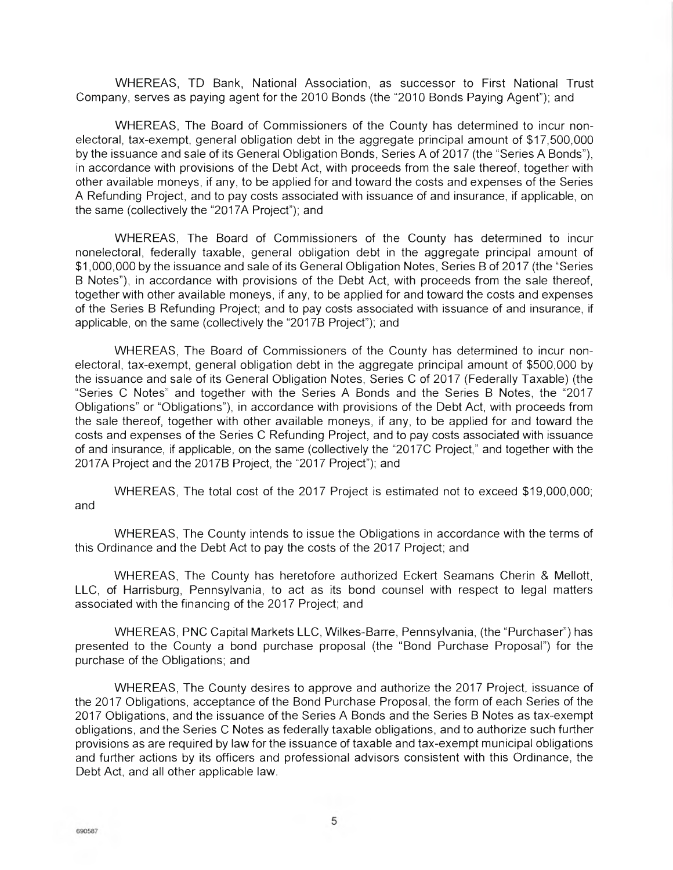WHEREAS, TD Bank, National Association, as successor to First National Trust Company, serves as paying agent for the 2010 Bonds (the 2010 Bonds Paying Agent"); and

WHEREAS, The Board of Commissioners of the County has determined to incur nonelectoral, tax-exempt, general obligation debt in the aggregate principal amount of \$17,500,000 by the issuance and sale of its General Obligation Bonds, Series A of 2017 (the "Series A Bonds"), in accordance with provisions of the Debt Act, with proceeds from the sale thereof, together with other available moneys, if any, to be applied for and toward the costs and expenses of the Series A Refunding Project, and to pay costs associated with issuance of and insurance, if applicable, on the same (collectively the "2017A Project"); and

WHEREAS, The Board of Commissioners of the County has determined to incur nonelectoral, federally taxable, general obligation debt in the aggregate principal amount of \$1,000,000 by the issuance and sale of its General Obligation Notes, Series B of 2017 (the "Series B Notes"), in accordance with provisions of the Debt Act, with proceeds from the sale thereof, together with other available moneys, if any, to be applied for and toward the costs and expenses of the Series B Refunding Project; and to pay costs associated with issuance of and insurance, if applicable, on the same (collectively the "2017B Project"); and

WHEREAS, The Board of Commissioners of the County has determined to incur nonelectoral, tax-exempt, general obligation debt in the aggregate principal amount of \$500,000 by the issuance and sale of its General Obligation Notes, Series C of 2017 (Federally Taxable) (the "Series C Notes" and together with the Series A Bonds and the Series B Notes, the "2017 Obligations" or "Obligations"), in accordance with provisions of the Debt Act, with proceeds from the sale thereof, together with other available moneys, if any, to be applied for and toward the costs and expenses of the Series C Refunding Project, and to pay costs associated with issuance of and insurance, if applicable, on the same (collectively the "2017C Project," and together with the 2017A Project and the 2017B Project, the "2017 Project"); and

WHEREAS, The total cost of the 2017 Project is estimated not to exceed \$19,000,000; and

WHEREAS, The County intends to issue the Obligations in accordance with the terms of this Ordinance and the Debt Act to pay the costs of the 2017 Project; and

WHEREAS, The County has heretofore authorized Eckert Seamans Cherin & Mellott, LLC, of Harrisburg, Pennsylvania, to act as its bond counsel with respect to legal matters associated with the financing of the 2017 Project; and

WHEREAS, PNC Capital Markets LLC, Wilkes-Barre, Pennsylvania, (the "Purchaser") has presented to the County a bond purchase proposal (the "Bond Purchase Proposal") for the purchase of the Obligations; and

WHEREAS, The County desires to approve and authorize the 2017 Project, issuance of the 2017 Obligations, acceptance of the Bond Purchase Proposal, the form of each Series of the 2017 Obligations, and the issuance of the Series A Bonds and the Series B Notes as tax-exempt obligations, and the Series C Notes as federally taxable obligations, and to authorize such further provisions as are required by law for the issuance of taxable and tax-exempt municipal obligations and further actions by its officers and professional advisors consistent with this Ordinance, the Debt Act, and all other applicable law.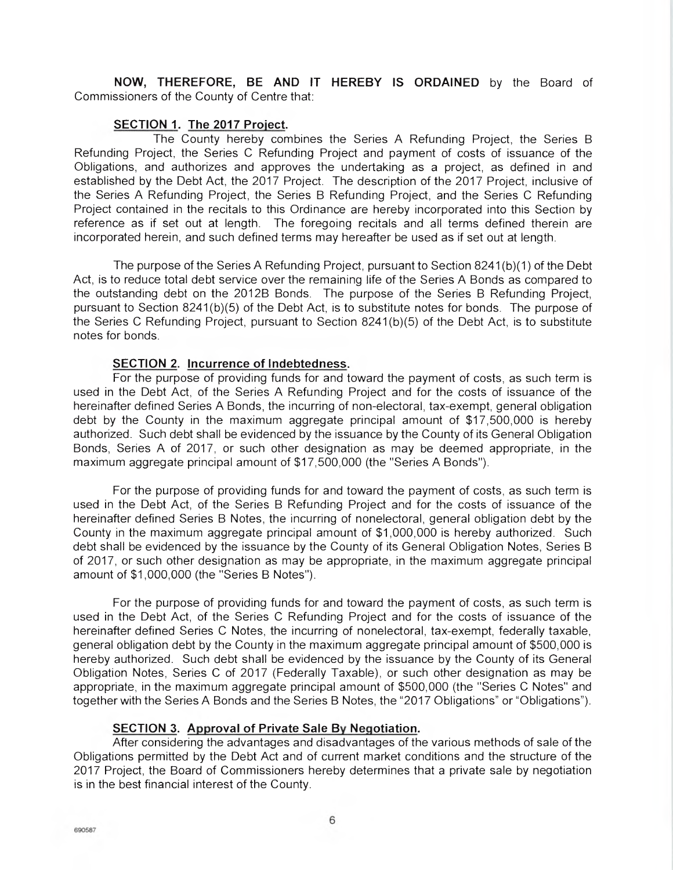**NOW, THEREFORE, BE AND** IT **HEREBY IS ORDAINED** by the Board of Commissioners of the County of Centre that:

## **SECTION 1. The 2017 Project.**

The County hereby combines the Series A Refunding Project, the Series B Refunding Project, the Series C Refunding Project and payment of costs of issuance of the Obligations, and authorizes and approves the undertaking as a project, as defined in and established by the Debt Act, the 2017 Project. The description of the 2017 Project, inclusive of the Series A Refunding Project, the Series B Refunding Project, and the Series C Refunding Project contained in the recitals to this Ordinance are hereby incorporated into this Section by reference as if set out at length. The foregoing recitals and all terms defined therein are incorporated herein, and such defined terms may hereafter be used as if set out at length.

The purpose of the Series A Refunding Project, pursuant to Section 8241(b)(1) of the Debt Act, is to reduce total debt service over the remaining life of the Series A Bonds as compared to the outstanding debt on the 2012B Bonds. The purpose of the Series B Refunding Project, pursuant to Section 8241(b)(5) of the Debt Act, is to substitute notes for bonds. The purpose of the Series C Refunding Project, pursuant to Section 8241 (b)(5) of the Debt Act, is to substitute notes for bonds.

## **SECTION 2. Incurrence of Indebtedness.**

For the purpose of providing funds for and toward the payment of costs, as such term is used in the Debt Act, of the Series A Refunding Project and for the costs of issuance of the hereinafter defined Series A Bonds, the incurring of non-electoral, tax-exempt, general obligation debt by the County in the maximum aggregate principal amount of \$17,500,000 is hereby authorized. Such debt shall be evidenced by the issuance by the County of its General Obligation Bonds, Series A of 2017, or such other designation as may be deemed appropriate, in the maximum aggregate principal amount of \$17,500,000 (the "Series A Bonds").

For the purpose of providing funds for and toward the payment of costs, as such term is used in the Debt Act, of the Series B Refunding Project and for the costs of issuance of the hereinafter defined Series B Notes, the incurring of nonelectoral, general obligation debt by the County in the maximum aggregate principal amount of \$1,000,000 is hereby authorized. Such debt shall be evidenced by the issuance by the County of its General Obligation Notes, Series B of 2017, or such other designation as may be appropriate, in the maximum aggregate principal amount of \$1,000,000 (the "Series B Notes").

For the purpose of providing funds for and toward the payment of costs, as such term is used in the Debt Act, of the Series C Refunding Project and for the costs of issuance of the hereinafter defined Series C Notes, the incurring of nonelectoral, tax-exempt, federally taxable, general obligation debt by the County in the maximum aggregate principal amount of \$500,000 is hereby authorized. Such debt shall be evidenced by the issuance by the County of its General Obligation Notes, Series C of 2017 (Federally Taxable), or such other designation as may be appropriate, in the maximum aggregate principal amount of \$500,000 (the "Series C Notes" and together with the Series A Bonds and the Series B Notes, the "2017 Obligations" or "Obligations").

## **SECTION 3. Approval of Private Sale By Negotiation.**

After considering the advantages and disadvantages of the various methods of sale of the Obligations permitted by the Debt Act and of current market conditions and the structure of the 2017 Project, the Board of Commissioners hereby determines that a private sale by negotiation is in the best financial interest of the County.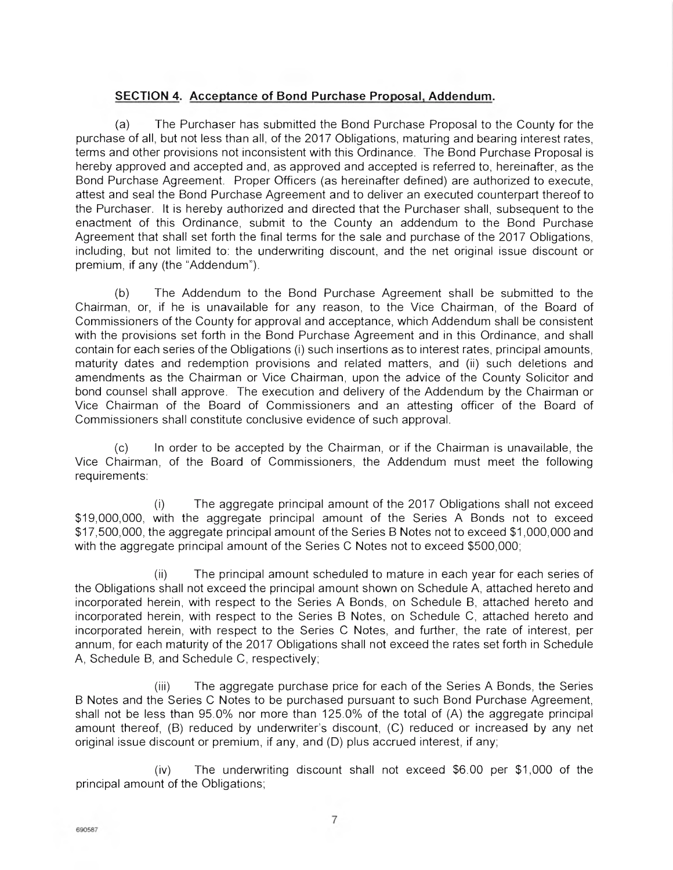## **SECTION 4. Acceptance of Bond Purchase Proposal, Addendum.**

(a) The Purchaser has submitted the Bond Purchase Proposal to the County for the purchase of all, but not less than all, of the 2017 Obligations, maturing and bearing interest rates, terms and other provisions not inconsistent with this Ordinance. The Bond Purchase Proposal is hereby approved and accepted and, as approved and accepted is referred to, hereinafter, as the Bond Purchase Agreement. Proper Officers (as hereinafter defined) are authorized to execute, attest and seal the Bond Purchase Agreement and to deliver an executed counterpart thereof to the Purchaser. It is hereby authorized and directed that the Purchaser shall, subsequent to the enactment of this Ordinance, submit to the County an addendum to the Bond Purchase Agreement that shall set forth the final terms for the sale and purchase of the 2017 Obligations, including, but not limited to: the underwriting discount, and the net original issue discount or premium, if any (the "Addendum").

(b) The Addendum to the Bond Purchase Agreement shall be submitted to the Chairman, or, if he is unavailable for any reason, to the Vice Chairman, of the Board of Commissioners of the County for approval and acceptance, which Addendum shall be consistent with the provisions set forth in the Bond Purchase Agreement and in this Ordinance, and shall contain for each series of the Obligations (i) such insertions as to interest rates, principal amounts, maturity dates and redemption provisions and related matters, and (ii) such deletions and amendments as the Chairman or Vice Chairman, upon the advice of the County Solicitor and bond counsel shall approve. The execution and delivery of the Addendum by the Chairman or Vice Chairman of the Board of Commissioners and an attesting officer of the Board of Commissioners shall constitute conclusive evidence of such approval.

(c) In order to be accepted by the Chairman, or if the Chairman is unavailable, the Vice Chairman, of the Board of Commissioners, the Addendum must meet the following requirements:

(I) The aggregate principal amount of the 2017 Obligations shall not exceed \$19,000,000, with the aggregate principal amount of the Series A Bonds not to exceed \$17,500,000, the aggregate principal amount of the Series B Notes not to exceed \$1,000,000 and with the aggregate principal amount of the Series C Notes not to exceed \$500,000;

(ii) The principal amount scheduled to mature in each year for each series of the Obligations shall not exceed the principal amount shown on Schedule A, attached hereto and incorporated herein, with respect to the Series A Bonds, on Schedule B, attached hereto and incorporated herein, with respect to the Series B Notes, on Schedule C, attached hereto and incorporated herein, with respect to the Series C Notes, and further, the rate of interest, per annum, for each maturity of the 2017 Obligations shall not exceed the rates set forth in Schedule A, Schedule B, and Schedule C, respectively;

(iii) The aggregate purchase price for each of the Series A Bonds, the Series B Notes and the Series C Notes to be purchased pursuant to such Bond Purchase Agreement, shall not be less than 95.0% nor more than 125.0% of the total of (A) the aggregate principal amount thereof, (B) reduced by underwriter's discount, (C) reduced or increased by any net original issue discount or premium, if any, and (D) plus accrued interest, if any;

(iv) The underwriting discount shall not exceed \$6.00 per \$1,000 of the principal amount of the Obligations;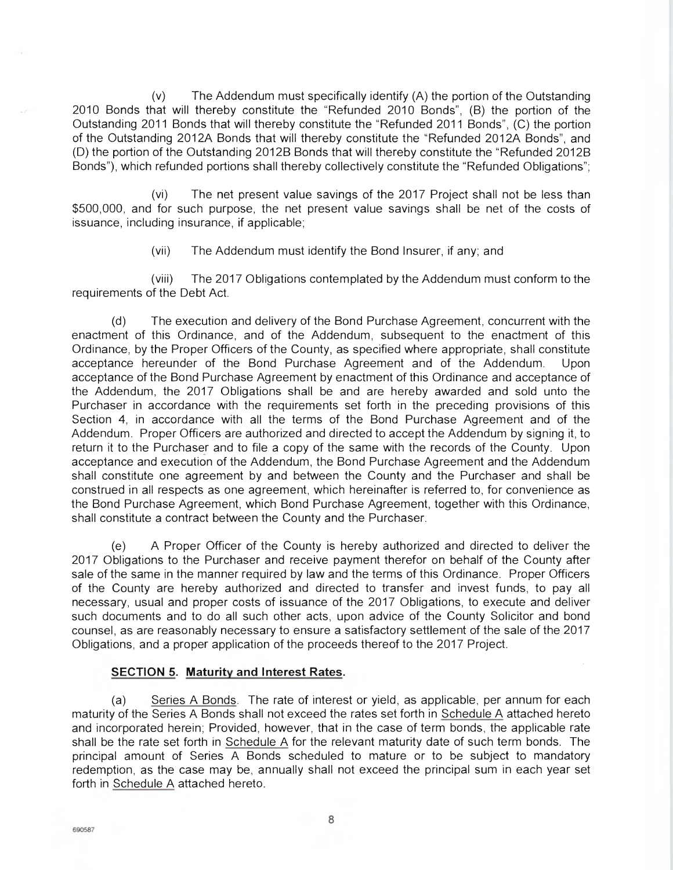(v) The Addendum must specifically identify (A) the portion of the Outstanding 2010 Bonds that will thereby constitute the "Refunded 2010 Bonds", (B) the portion of the Outstanding 2011 Bonds that will thereby constitute the "Refunded 2011 Bonds", (C) the portion of the Outstanding 2012A Bonds that will thereby constitute the "Refunded 2012A Bonds", and (D) the portion of the Outstanding 2012B Bonds that will thereby constitute the "Refunded 2012B Bonds"), which refunded portions shall thereby collectively constitute the "Refunded Obligations";

(vi) The net present value savings of the 2017 Project shall not be less than \$500,000, and for such purpose, the net present value savings shall be net of the costs of issuance, including insurance, if applicable;

(vii) The Addendum must identify the Bond Insurer, if any; and

(viii) The 2017 Obligations contemplated by the Addendum must conform to the requirements of the Debt Act.

(d) The execution and delivery of the Bond Purchase Agreement, concurrent with the enactment of this Ordinance, and of the Addendum, subsequent to the enactment of this Ordinance, by the Proper Officers of the County, as specified where appropriate, shall constitute acceptance hereunder of the Bond Purchase Agreement and of the Addendum. Upon acceptance of the Bond Purchase Agreement by enactment of this Ordinance and acceptance of the Addendum, the 2017 Obligations shall be and are hereby awarded and sold unto the Purchaser in accordance with the requirements set forth in the preceding provisions of this Section 4, in accordance with all the terms of the Bond Purchase Agreement and of the Addendum. Proper Officers are authorized and directed to accept the Addendum by signing it, to return it to the Purchaser and to file a copy of the same with the records of the County. Upon acceptance and execution of the Addendum, the Bond Purchase Agreement and the Addendum shall constitute one agreement by and between the County and the Purchaser and shall be construed in all respects as one agreement, which hereinafter is referred to, for convenience as the Bond Purchase Agreement, which Bond Purchase Agreement, together with this Ordinance, shall constitute a contract between the County and the Purchaser.

(e) A Proper Officer of the County is hereby authorized and directed to deliver the 2017 Obligations to the Purchaser and receive payment therefor on behalf of the County after sale of the same in the manner required by law and the terms of this Ordinance. Proper Officers of the County are hereby authorized and directed to transfer and invest funds, to pay all necessary, usual and proper costs of issuance of the 2017 Obligations, to execute and deliver such documents and to do all such other acts, upon advice of the County Solicitor and bond counsel, as are reasonably necessary to ensure a satisfactory settlement of the sale of the 2017 Obligations, and a proper application of the proceeds thereof to the 2017 Project.

## **SECTION 5. Maturity and Interest Rates.**

(a) Series A Bonds. The rate of interest or yield, as applicable, per annum for each maturity of the Series A Bonds shall not exceed the rates set forth in Schedule A attached hereto and incorporated herein; Provided, however, that in the case of term bonds, the applicable rate shall be the rate set forth in Schedule A for the relevant maturity date of such term bonds. The principal amount of Series A Bonds scheduled to mature or to be subject to mandatory redemption, as the case may be, annually shall not exceed the principal sum in each year set forth in Schedule A attached hereto.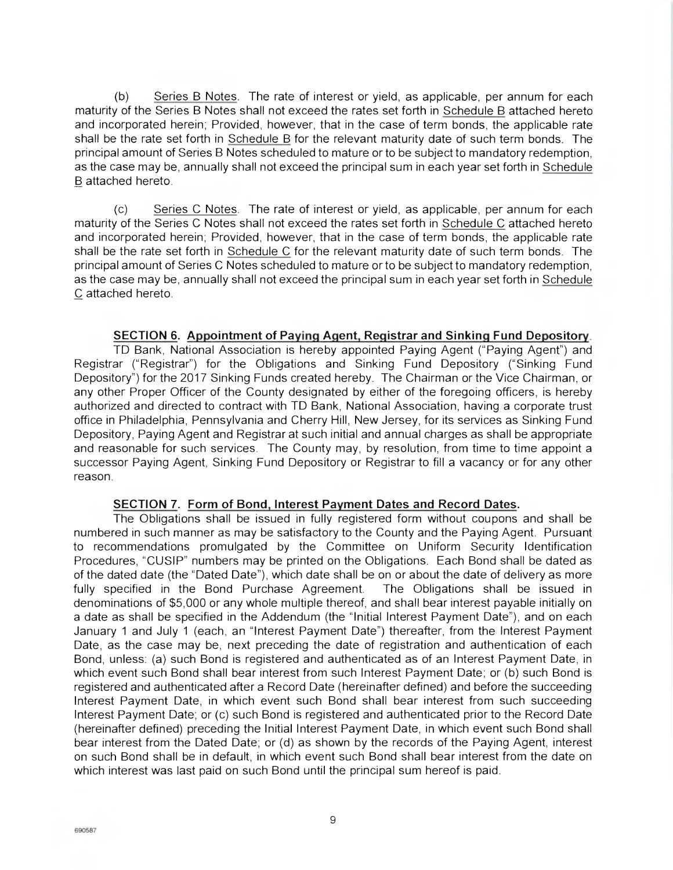(b) Series B Notes. The rate of interest or yield, as applicable, per annum for each maturity of the Series B Notes shall not exceed the rates set forth in Schedule B attached hereto and incorporated herein; Provided, however, that in the case of term bonds, the applicable rate shall be the rate set forth in Schedule B for the relevant maturity date of such term bonds. The principal amount of Series B Notes scheduled to mature or to be subject to mandatory redemption, as the case may be, annually shall not exceed the principal sum in each year set forth in Schedule B attached hereto.

(c) Series C Notes. The rate of interest or yield, as applicable, per annum for each maturity of the Series C Notes shall not exceed the rates set forth in Schedule C attached hereto and incorporated herein; Provided, however, that in the case of term bonds, the applicable rate shall be the rate set forth in Schedule C for the relevant maturity date of such term bonds. The principal amount of Series C Notes scheduled to mature or to be subject to mandatory redemption, as the case may be, annually shall not exceed the principal sum in each year set forth in Schedule C attached hereto.

## **SECTION 6. Appointment of Paying Agent, Registrar and Sinking Fund Depository.**

TD Bank, National Association is hereby appointed Paying Agent ("Paying Agent") and Registrar ('Registrar") for the Obligations and Sinking Fund Depository ("Sinking Fund Depository") for the 2017 Sinking Funds created hereby. The Chairman or the Vice Chairman, or any other Proper Officer of the County designated by either of the foregoing officers, is hereby authorized and directed to contract with TD Bank, National Association, having a corporate trust office in Philadelphia, Pennsylvania and Cherry Hill, New Jersey, for its services as Sinking Fund Depository, Paying Agent and Registrar at such initial and annual charges as shall be appropriate and reasonable for such services. The County may, by resolution, from time to time appoint a successor Paying Agent, Sinking Fund Depository or Registrar to fill a vacancy or for any other reason.

## **SECTION** 7. **Form of Bond, Interest Payment Dates and Record Dates.**

The Obligations shall be issued in fully registered form without coupons and shall be numbered in such manner as may be satisfactory to the County and the Paying Agent. Pursuant to recommendations promulgated by the Committee on Uniform Security Identification Procedures, "CUSIP" numbers may be printed on the Obligations. Each Bond shall be dated as of the dated date (the "Dated Date"), which date shall be on or about the date of delivery as more fully specified in the Bond Purchase Agreement. The Obligations shall be issued in denominations of \$5,000 or any whole multiple thereof, and shall bear interest payable initially on a date as shall be specified in the Addendum (the "Initial Interest Payment Date"), and on each January 1 and July 1 (each, an "Interest Payment Date") thereafter, from the Interest Payment Date, as the case may be, next preceding the date of registration and authentication of each Bond, unless: (a) such Bond is registered and authenticated as of an Interest Payment Date, in which event such Bond shall bear interest from such Interest Payment Date; or (b) such Bond is registered and authenticated after a Record Date (hereinafter defined) and before the succeeding Interest Payment Date, in which event such Bond shall bear interest from such succeeding Interest Payment Date; or (c) such Bond is registered and authenticated prior to the Record Date (hereinafter defined) preceding the Initial Interest Payment Date, in which event such Bond shall bear interest from the Dated Date; or (d) as shown by the records of the Paying Agent, interest on such Bond shall be in default, in which event such Bond shall bear interest from the date on which interest was last paid on such Bond until the principal sum hereof is paid.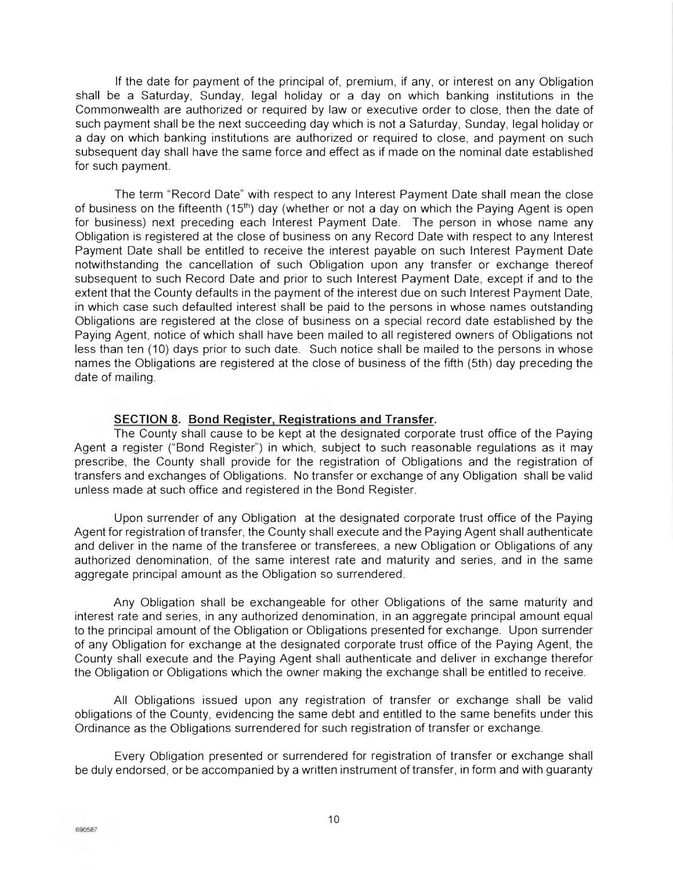If the date for payment of the principal of, premium, if any, or interest on any Obligation shall be a Saturday, Sunday, legal holiday or a day on which banking institutions in the Commonwealth are authorized or required by law or executive order to close, then the date of such payment shall be the next succeeding day which is not a Saturday, Sunday, legal holiday or a day on which banking institutions are authorized or required to close, and payment on such subsequent day shall have the same force and effect as if made on the nominal date established for such payment.

The term "Record Date" with respect to any Interest Payment Date shall mean the close of business on the fifteenth (15<sup>th</sup>) day (whether or not a day on which the Paying Agent is open for business) next preceding each Interest Payment Date. The person in whose name any Obligation is registered at the close of business on any Record Date with respect to any Interest Payment Date shall be entitled to receive the interest payable on such Interest Payment Date notwithstanding the cancellation of such Obligation upon any transfer or exchange thereof subsequent to such Record Date and prior to such Interest Payment Date, except if and to the extent that the County defaults in the payment of the interest due on such Interest Payment Date, in which case such defaulted interest shall be paid to the persons in whose names outstanding Obligations are registered at the close of business on a special record date established by the Paying Agent, notice of which shall have been mailed to all registered owners of Obligations not less than ten (10) days prior to such date. Such notice shall be mailed to the persons in whose names the Obligations are registered at the close of business of the fifth (5th) day preceding the date of mailing.

## **SECTION 8. Bond Register, Registrations and Transfer.**

The County shall cause to be kept at the designated corporate trust office of the Paying Agent a register ('Bond Register") in which, subject to such reasonable regulations as it may prescribe, the County shall provide for the registration of Obligations and the registration of transfers and exchanges of Obligations. No transfer or exchange of any Obligation shall be valid unless made at such office and registered in the Bond Register.

Upon surrender of any Obligation at the designated corporate trust office of the Paying Agent for registration of transfer, the County shall execute and the Paying Agent shall authenticate and deliver in the name of the transferee or transferees, a new Obligation or Obligations of any authorized denomination, of the same interest rate and maturity and series, and in the same aggregate principal amount as the Obligation so surrendered.

Any Obligation shall be exchangeable for other Obligations of the same maturity and interest rate and series, in any authorized denomination, in an aggregate principal amount equal to the principal amount of the Obligation or Obligations presented for exchange. Upon surrender of any Obligation for exchange at the designated corporate trust office of the Paying Agent, the County shall execute and the Paying Agent shall authenticate and deliver in exchange therefor the Obligation or Obligations which the owner making the exchange shall be entitled to receive.

All Obligations issued upon any registration of transfer or exchange shall be valid obligations of the County, evidencing the same debt and entitled to the same benefits under this Ordinance as the Obligations surrendered for such registration of transfer or exchange.

Every Obligation presented or surrendered for registration of transfer or exchange shall be duly endorsed, or be accompanied by a written instrument of transfer, in form and with guaranty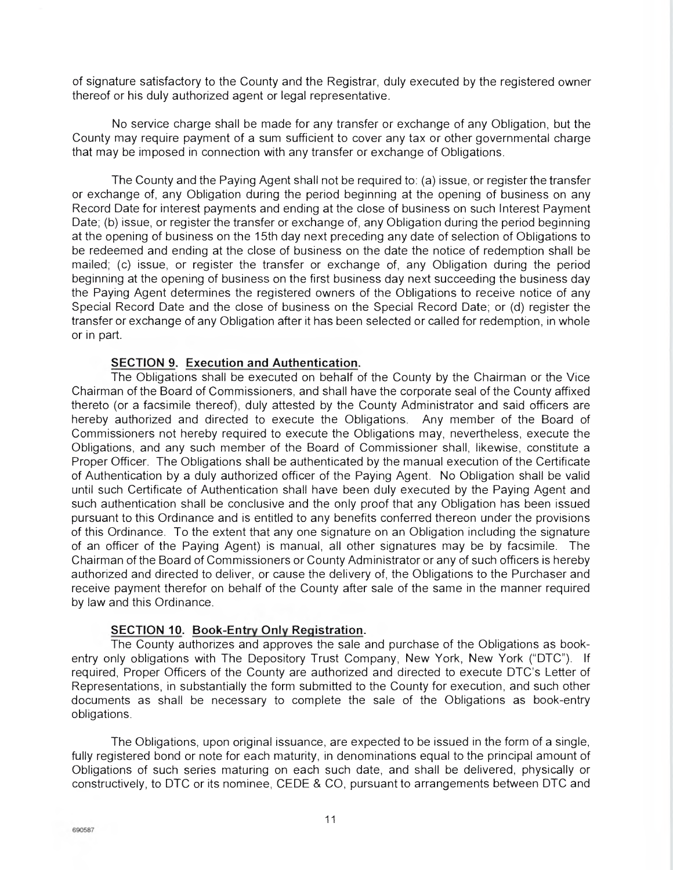of signature satisfactory to the County and the Registrar, duly executed by the registered owner thereof or his duly authorized agent or legal representative.

No service charge shall be made for any transfer or exchange of any Obligation, but the County may require payment of a sum sufficient to cover any tax or other governmental charge that may be imposed in connection with any transfer or exchange of Obligations.

The County and the Paying Agent shall not be required to: (a) issue, or register the transfer or exchange of, any Obligation during the period beginning at the opening of business on any Record Date for interest payments and ending at the close of business on such Interest Payment Date; (b) issue, or register the transfer or exchange of, any Obligation during the period beginning at the opening of business on the 15th day next preceding any date of selection of Obligations to be redeemed and ending at the close of business on the date the notice of redemption shall be mailed; (c) issue, or register the transfer or exchange of, any Obligation during the period beginning at the opening of business on the first business day next succeeding the business day the Paying Agent determines the registered owners of the Obligations to receive notice of any Special Record Date and the close of business on the Special Record Date; or (d) register the transfer or exchange of any Obligation after it has been selected or called for redemption, in whole or in part.

## **SECTION 9. Execution and Authentication.**

The Obligations shall be executed on behalf of the County by the Chairman or the Vice Chairman of the Board of Commissioners, and shall have the corporate seal of the County affixed thereto (or a facsimile thereof), duly attested by the County Administrator and said officers are hereby authorized and directed to execute the Obligations. Any member of the Board of Commissioners not hereby required to execute the Obligations may, nevertheless, execute the Obligations, and any such member of the Board of Commissioner shall, likewise, constitute a Proper Officer. The Obligations shall be authenticated by the manual execution of the Certificate of Authentication by a duly authorized officer of the Paying Agent. No Obligation shall be valid until such Certificate of Authentication shall have been duly executed by the Paying Agent and such authentication shall be conclusive and the only proof that any Obligation has been issued pursuant to this Ordinance and is entitled to any benefits conferred thereon under the provisions of this Ordinance. To the extent that any one signature on an Obligation including the signature of an officer of the Paying Agent) is manual, all other signatures may be by facsimile. The Chairman of the Board of Commissioners or County Administrator or any of such officers is hereby authorized and directed to deliver, or cause the delivery of, the Obligations to the Purchaser and receive payment therefor on behalf of the County after sale of the same in the manner required by law and this Ordinance.

## **SECTION 10. Book-Entry Only Registration.**

The County authorizes and approves the sale and purchase of the Obligations as bookentry only obligations with The Depository Trust Company, New York, New York ("DTC"). If required, Proper Officers of the County are authorized and directed to execute DTC's Letter of Representations, in substantially the form submitted to the County for execution, and such other documents as shall be necessary to complete the sale of the Obligations as book-entry obligations.

The Obligations, upon original issuance, are expected to be issued in the form of a single, fully registered bond or note for each maturity, in denominations equal to the principal amount of Obligations of such series maturing on each such date, and shall be delivered, physically or constructively, to DTC or its nominee, CEDE & CO, pursuant to arrangements between DTC and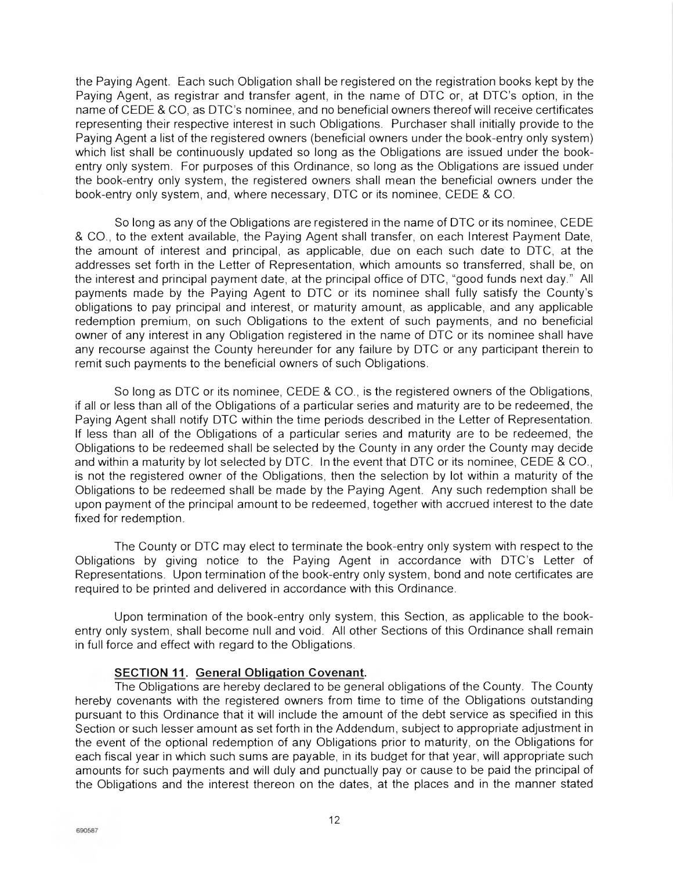the Paying Agent. Each such Obligation shall be registered on the registration books kept by the Paying Agent, as registrar and transfer agent, in the name of DTC or, at DTC's option, in the name of CEDE & CO, as DIG's nominee, and no beneficial owners thereof will receive certificates representing their respective interest in such Obligations. Purchaser shall initially provide to the Paying Agent a list of the registered owners (beneficial owners under the book-entry only system) which list shall be continuously updated so long as the Obligations are issued under the bookentry only system. For purposes of this Ordinance, so long as the Obligations are issued under the book-entry only system, the registered owners shall mean the beneficial owners under the book-entry only system, and, where necessary, DIG or its nominee, CEDE & CO.

So long as any of the Obligations are registered in the name of DIG or its nominee, CEDE & CO., to the extent available, the Paying Agent shall transfer, on each Interest Payment Date, the amount of interest and principal, as applicable, due on each such date to DTC, at the addresses set forth in the Letter of Representation, which amounts so transferred, shall be, on the interest and principal payment date, at the principal office of DTC, "good funds next day." All payments made by the Paying Agent to DTC or its nominee shall fully satisfy the County's obligations to pay principal and interest, or maturity amount, as applicable, and any applicable redemption premium, on such Obligations to the extent of such payments, and no beneficial owner of any interest in any Obligation registered in the name of DTC or its nominee shall have any recourse against the County hereunder for any failure by DTC or any participant therein to remit such payments to the beneficial owners of such Obligations.

So long as DIG or its nominee, CEDE & CO., is the registered owners of the Obligations, if all or less than all of the Obligations of a particular series and maturity are to be redeemed, the Paying Agent shall notify DTC within the time periods described in the Letter of Representation. If less than all of the Obligations of a particular series and maturity are to be redeemed, the Obligations to be redeemed shall be selected by the County in any order the County may decide and within a maturity by lot selected by DTC. In the event that DTC or its nominee, CEDE & CO., is not the registered owner of the Obligations, then the selection by lot within a maturity of the Obligations to be redeemed shall be made by the Paying Agent. Any such redemption shall be upon payment of the principal amount to be redeemed, together with accrued interest to the date fixed for redemption.

The County or DIG may elect to terminate the book-entry only system with respect to the Obligations by giving notice to the Paying Agent in accordance with DIG's Letter of Representations. Upon termination of the book-entry only system, bond and note certificates are required to be printed and delivered in accordance with this Ordinance.

Upon termination of the book-entry only system, this Section, as applicable to the bookentry only system, shall become null and void. All other Sections of this Ordinance shall remain in full force and effect with regard to the Obligations.

## **SECTION 11. General Obligation Covenant.**

The Obligations are hereby declared to be general obligations of the County. The County hereby covenants with the registered owners from time to time of the Obligations outstanding pursuant to this Ordinance that it will include the amount of the debt service as specified in this Section or such lesser amount as set forth in the Addendum, subject to appropriate adjustment in the event of the optional redemption of any Obligations prior to maturity, on the Obligations for each fiscal year in which such sums are payable, in its budget for that year, will appropriate such amounts for such payments and will duly and punctually pay or cause to be paid the principal of the Obligations and the interest thereon on the dates, at the places and in the manner stated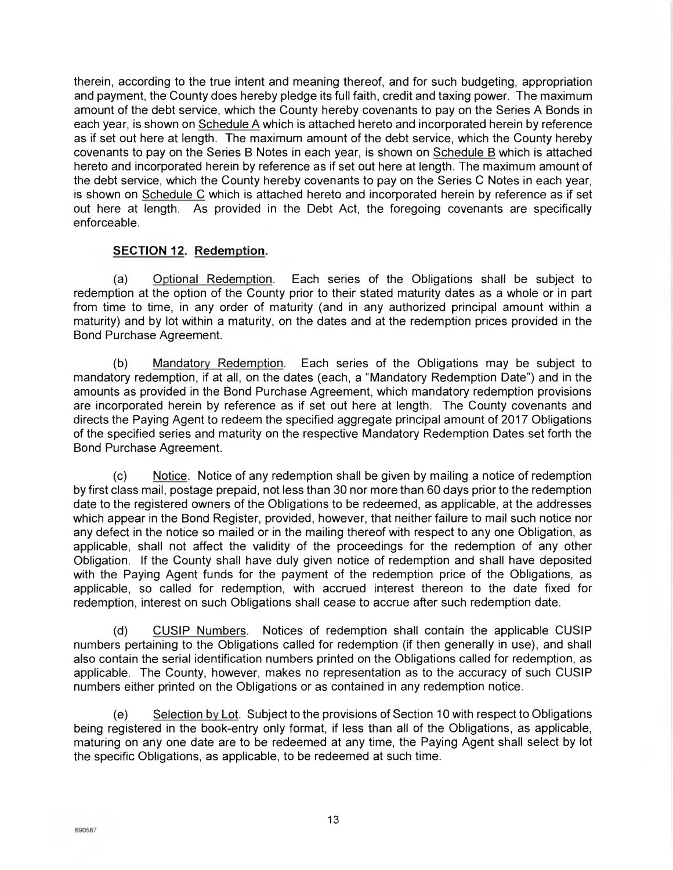therein, according to the true intent and meaning thereof, and for such budgeting, appropriation and payment, the County does hereby pledge its full faith, credit and taxing power. The maximum amount of the debt service, which the County hereby covenants to pay on the Series A Bonds in each year, is shown on Schedule A which is attached hereto and incorporated herein by reference as if set out here at length. The maximum amount of the debt service, which the County hereby covenants to pay on the Series B Notes in each year, is shown on Schedule B which is attached hereto and incorporated herein by reference as if set out here at length. The maximum amount of the debt service, which the County hereby covenants to pay on the Series C Notes in each year, is shown on Schedule C which is attached hereto and incorporated herein by reference as if set out here at length. As provided in the Debt Act, the foregoing covenants are specifically enforceable.

## **SECTION 12. Redemption.**

(a) Optional Redemption. Each series of the Obligations shall be subject to redemption at the option of the County prior to their stated maturity dates as a whole or in part from time to time, in any order of maturity (and in any authorized principal amount within a maturity) and by lot within a maturity, on the dates and at the redemption prices provided in the Bond Purchase Agreement.

(b) Mandatory Redemption. Each series of the Obligations may be subject to mandatory redemption, if at all, on the dates (each, a "Mandatory Redemption Date") and in the amounts as provided in the Bond Purchase Agreement, which mandatory redemption provisions are incorporated herein by reference as if set out here at length. The County covenants and directs the Paying Agent to redeem the specified aggregate principal amount of 2017 Obligations of the specified series and maturity on the respective Mandatory Redemption Dates set forth the Bond Purchase Agreement.

(c) Notice. Notice of any redemption shall be given by mailing a notice of redemption by first class mail, postage prepaid, not less than 30 nor more than 60 days prior to the redemption date to the registered owners of the Obligations to be redeemed, as applicable, at the addresses which appear in the Bond Register, provided, however, that neither failure to mail such notice nor any defect in the notice so mailed or in the mailing thereof with respect to any one Obligation, as applicable, shall not affect the validity of the proceedings for the redemption of any other Obligation. If the County shall have duly given notice of redemption and shall have deposited with the Paying Agent funds for the payment of the redemption price of the Obligations, as applicable, so called for redemption, with accrued interest thereon to the date fixed for redemption, interest on such Obligations shall cease to accrue after such redemption date.

(d) CUSIP Numbers. Notices of redemption shall contain the applicable CUSIP numbers pertaining to the Obligations called for redemption (if then generally in use), and shall also contain the serial identification numbers printed on the Obligations called for redemption, as applicable. The County, however, makes no representation as to the accuracy of such CUSIP numbers either printed on the Obligations or as contained in any redemption notice.

(e) Selection by Lot. Subject to the provisions of Section 10 with respect to Obligations being registered in the book-entry only format, if less than all of the Obligations, as applicable, maturing on any one date are to be redeemed at any time, the Paying Agent shall select by lot the specific Obligations, as applicable, to be redeemed at such time.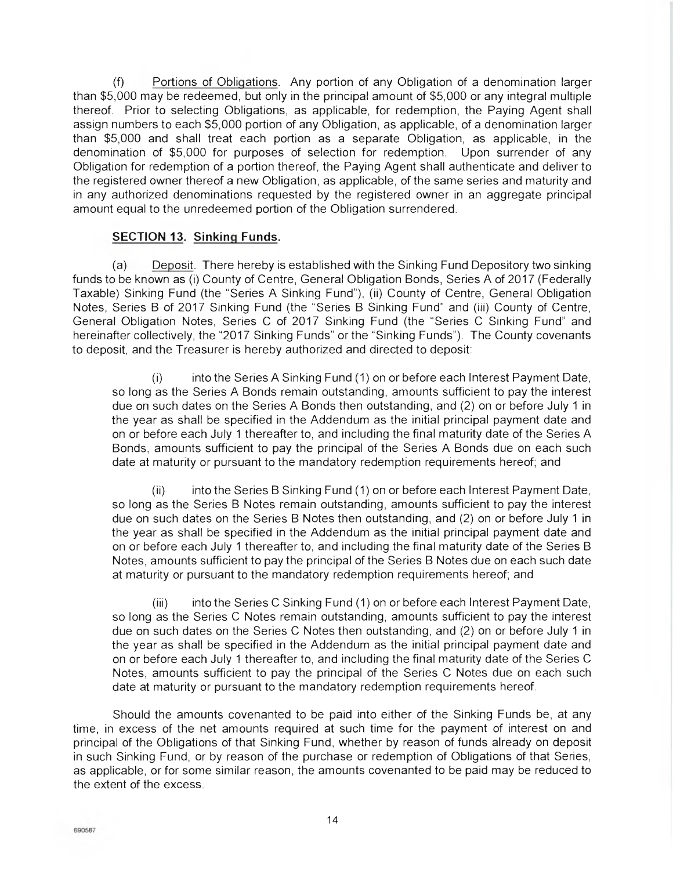M Portions of Obligations. Any portion of any Obligation of a denomination larger than \$5,000 may be redeemed, but only in the principal amount of \$5,000 or any integral multiple thereof. Prior to selecting Obligations, as applicable, for redemption, the Paying Agent shall assign numbers to each \$5,000 portion of any Obligation, as applicable, of a denomination larger than \$5,000 and shall treat each portion as a separate Obligation, as applicable, in the denomination of \$5,000 for purposes of selection for redemption. Upon surrender of any Obligation for redemption of a portion thereof, the Paying Agent shall authenticate and deliver to the registered owner thereof a new Obligation, as applicable, of the same series and maturity and in any authorized denominations requested by the registered owner in an aggregate principal amount equal to the unredeemed portion of the Obligation surrendered.

## **SECTION 13. Sinking Funds.**

(a) Deposit. There hereby is established with the Sinking Fund Depository two sinking funds to be known as (i) County of Centre, General Obligation Bonds, Series A of 2017 (Federally Taxable) Sinking Fund (the "Series A Sinking Fund"), (ii) County of Centre, General Obligation Notes, Series B of 2017 Sinking Fund (the "Series B Sinking Fund" and (iii) County of Centre, General Obligation Notes, Series C of 2017 Sinking Fund (the "Series C Sinking Fund" and hereinafter collectively, the "2017 Sinking Funds" or the "Sinking Funds"). The County covenants to deposit, and the Treasurer is hereby authorized and directed to deposit:

(1) into the Series A Sinking Fund (1) on or before each Interest Payment Date, so long as the Series A Bonds remain outstanding, amounts sufficient to pay the interest due on such dates on the Series A Bonds then outstanding, and (2) on or before July 1 in the year as shall be specified in the Addendum as the initial principal payment date and on or before each July 1 thereafter to, and including the final maturity date of the Series A Bonds, amounts sufficient to pay the principal of the Series A Bonds due on each such date at maturity or pursuant to the mandatory redemption requirements hereof; and

(ii) into the Series B Sinking Fund (1) on or before each Interest Payment Date, so long as the Series B Notes remain outstanding, amounts sufficient to pay the interest due on such dates on the Series B Notes then outstanding, and (2) on or before July 1 in the year as shall be specified in the Addendum as the initial principal payment date and on or before each July 1 thereafter to, and including the final maturity date of the Series B Notes, amounts sufficient to pay the principal of the Series B Notes due on each such date at maturity or pursuant to the mandatory redemption requirements hereof; and

(iii) into the Series C Sinking Fund (1) on or before each Interest Payment Date, so long as the Series C Notes remain outstanding, amounts sufficient to pay the interest due on such dates on the Series C Notes then outstanding, and (2) on or before July 1 in the year as shall be specified in the Addendum as the initial principal payment date and on or before each July 1 thereafter to, and including the final maturity date of the Series C Notes, amounts sufficient to pay the principal of the Series C Notes due on each such date at maturity or pursuant to the mandatory redemption requirements hereof.

Should the amounts covenanted to be paid into either of the Sinking Funds be, at any time, in excess of the net amounts required at such time for the payment of interest on and principal of the Obligations of that Sinking Fund, whether by reason of funds already on deposit in such Sinking Fund, or by reason of the purchase or redemption of Obligations of that Series, as applicable, or for some similar reason, the amounts covenanted to be paid may be reduced to the extent of the excess.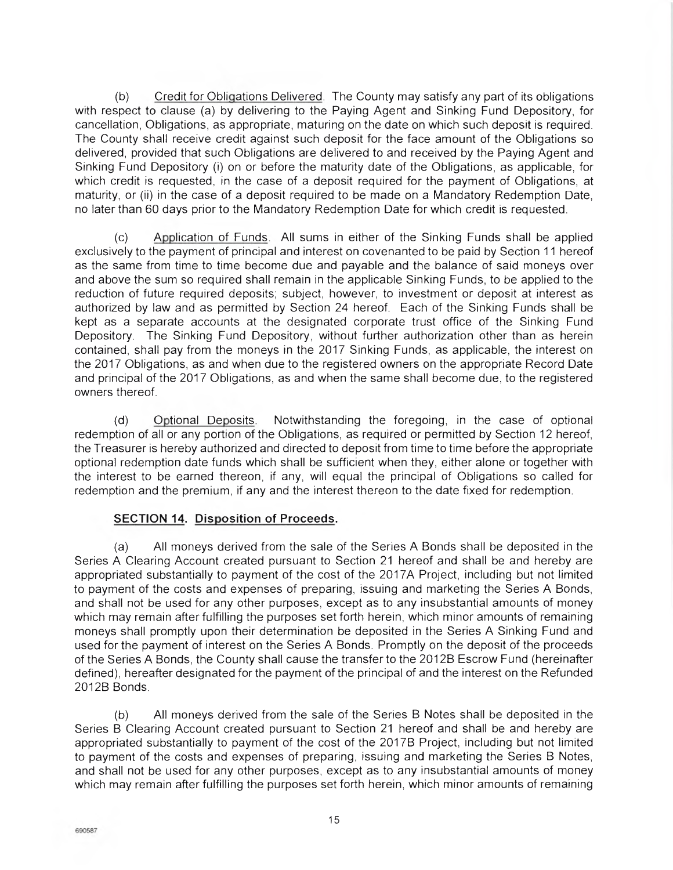(b) Credit for Obligations Delivered. The County may satisfy any part of its obligations with respect to clause (a) by delivering to the Paying Agent and Sinking Fund Depository, for cancellation, Obligations, as appropriate, maturing on the date on which such deposit is required. The County shall receive credit against such deposit for the face amount of the Obligations so delivered, provided that such Obligations are delivered to and received by the Paying Agent and Sinking Fund Depository (i) on or before the maturity date of the Obligations, as applicable, for which credit is requested, in the case of a deposit required for the payment of Obligations, at maturity, or (ii) in the case of a deposit required to be made on a Mandatory Redemption Date, no later than 60 days prior to the Mandatory Redemption Date for which credit is requested.

(c) Application of Funds. All sums in either of the Sinking Funds shall be applied exclusively to the payment of principal and interest on covenanted to be paid by Section 11 hereof as the same from time to time become due and payable and the balance of said moneys over and above the sum so required shall remain in the applicable Sinking Funds, to be applied to the reduction of future required deposits; subject, however, to investment or deposit at interest as authorized by law and as permitted by Section 24 hereof. Each of the Sinking Funds shall be kept as a separate accounts at the designated corporate trust office of the Sinking Fund Depository. The Sinking Fund Depository, without further authorization other than as herein contained, shall pay from the moneys in the 2017 Sinking Funds, as applicable, the interest on the 2017 Obligations, as and when due to the registered owners on the appropriate Record Date and principal of the 2017 Obligations, as and when the same shall become due, to the registered owners thereof.

(d) Optional Deposits. Notwithstanding the foregoing, in the case of optional redemption of all or any portion of the Obligations, as required or permitted by Section 12 hereof, the Treasurer is hereby authorized and directed to deposit from time to time before the appropriate optional redemption date funds which shall be sufficient when they, either alone or together with the interest to be earned thereon, if any, will equal the principal of Obligations so called for redemption and the premium, if any and the interest thereon to the date fixed for redemption.

## **SECTION 14. Disposition of Proceeds.**

(a) All moneys derived from the sale of the Series A Bonds shall be deposited in the Series A Clearing Account created pursuant to Section 21 hereof and shall be and hereby are appropriated substantially to payment of the cost of the 2017A Project, including but not limited to payment of the costs and expenses of preparing, issuing and marketing the Series A Bonds, and shall not be used for any other purposes, except as to any insubstantial amounts of money which may remain after fulfilling the purposes set forth herein, which minor amounts of remaining moneys shall promptly upon their determination be deposited in the Series A Sinking Fund and used for the payment of interest on the Series A Bonds. Promptly on the deposit of the proceeds of the Series A Bonds, the County shall cause the transfer to the 2012B Escrow Fund (hereinafter defined), hereafter designated for the payment of the principal of and the interest on the Refunded 2012B Bonds.

(b) All moneys derived from the sale of the Series B Notes shall be deposited in the Series B Clearing Account created pursuant to Section 21 hereof and shall be and hereby are appropriated substantially to payment of the cost of the 2017B Project, including but not limited to payment of the costs and expenses of preparing, issuing and marketing the Series B Notes, and shall not be used for any other purposes, except as to any insubstantial amounts of money which may remain after fulfilling the purposes set forth herein, which minor amounts of remaining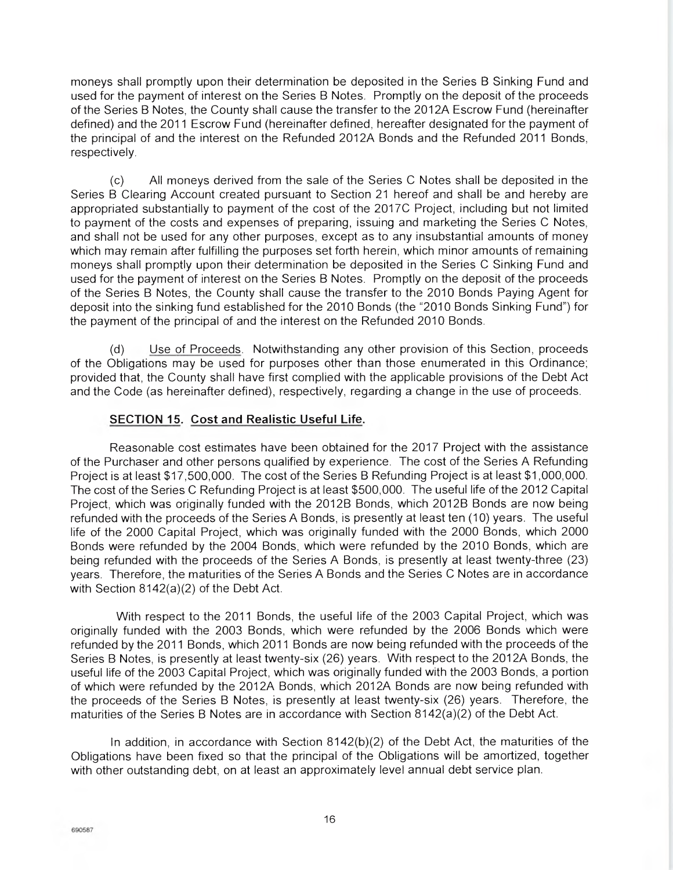moneys shall promptly upon their determination be deposited in the Series B Sinking Fund and used for the payment of interest on the Series B Notes. Promptly on the deposit of the proceeds of the Series B Notes, the County shall cause the transfer to the 2012A Escrow Fund (hereinafter defined) and the 2011 Escrow Fund (hereinafter defined, hereafter designated for the payment of the principal of and the interest on the Refunded 2012A Bonds and the Refunded 2011 Bonds, respectively.

(c) All moneys derived from the sale of the Series C Notes shall be deposited in the Series B Clearing Account created pursuant to Section 21 hereof and shall be and hereby are appropriated substantially to payment of the cost of the 2017C Project, including but not limited to payment of the costs and expenses of preparing, issuing and marketing the Series C Notes, and shall not be used for any other purposes, except as to any insubstantial amounts of money which may remain after fulfilling the purposes set forth herein, which minor amounts of remaining moneys shall promptly upon their determination be deposited in the Series C Sinking Fund and used for the payment of interest on the Series B Notes. Promptly on the deposit of the proceeds of the Series B Notes, the County shall cause the transfer to the 2010 Bonds Paying Agent for deposit into the sinking fund established for the 2010 Bonds (the "2010 Bonds Sinking Fund") for the payment of the principal of and the interest on the Refunded 2010 Bonds.

(d) Use of Proceeds. Notwithstanding any other provision of this Section, proceeds of the Obligations may be used for purposes other than those enumerated in this Ordinance; provided that, the County shall have first complied with the applicable provisions of the Debt Act and the Code (as hereinafter defined), respectively, regarding a change in the use of proceeds.

## **SECTION 15. Cost and Realistic Useful Life.**

Reasonable cost estimates have been obtained for the 2017 Project with the assistance of the Purchaser and other persons qualified by experience. The cost of the Series A Refunding Project is at least \$17,500,000. The cost of the Series B Refunding Project is at least \$1,000,000. The cost of the Series C Refunding Project is at least \$500,000. The useful life of the 2012 Capital Project, which was originally funded with the 2012B Bonds, which 2012B Bonds are now being refunded with the proceeds of the Series A Bonds, is presently at least ten (10) years. The useful life of the 2000 Capital Project, which was originally funded with the 2000 Bonds, which 2000 Bonds were refunded by the 2004 Bonds, which were refunded by the 2010 Bonds, which are being refunded with the proceeds of the Series A Bonds, is presently at least twenty-three (23) years. Therefore, the maturities of the Series A Bonds and the Series C Notes are in accordance with Section 8142(a)(2) of the Debt Act.

With respect to the 2011 Bonds, the useful life of the 2003 Capital Project, which was originally funded with the 2003 Bonds, which were refunded by the 2006 Bonds which were refunded by the 2011 Bonds, which 2011 Bonds are now being refunded with the proceeds of the Series B Notes, is presently at least twenty-six (26) years. With respect to the 2012A Bonds, the useful life of the 2003 Capital Project, which was originally funded with the 2003 Bonds, a portion of which were refunded by the 2012A Bonds, which 2012A Bonds are now being refunded with the proceeds of the Series B Notes, is presently at least twenty-six (26) years. Therefore, the maturities of the Series B Notes are in accordance with Section 8142(a)(2) of the Debt Act.

In addition, in accordance with Section 8142(b)(2) of the Debt Act, the maturities of the Obligations have been fixed so that the principal of the Obligations will be amortized, together with other outstanding debt, on at least an approximately level annual debt service plan.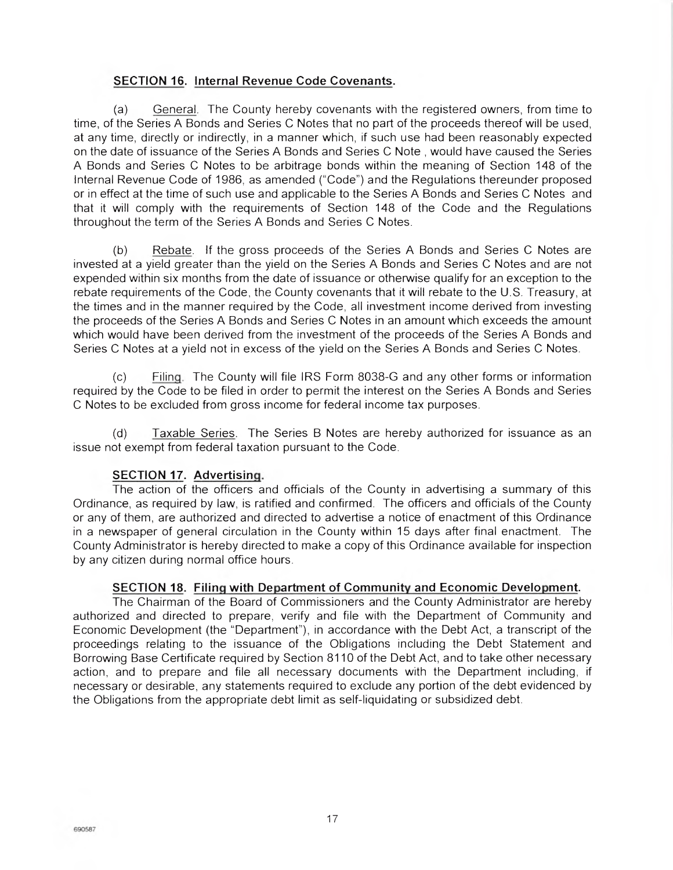## **SECTION 16. Internal Revenue Code Covenants.**

(a) General. The County hereby covenants with the registered owners, from time to time, of the Series A Bonds and Series C Notes that no part of the proceeds thereof will be used, at any time, directly or indirectly, in a manner which, if such use had been reasonably expected on the date of issuance of the Series A Bonds and Series C Note , would have caused the Series A Bonds and Series C Notes to be arbitrage bonds within the meaning of Section 148 of the Internal Revenue Code of 1986, as amended ('Code") and the Regulations thereunder proposed or in effect at the time of such use and applicable to the Series A Bonds and Series C Notes and that it will comply with the requirements of Section 148 of the Code and the Regulations throughout the term of the Series A Bonds and Series C Notes.

(b) Rebate. If the gross proceeds of the Series A Bonds and Series C Notes are invested at a yield greater than the yield on the Series A Bonds and Series C Notes and are not expended within six months from the date of issuance or otherwise qualify for an exception to the rebate requirements of the Code, the County covenants that it will rebate to the U.S. Treasury, at the times and in the manner required by the Code, all investment income derived from investing the proceeds of the Series A Bonds and Series C Notes in an amount which exceeds the amount which would have been derived from the investment of the proceeds of the Series A Bonds and Series C Notes at a yield not in excess of the yield on the Series A Bonds and Series C Notes.

(c) Filing. The County will file IRS Form 8038-G and any other forms or information required by the Code to be filed in order to permit the interest on the Series A Bonds and Series C Notes to be excluded from gross income for federal income tax purposes.

(d) Taxable Series. The Series B Notes are hereby authorized for issuance as an issue not exempt from federal taxation pursuant to the Code.

## **SECTION 17. Advertising.**

The action of the officers and officials of the County in advertising a summary of this Ordinance, as required by law, is ratified and confirmed. The officers and officials of the County or any of them, are authorized and directed to advertise a notice of enactment of this Ordinance in a newspaper of general circulation in the County within 15 days after final enactment. The County Administrator is hereby directed to make a copy of this Ordinance available for inspection by any citizen during normal office hours.

## **SECTION 18. Filing with Department of Community and Economic Development.**

The Chairman of the Board of Commissioners and the County Administrator are hereby authorized and directed to prepare, verify and file with the Department of Community and Economic Development (the "Department"), in accordance with the Debt Act, a transcript of the proceedings relating to the issuance of the Obligations including the Debt Statement and Borrowing Base Certificate required by Section 8110 of the Debt Act, and to take other necessary action, and to prepare and file all necessary documents with the Department including, if necessary or desirable, any statements required to exclude any portion of the debt evidenced by the Obligations from the appropriate debt limit as self-liquidating or subsidized debt.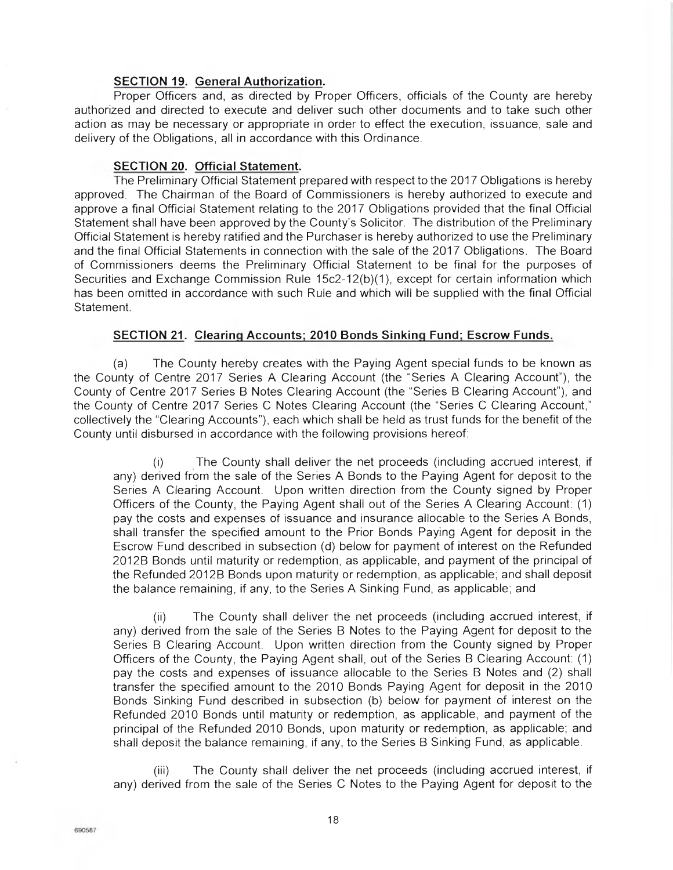## **SECTION 19. General Authorization.**

Proper Officers and, as directed by Proper Officers, officials of the County are hereby authorized and directed to execute and deliver such other documents and to take such other action as may be necessary or appropriate in order to effect the execution, issuance, sale and delivery of the Obligations, all in accordance with this Ordinance.

## **SECTION 20. Official Statement.**

The Preliminary Official Statement prepared with respect to the 2017 Obligations is hereby approved. The Chairman of the Board of Commissioners is hereby authorized to execute and approve a final Official Statement relating to the 2017 Obligations provided that the final Official Statement shall have been approved by the County's Solicitor. The distribution of the Preliminary Official Statement is hereby ratified and the Purchaser is hereby authorized to use the Preliminary and the final Official Statements in connection with the sale of the 2017 Obligations. The Board of Commissioners deems the Preliminary Official Statement to be final for the purposes of Securities and Exchange Commission Rule 15c2-12(b)(1), except for certain information which has been omitted in accordance with such Rule and which will be supplied with the final Official Statement.

## **SECTION 21. Clearing Accounts; 2010 Bonds Sinking Fund; Escrow Funds.**

(a) The County hereby creates with the Paying Agent special funds to be known as the County of Centre 2017 Series A Clearing Account (the "Series A Clearing Account"), the County of Centre 2017 Series B Notes Clearing Account (the "Series B Clearing Account"), and the County of Centre 2017 Series C Notes Clearing Account (the "Series C Clearing Account," collectively the "Clearing Accounts"), each which shall be held as trust funds for the benefit of the County until disbursed in accordance with the following provisions hereof:

(i) The County shall deliver the net proceeds (including accrued interest, if any) derived from the sale of the Series A Bonds to the Paying Agent for deposit to the Series A Clearing Account. Upon written direction from the County signed by Proper Officers of the County, the Paying Agent shall out of the Series A Clearing Account: (1) pay the costs and expenses of issuance and insurance allocable to the Series A Bonds, shall transfer the specified amount to the Prior Bonds Paying Agent for deposit in the Escrow Fund described in subsection (d) below for payment of interest on the Refunded 2012B Bonds until maturity or redemption, as applicable, and payment of the principal of the Refunded 2012B Bonds upon maturity or redemption, as applicable; and shall deposit the balance remaining, if any, to the Series A Sinking Fund, as applicable; and

(ii) The County shall deliver the net proceeds (including accrued interest, if any) derived from the sale of the Series B Notes to the Paying Agent for deposit to the Series B Clearing Account. Upon written direction from the County signed by Proper Officers of the County, the Paying Agent shall, out of the Series B Clearing Account: (1) pay the costs and expenses of issuance allocable to the Series B Notes and (2) shall transfer the specified amount to the 2010 Bonds Paying Agent for deposit in the 2010 Bonds Sinking Fund described in subsection (b) below for payment of interest on the Refunded 2010 Bonds until maturity or redemption, as applicable, and payment of the principal of the Refunded 2010 Bonds, upon maturity or redemption, as applicable; and shall deposit the balance remaining, if any, to the Series B Sinking Fund, as applicable.

(iii) The County shall deliver the net proceeds (including accrued interest, if any) derived from the sale of the Series C Notes to the Paying Agent for deposit to the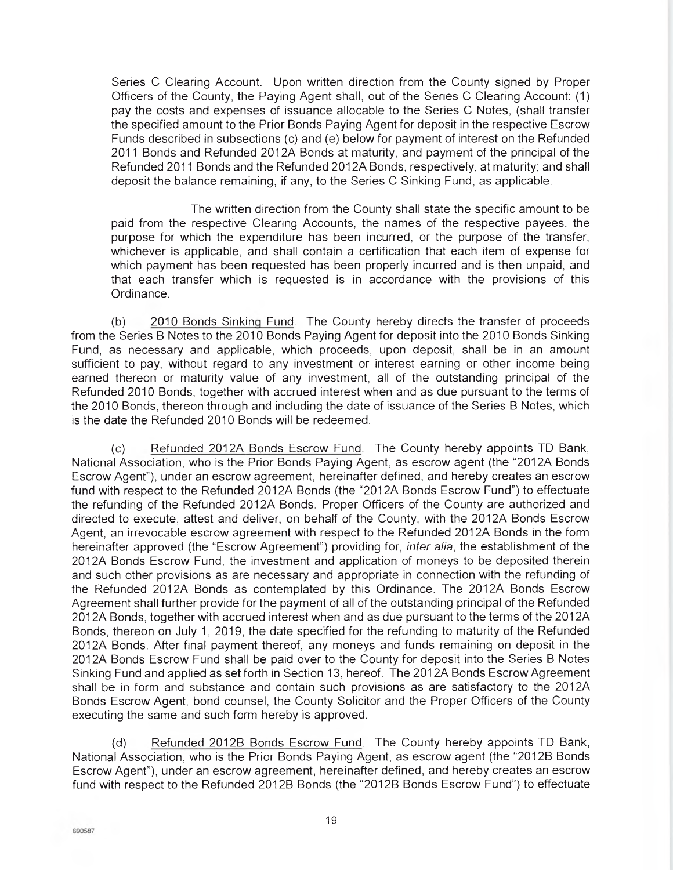Series C Clearing Account. Upon written direction from the County signed by Proper Officers of the County, the Paying Agent shall, out of the Series C Clearing Account: (1) pay the costs and expenses of issuance allocable to the Series C Notes, (shall transfer the specified amount to the Prior Bonds Paying Agent for deposit in the respective Escrow Funds described in subsections (c) and (e) below for payment of interest on the Refunded 2011 Bonds and Refunded 2012A Bonds at maturity, and payment of the principal of the Refunded 2011 Bonds and the Refunded 2012A Bonds, respectively, at maturity; and shall deposit the balance remaining, if any, to the Series C Sinking Fund, as applicable.

The written direction from the County shall state the specific amount to be paid from the respective Clearing Accounts, the names of the respective payees, the purpose for which the expenditure has been incurred, or the purpose of the transfer, whichever is applicable, and shall contain a certification that each item of expense for which payment has been requested has been properly incurred and is then unpaid, and that each transfer which is requested is in accordance with the provisions of this Ordinance.

(b) 2010 Bonds Sinking Fund. The County hereby directs the transfer of proceeds from the Series B Notes to the 2010 Bonds Paying Agent for deposit into the 2010 Bonds Sinking Fund, as necessary and applicable, which proceeds, upon deposit, shall be in an amount sufficient to pay, without regard to any investment or interest earning or other income being earned thereon or maturity value of any investment, all of the outstanding principal of the Refunded 2010 Bonds, together with accrued interest when and as due pursuant to the terms of the 2010 Bonds, thereon through and including the date of issuance of the Series B Notes, which is the date the Refunded 2010 Bonds will be redeemed.

(c) Refunded 2012A Bonds Escrow Fund. The County hereby appoints TD Bank, National Association, who is the Prior Bonds Paying Agent, as escrow agent (the "2012A Bonds Escrow Agent"), under an escrow agreement, hereinafter defined, and hereby creates an escrow fund with respect to the Refunded 2012A Bonds (the "2012A Bonds Escrow Fund") to effectuate the refunding of the Refunded 2012A Bonds. Proper Officers of the County are authorized and directed to execute, attest and deliver, on behalf of the County, with the 2012A Bonds Escrow Agent, an irrevocable escrow agreement with respect to the Refunded 2012A Bonds in the form hereinafter approved (the "Escrow Agreement") providing for, *inter alia*, the establishment of the 2012A Bonds Escrow Fund, the investment and application of moneys to be deposited therein and such other provisions as are necessary and appropriate in connection with the refunding of the Refunded 2012A Bonds as contemplated by this Ordinance. The 2012A Bonds Escrow Agreement shall further provide for the payment of all of the outstanding principal of the Refunded 2012A Bonds, together with accrued interest when and as due pursuant to the terms of the 2012A Bonds, thereon on July 1, 2019, the date specified for the refunding to maturity of the Refunded 2012A Bonds. After final payment thereof, any moneys and funds remaining on deposit in the 2012A Bonds Escrow Fund shall be paid over to the County for deposit into the Series B Notes Sinking Fund and applied as set forth in Section 13, hereof. The 2012A Bonds Escrow Agreement shall be in form and substance and contain such provisions as are satisfactory to the 2012A Bonds Escrow Agent, bond counsel, the County Solicitor and the Proper Officers of the County executing the same and such form hereby is approved.

(d) Refunded 2012B Bonds Escrow Fund. The County hereby appoints TD Bank, National Association, who is the Prior Bonds Paying Agent, as escrow agent (the "2012B Bonds Escrow Agent"), under an escrow agreement, hereinafter defined, and hereby creates an escrow fund with respect to the Refunded 2012B Bonds (the "2012B Bonds Escrow Fund") to effectuate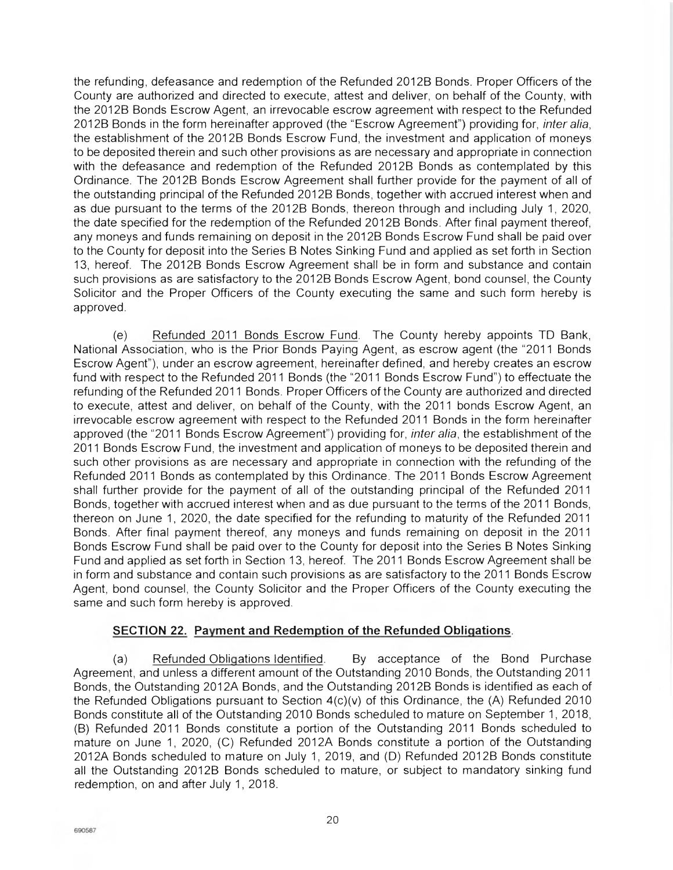the refunding, defeasance and redemption of the Refunded 2012B Bonds. Proper Officers of the County are authorized and directed to execute, attest and deliver, on behalf of the County, with the 2012B Bonds Escrow Agent, an irrevocable escrow agreement with respect to the Refunded 2012B Bonds in the form hereinafter approved (the "Escrow Agreement") providing for, *inter alia*, the establishment of the 2012B Bonds Escrow Fund, the investment and application of moneys to be deposited therein and such other provisions as are necessary and appropriate in connection with the defeasance and redemption of the Refunded 2012B Bonds as contemplated by this Ordinance. The 2012B Bonds Escrow Agreement shall further provide for the payment of all of the outstanding principal of the Refunded 2012B Bonds, together with accrued interest when and as due pursuant to the terms of the 2012B Bonds, thereon through and including July 1, 2020, the date specified for the redemption of the Refunded 2012B Bonds. After final payment thereof, any moneys and funds remaining on deposit in the 2012B Bonds Escrow Fund shall be paid over to the County for deposit into the Series B Notes Sinking Fund and applied as set forth in Section 13, hereof. The 2012B Bonds Escrow Agreement shall be in form and substance and contain such provisions as are satisfactory to the 2012B Bonds Escrow Agent, bond counsel, the County Solicitor and the Proper Officers of the County executing the same and such form hereby is approved.

(e) Refunded 2011 Bonds Escrow Fund. The County hereby appoints TD Bank, National Association, who is the Prior Bonds Paying Agent, as escrow agent (the "2011 Bonds Escrow Agent"), under an escrow agreement, hereinafter defined, and hereby creates an escrow fund with respect to the Refunded 2011 Bonds (the "2011 Bonds Escrow Fund") to effectuate the refunding of the Refunded 2011 Bonds. Proper Officers of the County are authorized and directed to execute, attest and deliver, on behalf of the County, with the 2011 bonds Escrow Agent, an irrevocable escrow agreement with respect to the Refunded 2011 Bonds in the form hereinafter approved (the "2011 Bonds Escrow Agreement") providing for, *inter alia*, the establishment of the 2011 Bonds Escrow Fund, the investment and application of moneys to be deposited therein and such other provisions as are necessary and appropriate in connection with the refunding of the Refunded 2011 Bonds as contemplated by this Ordinance. The 2011 Bonds Escrow Agreement shall further provide for the payment of all of the outstanding principal of the Refunded 2011 Bonds, together with accrued interest when and as due pursuant to the terms of the 2011 Bonds, thereon on June 1, 2020, the date specified for the refunding to maturity of the Refunded 2011 Bonds. After final payment thereof, any moneys and funds remaining on deposit in the 2011 Bonds Escrow Fund shall be paid over to the County for deposit into the Series B Notes Sinking Fund and applied as set forth in Section 13, hereof. The 2011 Bonds Escrow Agreement shall be in form and substance and contain such provisions as are satisfactory to the 2011 Bonds Escrow Agent, bond counsel, the County Solicitor and the Proper Officers of the County executing the same and such form hereby is approved.

## **SECTION 22. Payment and Redemption of the Refunded Obligations.**

(a) Refunded Obligations Identified. By acceptance of the Bond Purchase Agreement, and unless a different amount of the Outstanding 2010 Bonds, the Outstanding 2011 Bonds, the Outstanding 2012A Bonds, and the Outstanding 2012B Bonds is identified as each of the Refunded Obligations pursuant to Section 4(c)(v) of this Ordinance, the (A) Refunded 2010 Bonds constitute all of the Outstanding 2010 Bonds scheduled to mature on September 1, 2018, (B) Refunded 2011 Bonds constitute a portion of the Outstanding 2011 Bonds scheduled to mature on June 1, 2020, (C) Refunded 2012A Bonds constitute a portion of the Outstanding 2012A Bonds scheduled to mature on July 1, 2019, and (D) Refunded 2012B Bonds constitute all the Outstanding 2012B Bonds scheduled to mature, or subject to mandatory sinking fund redemption, on and after July 1, 2018.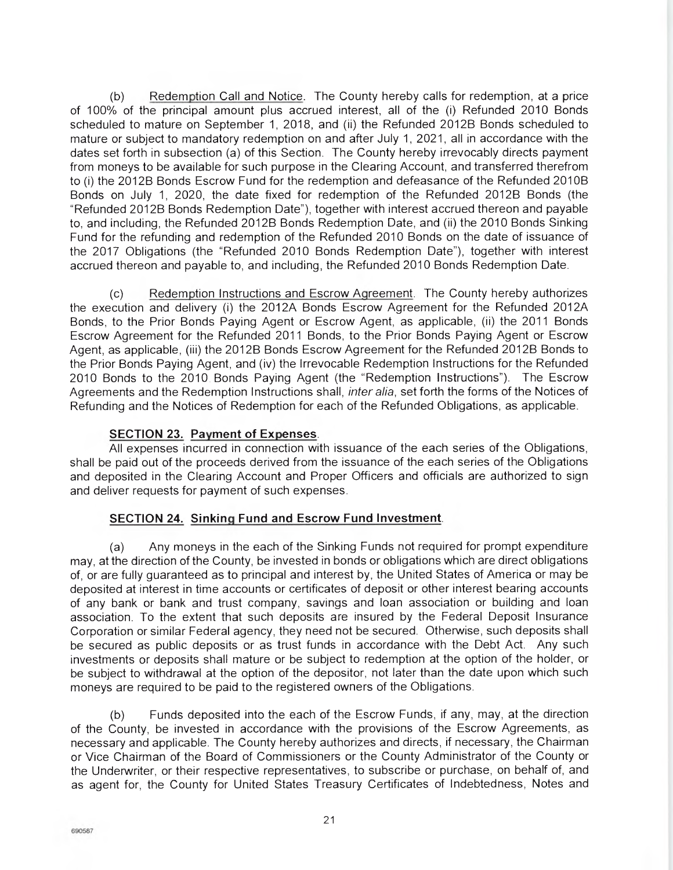(b) Redemption Call and Notice. The County hereby calls for redemption, at a price of 100% of the principal amount plus accrued interest, all of the (i) Refunded 2010 Bonds scheduled to mature on September 1, 2018, and (ii) the Refunded 2012B Bonds scheduled to mature or subject to mandatory redemption on and after July 1, 2021, all in accordance with the dates set forth in subsection (a) of this Section. The County hereby irrevocably directs payment from moneys to be available for such purpose in the Clearing Account, and transferred therefrom to (i) the 2012B Bonds Escrow Fund for the redemption and defeasance of the Refunded 2010B Bonds on July 1, 2020, the date fixed for redemption of the Refunded 2012B Bonds (the "Refunded 2012B Bonds Redemption Date"), together with interest accrued thereon and payable to, and including, the Refunded 2012B Bonds Redemption Date, and (ii) the 2010 Bonds Sinking Fund for the refunding and redemption of the Refunded 2010 Bonds on the date of issuance of the 2017 Obligations (the "Refunded 2010 Bonds Redemption Date"), together with interest accrued thereon and payable to, and including, the Refunded 2010 Bonds Redemption Date.

(c) Redemption Instructions and Escrow Agreement. The County hereby authorizes the execution and delivery (i) the 2012A Bonds Escrow Agreement for the Refunded 2012A Bonds, to the Prior Bonds Paying Agent or Escrow Agent, as applicable, (ii) the 2011 Bonds Escrow Agreement for the Refunded 2011 Bonds, to the Prior Bonds Paying Agent or Escrow Agent, as applicable, (iii) the 2012B Bonds Escrow Agreement for the Refunded 2012B Bonds to the Prior Bonds Paying Agent, and (iv) the Irrevocable Redemption Instructions for the Refunded 2010 Bonds to the 2010. Bonds Paying Agent (the "Redemption Instructions"). The Escrow Agreements and the Redemption Instructions shall, *inter alia*, set forth the forms of the Notices of Refunding and the Notices of Redemption for each of the Refunded Obligations, as applicable.

## **SECTION 23. Payment of Expenses.**

All expenses incurred in connection with issuance of the each series of the Obligations, shall be paid out of the proceeds derived from the issuance of the each series of the Obligations and deposited in the Clearing Account and Proper Officers and officials are authorized to sign and deliver requests for payment of such expenses.

# **SECTION 24. Sinking Fund and Escrow Fund Investment.**

(a) Any moneys in the each of the Sinking Funds not required for prompt expenditure may, at the direction of the County, be invested in bonds or obligations which are direct obligations of, or are fully guaranteed as to principal and interest by, the United States of America or may be deposited at interest in time accounts or certificates of deposit or other interest bearing accounts of any bank or bank and trust company, savings and loan association or building and loan association. To the extent that such deposits are insured by the Federal Deposit Insurance Corporation or similar Federal agency, they need not be secured. Otherwise, such deposits shall be secured as public deposits or as trust funds in accordance with the Debt Act. Any such investments or deposits shall mature or be subject to redemption at the option of the holder, or be subject to withdrawal at the option of the depositor, not later than the date upon which such moneys are required to be paid to the registered owners of the Obligations.

(b) Funds deposited into the each of the Escrow Funds, if any, may, at the direction of the County, be invested in accordance with the provisions of the Escrow Agreements, as necessary and applicable. The County hereby authorizes and directs, if necessary, the Chairman or Vice Chairman of the Board of Commissioners or the County Administrator of the County or the Underwriter, or their respective representatives, to subscribe or purchase, on behalf of, and as agent for, the County for United States Treasury Certificates of Indebtedness, Notes and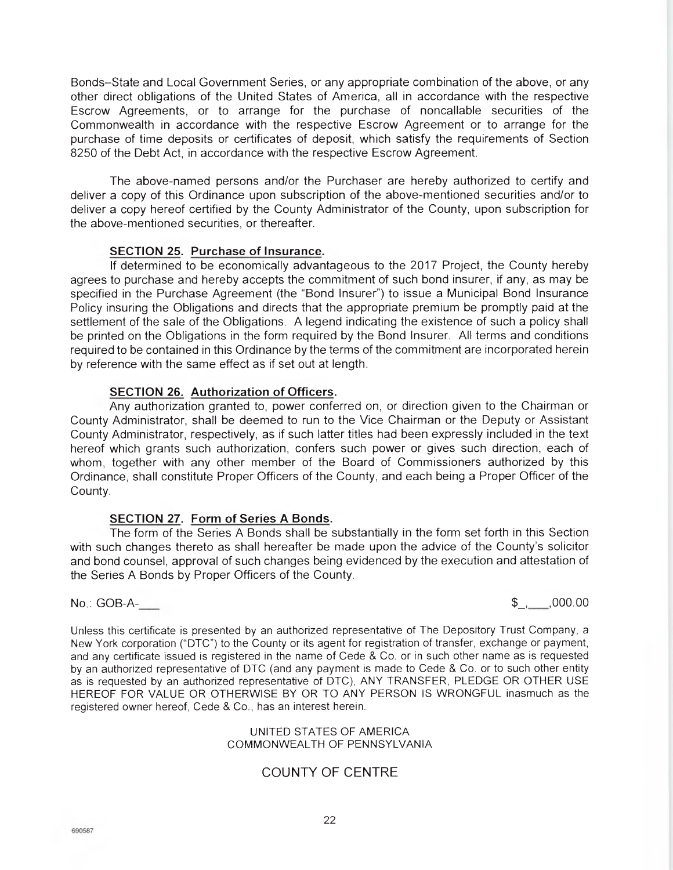Bonds—State and Local Government Series, or any appropriate combination of the above, or any other direct obligations of the United States of America, all in accordance with the respective Escrow Agreements, or to arrange for the purchase of noncallable securities of the Commonwealth in accordance with the respective Escrow Agreement or to arrange for the purchase of time deposits or certificates of deposit, which satisfy the requirements of Section 8250 of the Debt Act, in accordance with the respective Escrow Agreement.

The above-named persons and/or the Purchaser are hereby authorized to certify and deliver a copy of this Ordinance upon subscription of the above-mentioned securities and/or to deliver a copy hereof certified by the County Administrator of the County, upon subscription for the above-mentioned securities, or thereafter.

## **SECTION 25. Purchase of Insurance.**

If determined to be economically advantageous to the 2017 Project, the County hereby agrees to purchase and hereby accepts the commitment of such bond insurer, if any, as may be specified in the Purchase Agreement (the "Bond Insurer") to issue a Municipal Bond Insurance Policy insuring the Obligations and directs that the appropriate premium be promptly paid at the settlement of the sale of the Obligations. A legend indicating the existence of such a policy shall be printed on the Obligations in the form required by the Bond Insurer. All terms and conditions required to be contained in this Ordinance by the terms of the commitment are incorporated herein by reference with the same effect as if set out at length.

## **SECTION 26. Authorization of Officers.**

Any authorization granted to, power conferred on, or direction given to the Chairman or County Administrator, shall be deemed to run to the Vice Chairman or the Deputy or Assistant County Administrator, respectively, as if such latter titles had been expressly included in the text hereof which grants such authorization, confers such power or gives such direction, each of whom, together with any other member of the Board of Commissioners authorized by this Ordinance, shall constitute Proper Officers of the County, and each being a Proper Officer of the County.

## **SECTION 27. Form of Series A Bonds.**

The form of the Series A Bonds shall be substantially in the form set forth in this Section with such changes thereto as shall hereafter be made upon the advice of the County's solicitor and bond counsel, approval of such changes being evidenced by the execution and attestation of the Series A Bonds by Proper Officers of the County.

 $\mathbb{S}_{-1}$ , 000.00

Unless this certificate is presented by an authorized representative of The Depository Trust Company, a New York corporation ("DTC") to the County or its agent for registration of transfer, exchange or payment, and any certificate issued is registered in the name of Cede & Co. or in such other name as is requested by an authorized representative of DTC (and any payment is made to Cede & Co. or to such other entity as is requested by an authorized representative of DTC), ANY TRANSFER, PLEDGE OR OTHER USE HEREOF FOR VALUE OR OTHERWISE BY OR TO ANY PERSON IS WRONGFUL inasmuch as the registered owner hereof, Cede & Co., has an interest herein.

#### UNITED STATES OF AMERICA COMMONWEALTH OF PENNSYLVANIA

## COUNTY OF CENTRE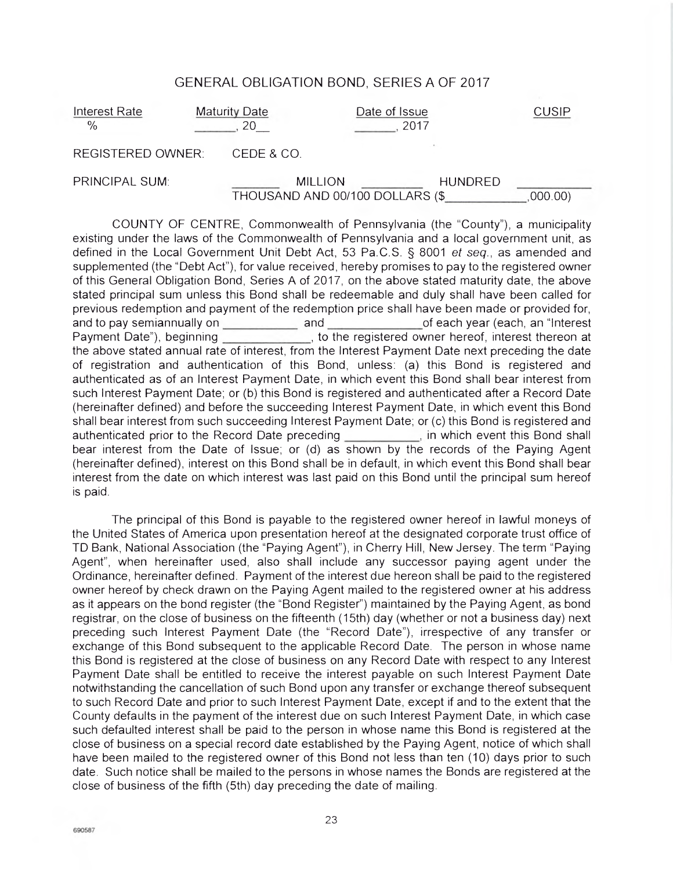## GENERAL OBLIGATION BOND, SERIES A OF 2017

| Interest Rate<br>$\%$    | Maturity Date | Date of Issue<br>2017            | <b>CUSIP</b> |
|--------------------------|---------------|----------------------------------|--------------|
| <b>REGISTERED OWNER:</b> | CEDE & CO.    |                                  |              |
| PRINCIPAL SUM:           |               | <b>MILLION</b><br><b>HUNDRED</b> |              |
|                          |               | THOUSAND AND 00/100 DOLLARS (\$  | (000.00)     |

COUNTY OF CENTRE, Commonwealth of Pennsylvania (the "County"), a municipality existing under the laws of the Commonwealth of Pennsylvania and a local government unit, as defined in the Local Government Unit Debt Act, 53 Pa.C.S. § 8001 et seq., as amended and supplemented (the "Debt Act"), for value received, hereby promises to pay to the registered owner of this General Obligation Bond, Series A of 2017, on the above stated maturity date, the above stated principal sum unless this Bond shall be redeemable and duly shall have been called for previous redemption and payment of the redemption price shall have been made or provided for, and to pay semiannually on and and and of each year (each, an "Interest" Payment Date"), beginning , to the registered owner hereof, interest thereon at the above stated annual rate of interest, from the Interest Payment Date next preceding the date of registration and authentication of this Bond, unless: (a) this Bond is registered and authenticated as of an Interest Payment Date, in which event this Bond shall bear interest from such Interest Payment Date; or (b) this Bond is registered and authenticated after a Record Date (hereinafter defined) and before the succeeding Interest Payment Date, in which event this Bond shall bear interest from such succeeding Interest Payment Date; or (c) this Bond is registered and authenticated prior to the Record Date preceding *numeral*, in which event this Bond shall bear interest from the Date of Issue; or (d) as shown by the records of the Paying Agent (hereinafter defined), interest on this Bond shall be in default, in which event this Bond shall bear interest from the date on which interest was last paid on this Bond until the principal sum hereof is paid.

The principal of this Bond is payable to the registered owner hereof in lawful moneys of the United States of America upon presentation hereof at the designated corporate trust office of TD Bank, National Association (the "Paying Agent"), in Cherry Hill, New Jersey. The term "Paying Agent", when hereinafter used, also shall include any successor paying agent under the Ordinance, hereinafter defined. Payment of the interest due hereon shall be paid to the registered owner hereof by check drawn on the Paying Agent mailed to the registered owner at his address as it appears on the bond register (the "Bond Register") maintained by the Paying Agent, as bond registrar, on the close of business on the fifteenth (15th) day (whether or not a business day) next preceding such Interest Payment Date (the "Record Date"), irrespective of any transfer or exchange of this Bond subsequent to the applicable Record Date. The person in whose name this Bond is registered at the close of business on any Record Date with respect to any Interest Payment Date shall be entitled to receive the interest payable on such Interest Payment Date notwithstanding the cancellation of such Bond upon any transfer or exchange thereof subsequent to such Record Date and prior to such Interest Payment Date, except if and to the extent that the County defaults in the payment of the interest due on such Interest Payment Date, in which case such defaulted interest shall be paid to the person in whose name this Bond is registered at the close of business on a special record date established by the Paying Agent, notice of which shall have been mailed to the registered owner of this Bond not less than ten (10) days prior to such date. Such notice shall be mailed to the persons in whose names the Bonds are registered at the close of business of the fifth (5th) day preceding the date of mailing.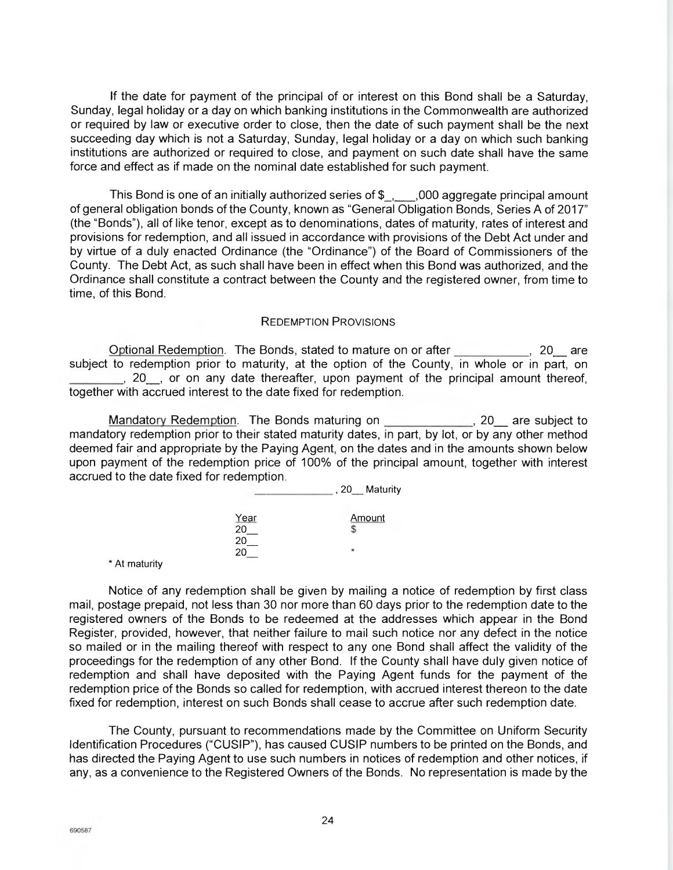If the date for payment of the principal of or interest on this Bond shall be a Saturday, Sunday, legal holiday or a day on which banking institutions in the Commonwealth are authorized or required by law or executive order to close, then the date of such payment shall be the next succeeding day which is not a Saturday, Sunday, legal holiday or a day on which such banking institutions are authorized or required to close, and payment on such date shall have the same force and effect as if made on the nominal date established for such payment.

This Bond is one of an initially authorized series of  $\frac{1}{2}$ , 000 aggregate principal amount of general obligation bonds of the County, known as "General Obligation Bonds, Series A of 2017" (the "Bonds"), all of like tenor, except as to denominations, dates of maturity, rates of interest and provisions for redemption, and all issued in accordance with provisions of the Debt Act under and by virtue of a duly enacted Ordinance (the "Ordinance") of the Board of Commissioners of the County. The Debt Act, as such shall have been in effect when this Bond was authorized, and the Ordinance shall constitute a contract between the County and the registered owner, from time to time, of this Bond.

#### REDEMPTION PROVISIONS

Optional Redemption. The Bonds, stated to mature on or after \_\_\_\_\_\_\_\_\_\_\_, 20\_ are subject to redemption prior to maturity, at the option of the County, in whole or in part, on  $\Box$ , 20 , or on any date thereafter, upon payment of the principal amount thereof, together with accrued interest to the date fixed for redemption.

Mandatory Redemption. The Bonds maturing on *notal maturing*, 20<sub>\_</sub> are subject to mandatory redemption prior to their stated maturity dates, in part, by lot, or by any other method deemed fair and appropriate by the Paying Agent, on the dates and in the amounts shown below upon payment of the redemption price of 100% of the principal amount, together with interest accrued to the date fixed for redemption.

|                       | Maturity<br>,20 |
|-----------------------|-----------------|
| $\frac{Year}{20}$     | <b>Amount</b>   |
| 20<br>$\overline{20}$ |                 |

\* At maturity

Notice of any redemption shall be given by mailing a notice of redemption by first class mail, postage prepaid, not less than 30 nor more than 60 days prior to the redemption date to the registered owners of the Bonds to be redeemed at the addresses which appear in the Bond Register, provided, however, that neither failure to mail such notice nor any defect in the notice so mailed or in the mailing thereof with respect to any one Bond shall affect the validity of the proceedings for the redemption of any other Bond. If the County shall have duly given notice of redemption and shall have deposited with the Paying Agent funds for the payment of the redemption price of the Bonds so called for redemption, with accrued interest thereon to the date fixed for redemption, interest on such Bonds shall cease to accrue after such redemption date.

The County, pursuant to recommendations made by the Committee on Uniform Security Identification Procedures ("CUSIP"), has caused CUSIP numbers to be printed on the Bonds, and has directed the Paying Agent to use such numbers in notices of redemption and other notices, if any, as a convenience to the Registered Owners of the Bonds. No representation is made by the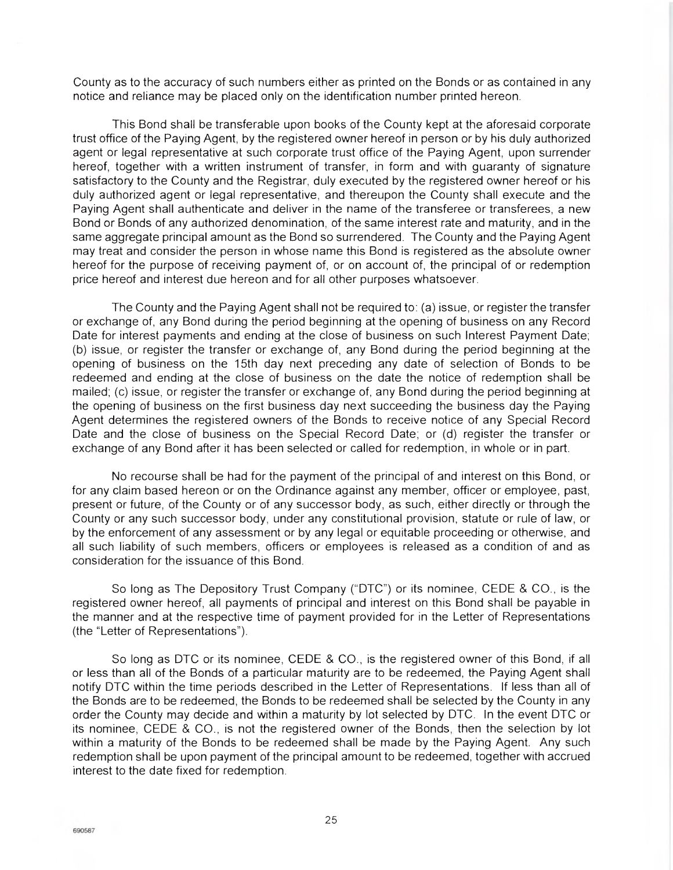County as to the accuracy of such numbers either as printed on the Bonds or as contained in any notice and reliance may be placed only on the identification number printed hereon.

This Bond shall be transferable upon books of the County kept at the aforesaid corporate trust office of the Paying Agent, by the registered owner hereof in person or by his duly authorized agent or legal representative at such corporate trust office of the Paying Agent, upon surrender hereof, together with a written instrument of transfer, in form and with guaranty of signature satisfactory to the County and the Registrar, duly executed by the registered owner hereof or his duly authorized agent or legal representative, and thereupon the County shall execute and the Paying Agent shall authenticate and deliver in the name of the transferee or transferees, a new Bond or Bonds of any authorized denomination, of the same interest rate and maturity, and in the same aggregate principal amount as the Bond so surrendered. The County and the Paying Agent may treat and consider the person in whose name this Bond is registered as the absolute owner hereof for the purpose of receiving payment of, or on account of, the principal of or redemption price hereof and interest due hereon and for all other purposes whatsoever.

The County and the Paying Agent shall not be required to: (a) issue, or register the transfer or exchange of, any Bond during the period beginning at the opening of business on any Record Date for interest payments and ending at the close of business on such Interest Payment Date; (b) issue, or register the transfer or exchange of, any Bond during the period beginning at the opening of business on the 15th day next preceding any date of selection of Bonds to be redeemed and ending at the close of business on the date the notice of redemption shall be mailed; (c) issue, or register the transfer or exchange of, any Bond during the period beginning at the opening of business on the first business day next succeeding the business day the Paying Agent determines the registered owners of the Bonds to receive notice of any Special Record Date and the close of business on the Special Record Date; or (d) register the transfer or exchange of any Bond after it has been selected or called for redemption, in whole or in part.

No recourse shall be had for the payment of the principal of and interest on this Bond, or for any claim based hereon or on the Ordinance against any member, officer or employee, past, present or future, of the County or of any successor body, as such, either directly or through the County or any such successor body, under any constitutional provision, statute or rule of law, or by the enforcement of any assessment or by any legal or equitable proceeding or otherwise, and all such liability of such members, officers or employees is released as a condition of and as consideration for the issuance of this Bond.

So long as The Depository Trust Company ("DTC") or its nominee, CEDE & CO., is the registered owner hereof, all payments of principal and interest on this Bond shall be payable in the manner and at the respective time of payment provided for in the Letter of Representations (the "Letter of Representations").

So long as DTC or its nominee, CEDE & CO., is the registered owner of this Bond, if all or less than all of the Bonds of a particular maturity are to be redeemed, the Paying Agent shall notify DTC within the time periods described in the Letter of Representations. If less than all of the Bonds are to be redeemed, the Bonds to be redeemed shall be selected by the County in any order the County may decide and within a maturity by lot selected by DTC. In the event DTC or its nominee, CEDE & CO., is not the registered owner of the Bonds, then the selection by lot within a maturity of the Bonds to be redeemed shall be made by the Paying Agent. Any such redemption shall be upon payment of the principal amount to be redeemed, together with accrued interest to the date fixed for redemption.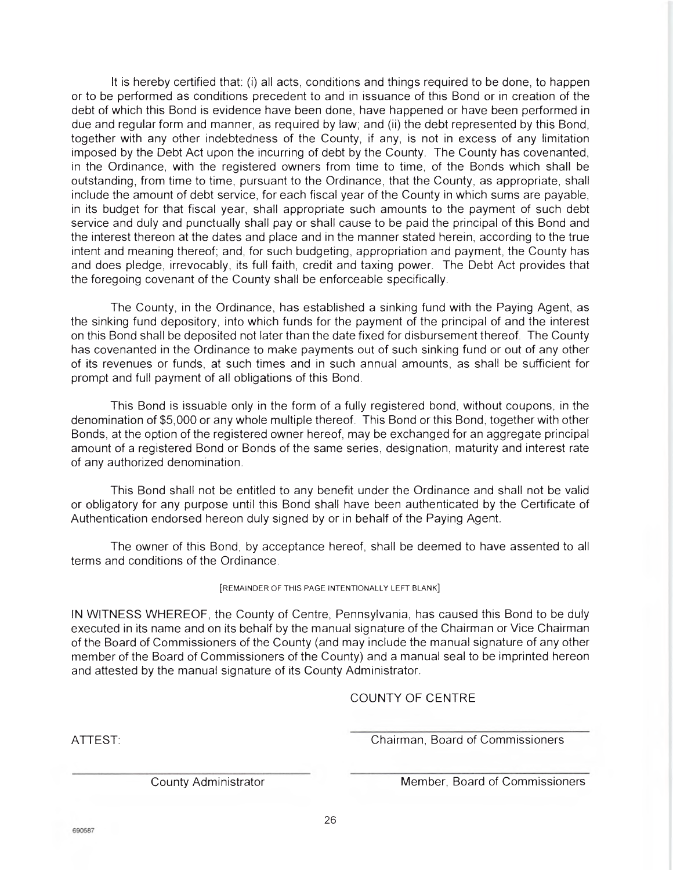It is hereby certified that: (i) all acts, conditions and things required to be done, to happen or to be performed as conditions precedent to and in issuance of this Bond or in creation of the debt of which this Bond is evidence have been done, have happened or have been performed in due and regular form and manner, as required by law; and (ii) the debt represented by this Bond, together with any other indebtedness of the County, if any, is not in excess of any limitation imposed by the Debt Act upon the incurring of debt by the County. The County has covenanted, in the Ordinance, with the registered owners from time to time, of the Bonds which shall be outstanding, from time to time, pursuant to the Ordinance, that the County, as appropriate, shall include the amount of debt service, for each fiscal year of the County in which sums are payable, in its budget for that fiscal year, shall appropriate such amounts to the payment of such debt service and duly and punctually shall pay or shall cause to be paid the principal of this Bond and the interest thereon at the dates and place and in the manner stated herein, according to the true intent and meaning thereof; and, for such budgeting, appropriation and payment, the County has and does pledge, irrevocably, its full faith, credit and taxing power. The Debt Act provides that the foregoing covenant of the County shall be enforceable specifically.

The County, in the Ordinance, has established a sinking fund with the Paying Agent, as the sinking fund depository, into which funds for the payment of the principal of and the interest on this Bond shall be deposited not later than the date fixed for disbursement thereof. The County has covenanted in the Ordinance to make payments out of such sinking fund or out of any other of its revenues or funds, at such times and in such annual amounts, as shall be sufficient for prompt and full payment of all obligations of this Bond.

This Bond is issuable only in the form of a fully registered bond, without coupons, in the denomination of \$5,000 or any whole multiple thereof. This Bond or this Bond, together with other Bonds, at the option of the registered owner hereof, may be exchanged for an aggregate principal amount of a registered Bond or Bonds of the same series, designation, maturity and interest rate of any authorized denomination.

This Bond shall not be entitled to any benefit under the Ordinance and shall not be valid or obligatory for any purpose until this Bond shall have been authenticated by the Certificate of Authentication endorsed hereon duly signed by or in behalf of the Paying Agent.

The owner of this Bond, by acceptance hereof, shall be deemed to have assented to all terms and conditions of the Ordinance.

#### [REMAINDER OF THIS PAGE INTENTIONALLY LEFT BLANK]

IN WITNESS WHEREOF, the County of Centre, Pennsylvania, has caused this Bond to be duly executed in its name and on its behalf by the manual signature of the Chairman or Vice Chairman of the Board of Commissioners of the County (and may include the manual signature of any other member of the Board of Commissioners of the County) and a manual seal to be imprinted hereon and attested by the manual signature of its County Administrator.

COUNTY OF CENTRE

ATTEST: Chairman, Board of Commissioners

County Administrator Member, Board of Commissioners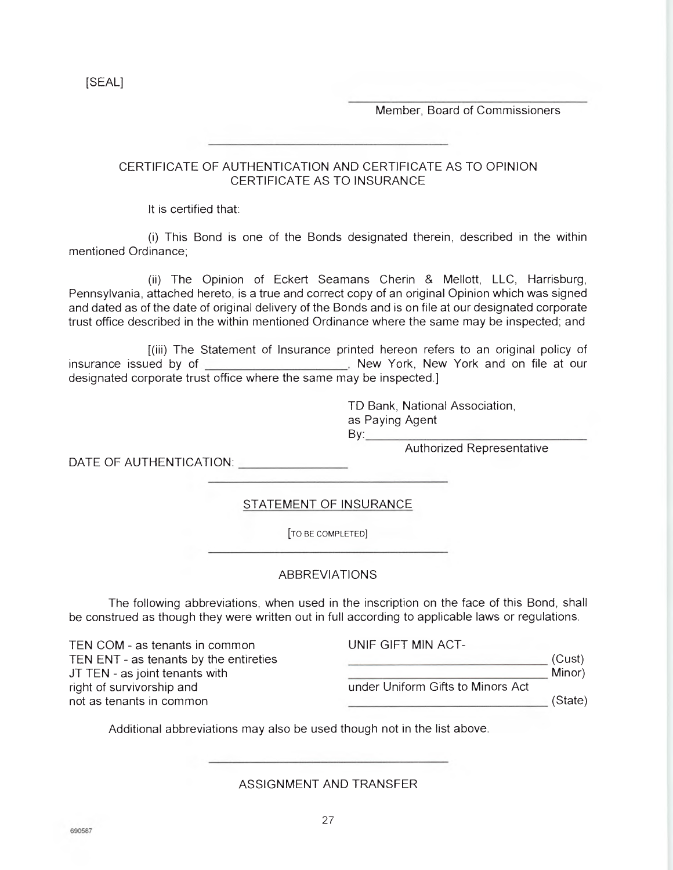Member, Board of Commissioners

## CERTIFICATE OF AUTHENTICATION AND CERTIFICATE AS TO OPINION CERTIFICATE AS TO INSURANCE

It is certified that:

(i) This Bond is one of the Bonds designated therein, described in the within mentioned Ordinance;

(ii) The Opinion of Eckert Seamans Cherin & Mellott, LLC, Harrisburg, Pennsylvania, attached hereto, is a true and correct copy of an original Opinion which was signed and dated as of the date of original delivery of the Bonds and is on file at our designated corporate trust office described in the within mentioned Ordinance where the same may be inspected; and

[(iii) The Statement of Insurance printed hereon refers to an original policy of insurance issued by of  $\blacksquare$ , New York, New York and on file at our designated corporate trust office where the same may be inspected.]

> TD Bank, National Association, as Paying Agent  $By$

DATE OF AUTHENTICATION:

Authorized Representative

STATEMENT OF INSURANCE

[TO BE COMPLETED]

## ABBREVIATIONS

The following abbreviations, when used in the inscription on the face of this Bond, shall be construed as though they were written out in full according to applicable laws or regulations.

| TEN COM - as tenants in common         | UNIF GIFT MIN ACT-                |         |
|----------------------------------------|-----------------------------------|---------|
| TEN ENT - as tenants by the entireties |                                   | (Cust)  |
| JT TEN - as joint tenants with         |                                   | Minor)  |
| right of survivorship and              | under Uniform Gifts to Minors Act |         |
| not as tenants in common               |                                   | (State) |

Additional abbreviations may also be used though not in the list above.

ASSIGNMENT AND TRANSFER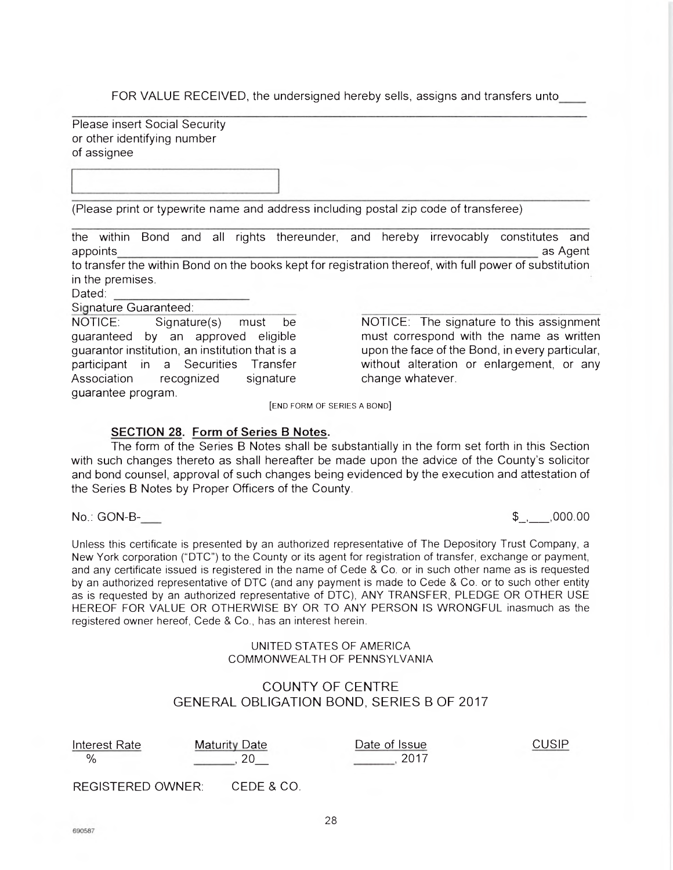FOR VALUE RECEIVED, the undersigned hereby sells, assigns and transfers unto

Please insert Social Security or other identifying number of assignee

(Please print or typewrite name and address including postal zip code of transferee)

the within Bond and all rights thereunder, and hereby irrevocably constitutes and appoints and a state of the control of the control of the control of the control of the control of the control of the control of the control of the control of the control of the control of the control of the control of the to transfer the within Bond on the books kept for registration thereof, with full power of substitution in the premises.

Dated:

Signature Guaranteed:

NOTICE: Signature(s) must be NOTICE: The signature to this assignment Association recognized signature change whatever. guarantee program.

guaranteed by an approved eligible must correspond with the name as written guarantor institution, an institution that is a upon the face of the Bond, in every particular, participant in a Securities Transfer without alteration or enlargement, or any

[END FORM OF SERIES A BOND]

#### **SECTION 28. Form of Series B Notes.**

The form of the Series B Notes shall be substantially in the form set forth in this Section with such changes thereto as shall hereafter be made upon the advice of the County's solicitor and bond counsel, approval of such changes being evidenced by the execution and attestation of the Series B Notes by Proper Officers of the County.

No.: GON-B- \$ , , 000.00

Unless this certificate is presented by an authorized representative of The Depository Trust Company, a New York corporation ("DTC") to the County or its agent for registration of transfer, exchange or payment, and any certificate issued is registered in the name of Cede & Co. or in such other name as is requested by an authorized representative of DTC (and any payment is made to Cede & Co. or to such other entity as is requested by an authorized representative of DTC), ANY TRANSFER, PLEDGE OR OTHER USE HEREOF FOR VALUE OR OTHERWISE BY OR TO ANY PERSON IS WRONGFUL inasmuch as the registered owner hereof, Cede & Co., has an interest herein.

#### UNITED STATES OF AMERICA COMMONWEALTH OF PENNSYLVANIA

## COUNTY OF CENTRE GENERAL OBLIGATION BOND, SERIES B OF 2017

| Interest Rate | <b>Maturity Date</b> |
|---------------|----------------------|
|               |                      |
|               |                      |

e **Interest Date of Issue** CUSIP  $, 2017$ 

REGISTERED OWNER: CEDE & CO.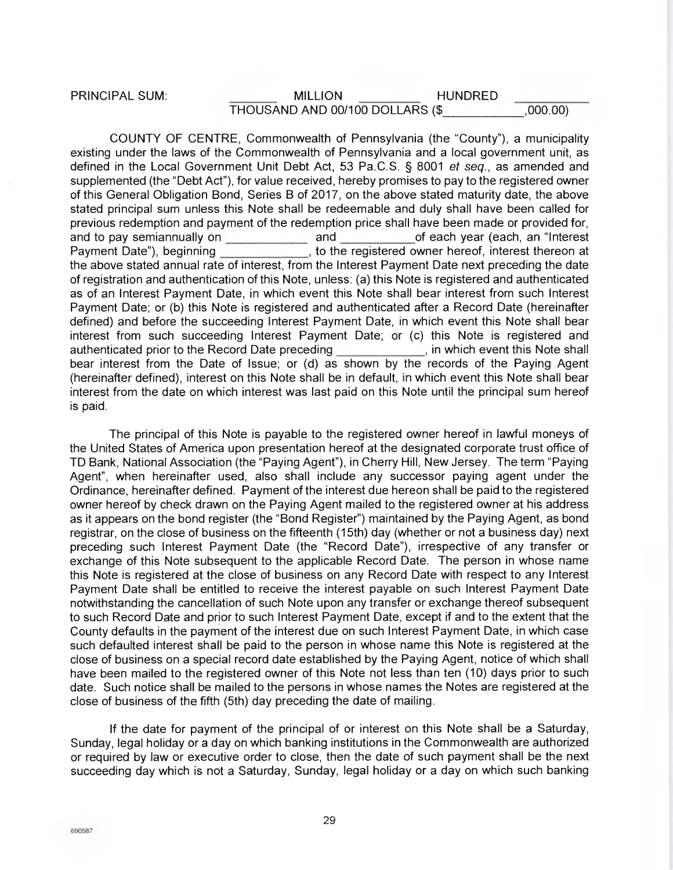## PRINCIPAL SUM: MILLION HUNDRED THOUSAND AND 00/100 DOLLARS (\$\_\_\_\_\_\_\_ ,000.00)

COUNTY OF CENTRE, Commonwealth of Pennsylvania (the "County"), a municipality existing under the laws of the Commonwealth of Pennsylvania and a local government unit, as defined in the Local Government Unit Debt Act, 53 Pa.C.S. § 8001 et seq., as amended and supplemented (the "Debt Act"), for value received, hereby promises to pay to the registered owner of this General Obligation Bond, Series B of 2017, on the above stated maturity date, the above stated principal sum unless this Note shall be redeemable and duly shall have been called for previous redemption and payment of the redemption price shall have been made or provided for, and to pay semiannually on and of each year (each, an "Interest Payment Date"), beginning to the registered owner hereof, interest thereon at the above stated annual rate of interest, from the Interest Payment Date next preceding the date of registration and authentication of this Note, unless: (a) this Note is registered and authenticated as of an Interest Payment Date, in which event this Note shall bear interest from such Interest Payment Date; or (b) this Note is registered and authenticated after a Record Date (hereinafter defined) and before the succeeding Interest Payment Date, in which event this Note shall bear interest from such succeeding Interest Payment Date; or (c) this Note is registered and authenticated prior to the Record Date preceding in which event this Note shall authenticated prior to the Record Date preceding bear interest from the Date of Issue; or (d) as shown by the records of the Paying Agent (hereinafter defined), interest on this Note shall be in default, in which event this Note shall bear interest from the date on which interest was last paid on this Note until the principal sum hereof is paid.

The principal of this Note is payable to the registered owner hereof in lawful moneys of the United States of America upon presentation hereof at the designated corporate trust office of TD Bank, National Association (the "Paying Agent"), in Cherry Hill, New Jersey. The term "Paying Agent", when hereinafter used, also shall include any successor paying agent under the Ordinance, hereinafter defined. Payment of the interest due hereon shall be paid to the registered owner hereof by check drawn on the Paying Agent mailed to the registered owner at his address as it appears on the bond register (the "Bond Register") maintained by the Paying Agent, as bond registrar, on the close of business on the fifteenth (15th) day (whether or not a business day) next preceding such Interest Payment Date (the "Record Date"), irrespective of any transfer or exchange of this Note subsequent to the applicable Record Date. The person in whose name this Note is registered at the close of business on any Record Date with respect to any Interest Payment Date shall be entitled to receive the interest payable on such Interest Payment Date notwithstanding the cancellation of such Note upon any transfer or exchange thereof subsequent to such Record Date and prior to such Interest Payment Date, except if and to the extent that the County defaults in the payment of the interest due on such Interest Payment Date, in which case such defaulted interest shall be paid to the person in whose name this Note is registered at the close of business on a special record date established by the Paying Agent, notice of which shall have been mailed to the registered owner of this Note not less than ten (10) days prior to such date. Such notice shall be mailed to the persons in whose names the Notes are registered at the close of business of the fifth (5th) day preceding the date of mailing.

If the date for payment of the principal of or interest on this Note shall be a Saturday, Sunday, legal holiday or a day on which banking institutions in the Commonwealth are authorized or required by law or executive order to close, then the date of such payment shall be the next succeeding day which is not a Saturday, Sunday, legal holiday or a day on which such banking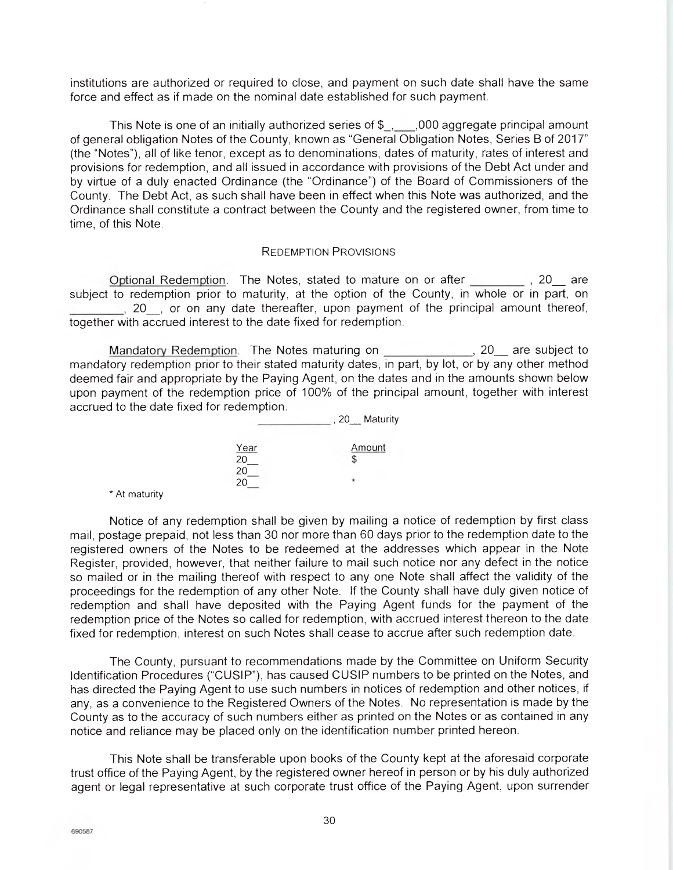institutions are authorized or required to close, and payment on such date shall have the same force and effect as if made on the nominal date established for such payment.

This Note is one of an initially authorized series of \$\_, \_\_\_,000 aggregate principal amount of general obligation Notes of the County, known as "General Obligation Notes, Series B of 2017" (the "Notes"), all of like tenor, except as to denominations, dates of maturity, rates of interest and provisions for redemption, and all issued in accordance with provisions of the Debt Act under and by virtue of a duly enacted Ordinance (the "Ordinance") of the Board of Commissioners of the County. The Debt Act, as such shall have been in effect when this Note was authorized, and the Ordinance shall constitute a contract between the County and the registered owner, from time to time, of this Note.

#### REDEMPTION PROVISIONS

Optional Redemption. The Notes, stated to mature on or after , 20 are subject to redemption prior to maturity, at the option of the County, in whole or in part, on 5, 20, or on any date thereafter, upon payment of the principal amount thereof, together with accrued interest to the date fixed for redemption.

Mandatory Redemption. The Notes maturing on 20\_ are subject to mandatory redemption prior to their stated maturity dates, in part, by lot, or by any other method deemed fair and appropriate by the Paying Agent, on the dates and in the amounts shown below upon payment of the redemption price of 100% of the principal amount, together with interest accrued to the date fixed for redemption.

|                   | Maturity<br><b>20</b> |
|-------------------|-----------------------|
| $\frac{Year}{20}$ | Amount                |
| 20<br>20          |                       |

\* At maturity

Notice of any redemption shall be given by mailing a notice of redemption by first class mail, postage prepaid, not less than 30 nor more than 60 days prior to the redemption date to the registered owners of the Notes to be redeemed at the addresses which appear in the Note Register, provided, however, that neither failure to mail such notice nor any defect in the notice so mailed or in the mailing thereof with respect to any one Note shall affect the validity of the proceedings for the redemption of any other Note. If the County shall have duly given notice of redemption and shall have deposited with the Paying Agent funds for the payment of the redemption price of the Notes so called for redemption, with accrued interest thereon to the date fixed for redemption, interest on such Notes shall cease to accrue after such redemption date.

The County, pursuant to recommendations made by the Committee on Uniform Security Identification Procedures ('CUSIP"), has caused CUSIP numbers to be printed on the Notes, and has directed the Paying Agent to use such numbers in notices of redemption and other notices, if any, as a convenience to the Registered Owners of the Notes. No representation is made by the County as to the accuracy of such numbers either as printed on the Notes or as contained in any notice and reliance may be placed only on the identification number printed hereon.

This Note shall be transferable upon books of the County kept at the aforesaid corporate trust office of the Paying Agent, by the registered owner hereof in person or by his duly authorized agent or legal representative at such corporate trust office of the Paying Agent, upon surrender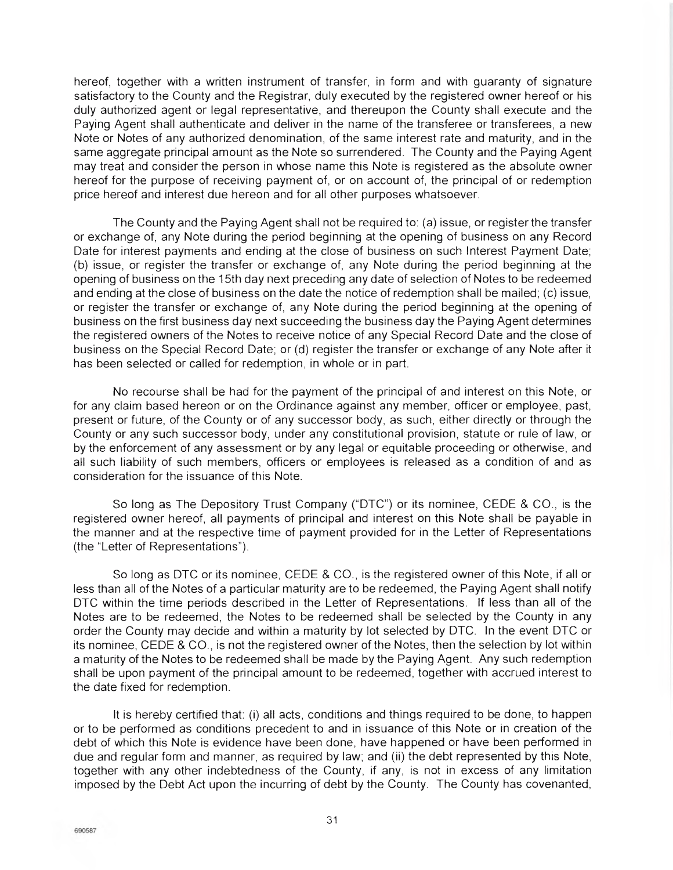hereof, together with a written instrument of transfer, in form and with guaranty of signature satisfactory to the County and the Registrar, duly executed by the registered owner hereof or his duly authorized agent or legal representative, and thereupon the County shall execute and the Paying Agent shall authenticate and deliver in the name of the transferee or transferees, a new Note or Notes of any authorized denomination, of the same interest rate and maturity, and in the same aggregate principal amount as the Note so surrendered. The County and the Paying Agent may treat and consider the person in whose name this Note is registered as the absolute owner hereof for the purpose of receiving payment of, or on account of, the principal of or redemption price hereof and interest due hereon and for all other purposes whatsoever.

The County and the Paying Agent shall not be required to: (a) issue, or register the transfer or exchange of, any Note during the period beginning at the opening of business on any Record Date for interest payments and ending at the close of business on such Interest Payment Date; (b) issue, or register the transfer or exchange of, any Note during the period beginning at the opening of business on the 15th day next preceding any date of selection of Notes to be redeemed and ending at the close of business on the date the notice of redemption shall be mailed; (c) issue, or register the transfer or exchange of, any Note during the period beginning at the opening of business on the first business day next succeeding the business day the Paying Agent determines the registered owners of the Notes to receive notice of any Special Record Date and the close of business on the Special Record Date; or (d) register the transfer or exchange of any Note after it has been selected or called for redemption, in whole or in part.

No recourse shall be had for the payment of the principal of and interest on this Note, or for any claim based hereon or on the Ordinance against any member, officer or employee, past, present or future, of the County or of any successor body, as such, either directly or through the County or any such successor body, under any constitutional provision, statute or rule of law, or by the enforcement of any assessment or by any legal or equitable proceeding or otherwise, and all such liability of such members, officers or employees is released as a condition of and as consideration for the issuance of this Note.

So long as The Depository Trust Company ("DTC") or its nominee, CEDE & CO., is the registered owner hereof, all payments of principal and interest on this Note shall be payable in the manner and at the respective time of payment provided for in the Letter of Representations (the "Letter of Representations").

So long as DTC or its nominee, CEDE & CO., is the registered owner of this Note, if all or less than all of the Notes of a particular maturity are to be redeemed, the Paying Agent shall notify DTC within the time periods described in the Letter of Representations. If less than all of the Notes are to be redeemed, the Notes to be redeemed shall be selected by the County in any order the County may decide and within a maturity by lot selected by DTC. In the event DTC or its nominee, CEDE & CO., is not the registered owner of the Notes, then the selection by lot within a maturity of the Notes to be redeemed shall be made by the Paying Agent. Any such redemption shall be upon payment of the principal amount to be redeemed, together with accrued interest to the date fixed for redemption.

It is hereby certified that: (i) all acts, conditions and things required to be done, to happen or to be performed as conditions precedent to and in issuance of this Note or in creation of the debt of which this Note is evidence have been done, have happened or have been performed in due and regular form and manner, as required by law; and (ii) the debt represented by this Note, together with any other indebtedness of the County, if any, is not in excess of any limitation imposed by the Debt Act upon the incurring of debt by the County. The County has covenanted,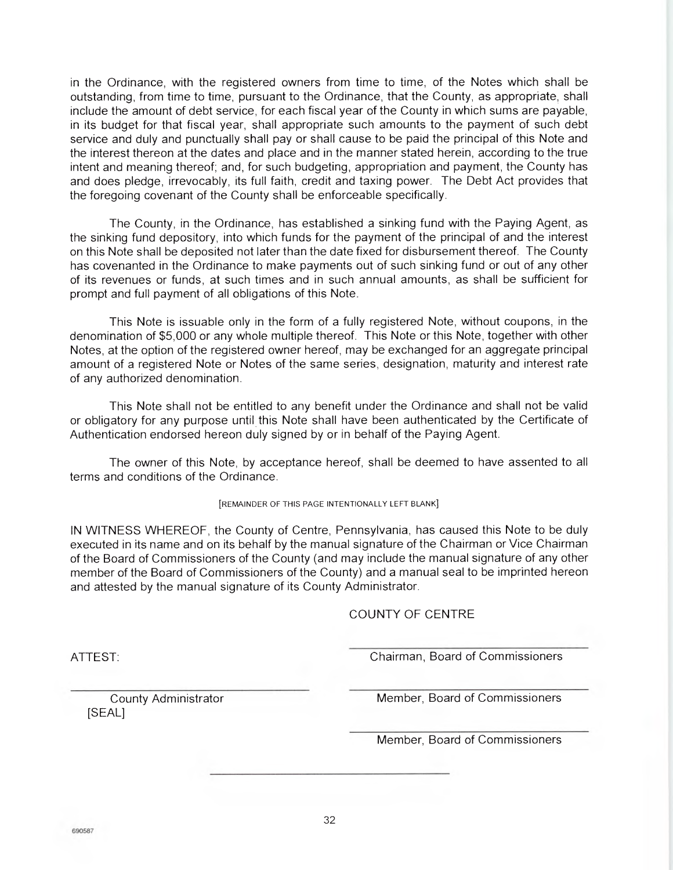in the Ordinance, with the registered owners from time to time, of the Notes which shall be outstanding, from time to time, pursuant to the Ordinance, that the County, as appropriate, shall include the amount of debt service, for each fiscal year of the County in which sums are payable, in its budget for that fiscal year, shall appropriate such amounts to the payment of such debt service and duly and punctually shall pay or shall cause to be paid the principal of this Note and the interest thereon at the dates and place and in the manner stated herein, according to the true intent and meaning thereof; and, for such budgeting, appropriation and payment, the County has and does pledge, irrevocably, its full faith, credit and taxing power. The Debt Act provides that the foregoing covenant of the County shall be enforceable specifically.

The County, in the Ordinance, has established a sinking fund with the Paying Agent, as the sinking fund depository, into which funds for the payment of the principal of and the interest on this Note shall be deposited not later than the date fixed for disbursement thereof. The County has covenanted in the Ordinance to make payments out of such sinking fund or out of any other of its revenues or funds, at such times and in such annual amounts, as shall be sufficient for prompt and full payment of all obligations of this Note.

This Note is issuable only in the form of a fully registered Note, without coupons, in the denomination of \$5,000 or any whole multiple thereof. This Note or this Note, together with other Notes, at the option of the registered owner hereof, may be exchanged for an aggregate principal amount of a registered Note or Notes of the same series, designation, maturity and interest rate of any authorized denomination.

This Note shall not be entitled to any benefit under the Ordinance and shall not be valid or obligatory for any purpose until this Note shall have been authenticated by the Certificate of Authentication endorsed hereon duly signed by or in behalf of the Paying Agent.

The owner of this Note, by acceptance hereof, shall be deemed to have assented to all terms and conditions of the Ordinance.

[REMAINDER OF THIS PAGE INTENTIONALLY LEFT BLANK]

IN WITNESS WHEREOF, the County of Centre, Pennsylvania, has caused this Note to be duly executed in its name and on its behalf by the manual signature of the Chairman or Vice Chairman of the Board of Commissioners of the County (and may include the manual signature of any other member of the Board of Commissioners of the County) and a manual seal to be imprinted hereon and attested by the manual signature of its County Administrator.

#### COUNTY OF CENTRE

ATTEST: Chairman, Board of Commissioners

[SEAL]

County Administrator Member, Board of Commissioners

Member, Board of Commissioners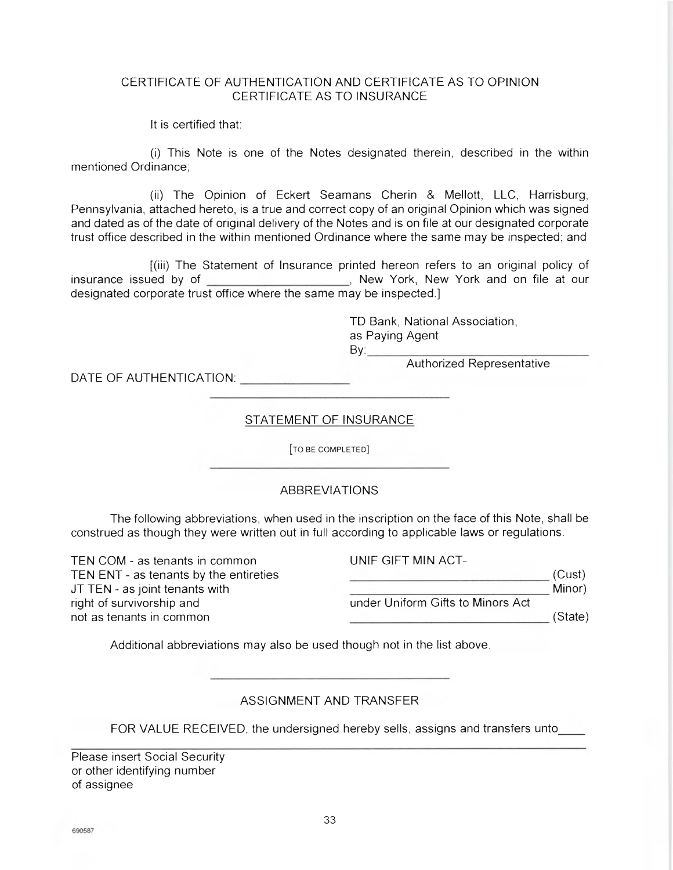## CERTIFICATE OF AUTHENTICATION AND CERTIFICATE AS TO OPINION CERTIFICATE AS TO INSURANCE

It is certified that:

(1) This Note is one of the Notes designated therein, described in the within mentioned Ordinance;

(ii) The Opinion of Eckert Seamans Cherin & Mellott, LLC, Harrisburg, Pennsylvania, attached hereto, is a true and correct copy of an original Opinion which was signed and dated as of the date of original delivery of the Notes and is on file at our designated corporate trust office described in the within mentioned Ordinance where the same may be inspected; and

[(iii) The Statement of Insurance printed hereon refers to an original policy of insurance issued by of *New York*, New York, New York and on file at our designated corporate trust office where the same may be inspected.]

> TD Bank, National Association, as Paying Agent By:

> > Authorized Representative

DATE OF AUTHENTICATION:

## STATEMENT OF INSURANCE

[TO BE COMPLETED]

## $ABBREVIATIONS$

The following abbreviations, when used in the inscription on the face of this Note, shall be construed as though they were written out in full according to applicable laws or regulations.

TEN COM - as tenants in common TEN ENT - as tenants by the entireties JT TEN - as joint tenants with right of survivorship and not as tenants in common UNIF GIFT MIN ACTunder Uniform Gifts to Minors Act  $\overline{\phantom{a}}$  (Cust) **Minor**) (State)

Additional abbreviations may also be used though not in the list above.

## ASSIGNMENT AND TRANSFER

FOR VALUE RECEIVED, the undersigned hereby sells, assigns and transfers unto

Please insert Social Security or other identifying number of assignee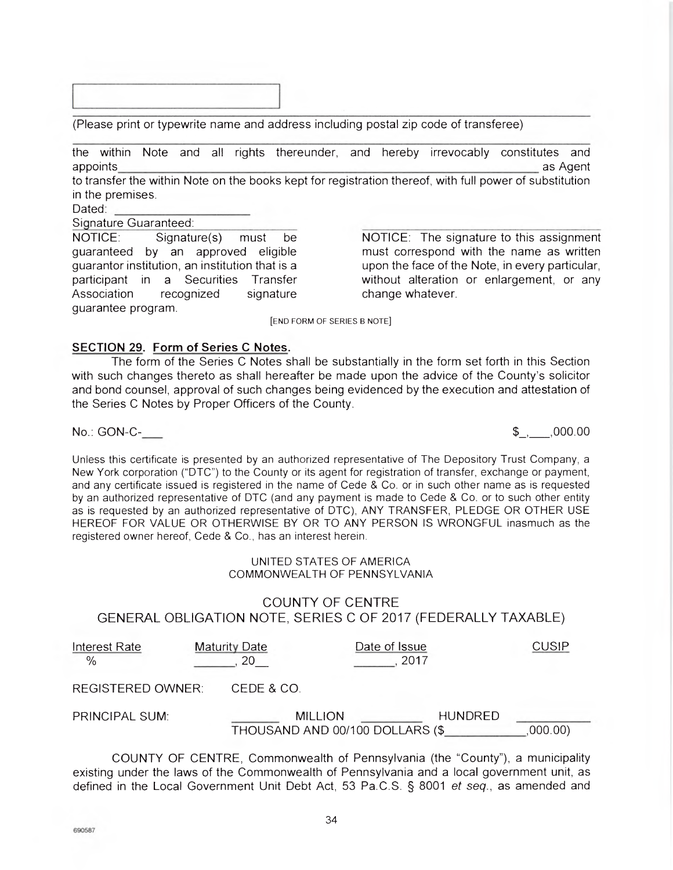(Please print or typewrite name and address including postal zip code of transferee)

the within Note and all rights thereunder, and hereby irrevocably constitutes and appoints and a substitution of the set of the set of the set of the set of the set of the set of the set of th

to transfer the within Note on the books kept for registration thereof, with full power of substitution in the premises.

Dated:

Signature Guaranteed:

NOTICE: Signature(s) must be guaranteed by an approved eligible guarantor institution, an institution that is a participant in a Securities Transfer Association recognized signature guarantee program.

NOTICE: The signature to this assignment must correspond with the name as written upon the face of the Note, in every particular, without alteration or enlargement, or any change whatever.

[END FORM OF SERIES B NOTE]

## **SECTION 29. Form of Series C Notes.**

The form of the Series C Notes shall be substantially in the form set forth in this Section with such changes thereto as shall hereafter be made upon the advice of the County's solicitor and bond counsel, approval of such changes being evidenced by the execution and attestation of the Series C Notes by Proper Officers of the County.

No.: GON-C- \$\_,\_\_, 000.00

Unless this certificate is presented by an authorized representative of The Depository Trust Company, a New York corporation ("DTC") to the County or its agent for registration of transfer, exchange or payment, and any certificate issued is registered in the name of Cede & Co. or in such other name as is requested by an authorized representative of DTC (and any payment is made to Cede & Co. or to such other entity as is requested by an authorized representative of DTC), ANY TRANSFER, PLEDGE OR OTHER USE HEREOF FOR VALUE OR OTHERWISE BY OR TO ANY PERSON IS WRONGFUL inasmuch as the registered owner hereof, Cede & Co., has an interest herein.

### UNITED STATES OF AMERICA COMMONWEALTH OF PENNSYLVANIA

## COUNTY OF CENTRE GENERAL OBLIGATION NOTE, SERIES C OF 2017 (FEDERALLY TAXABLE)

| Interest Rate<br>$\frac{0}{0}$ | <b>Maturity Date</b> |                                                   | Date of Issue<br>2017 |                | CUSIP  |
|--------------------------------|----------------------|---------------------------------------------------|-----------------------|----------------|--------|
| REGISTERED OWNER:              |                      | CEDE & CO.                                        |                       |                |        |
| PRINCIPAL SUM:                 |                      | <b>MILLION</b><br>THOUSAND AND 00/100 DOLLARS (\$ |                       | <b>HUNDRED</b> | 000.00 |

COUNTY OF CENTRE, Commonwealth of Pennsylvania (the "County"), a municipality existing under the laws of the Commonwealth of Pennsylvania and a local government unit, as defined in the Local Government Unit Debt Act, 53 Pa.C.S. § 8001 et seq., as amended and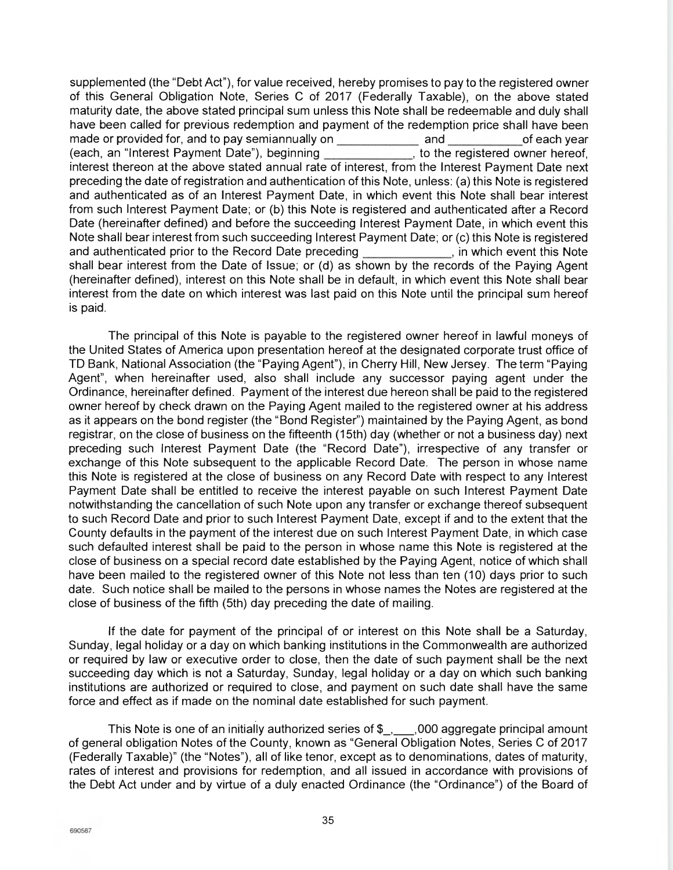supplemented (the "Debt Act"), for value received, hereby promises to pay to the registered owner of this General Obligation Note, Series C of 2017 (Federally Taxable), on the above stated maturity date, the above stated principal sum unless this Note shall be redeemable and duly shall have been called for previous redemption and payment of the redemption price shall have been made or provided for, and to pay semiannually on and of each year (each, an "Interest Payment Date"), beginning interest thereon at the above stated annual rate of interest, from the Interest Payment Date next preceding the date of registration and authentication of this Note, unless: (a) this Note is registered and authenticated as of an Interest Payment Date, in which event this Note shall bear interest from such Interest Payment Date; or (b) this Note is registered and authenticated after a Record Date (hereinafter defined) and before the succeeding Interest Payment Date, in which event this Note shall bear interest from such succeeding Interest Payment Date; or (c) this Note is registered and authenticated prior to the Record Date preceding *\_\_\_\_\_\_\_\_\_\_\_\_\_*, in which event this Note shall bear interest from the Date of Issue; or (d) as shown by the records of the Paying Agent (hereinafter defined), interest on this Note shall be in default, in which event this Note shall bear interest from the date on which interest was last paid on this Note until the principal sum hereof is paid.

The principal of this Note is payable to the registered owner hereof in lawful moneys of the United States of America upon presentation hereof at the designated corporate trust office of ID Bank, National Association (the "Paying Agent"), in Cherry Hill, New Jersey. The term "Paying Agent", when hereinafter used, also shall include any successor paying agent under the Ordinance, hereinafter defined. Payment of the interest due hereon shall be paid to the registered owner hereof by check drawn on the Paying Agent mailed to the registered owner at his address as it appears on the bond register (the "Bond Register") maintained by the Paying Agent, as bond registrar, on the close of business on the fifteenth (15th) day (whether or not a business day) next preceding such Interest Payment Date (the "Record Date"), irrespective of any transfer or exchange of this Note subsequent to the applicable Record Date. The person in whose name this Note is registered at the close of business on any Record Date with respect to any Interest Payment Date shall be entitled to receive the interest payable on such Interest Payment Date notwithstanding the cancellation of such Note upon any transfer or exchange thereof subsequent to such Record Date and prior to such Interest Payment Date, except if and to the extent that the County defaults in the payment of the interest due on such Interest Payment Date, in which case such defaulted interest shall be paid to the person in whose name this Note is registered at the close of business on a special record date established by the Paying Agent, notice of which shall have been mailed to the registered owner of this Note not less than ten (10) days prior to such date. Such notice shall be mailed to the persons in whose names the Notes are registered at the close of business of the fifth (5th) day preceding the date of mailing.

If the date for payment of the principal of or interest on this Note shall be a Saturday, Sunday, legal holiday or a day on which banking institutions in the Commonwealth are authorized or required by law or executive order to close, then the date of such payment shall be the next succeeding day which is not a Saturday, Sunday, legal holiday or a day on which such banking institutions are authorized or required to close, and payment on such date shall have the same force and effect as if made on the nominal date established for such payment.

This Note is one of an initially authorized series of  $\frac{1}{2}$ , 000 aggregate principal amount of general obligation Notes of the County, known as "General Obligation Notes, Series C of 2017 (Federally Taxable)" (the "Notes"), all of like tenor, except as to denominations, dates of maturity, rates of interest and provisions for redemption, and all issued in accordance with provisions of the Debt Act under and by virtue of a duly enacted Ordinance (the "Ordinance") of the Board of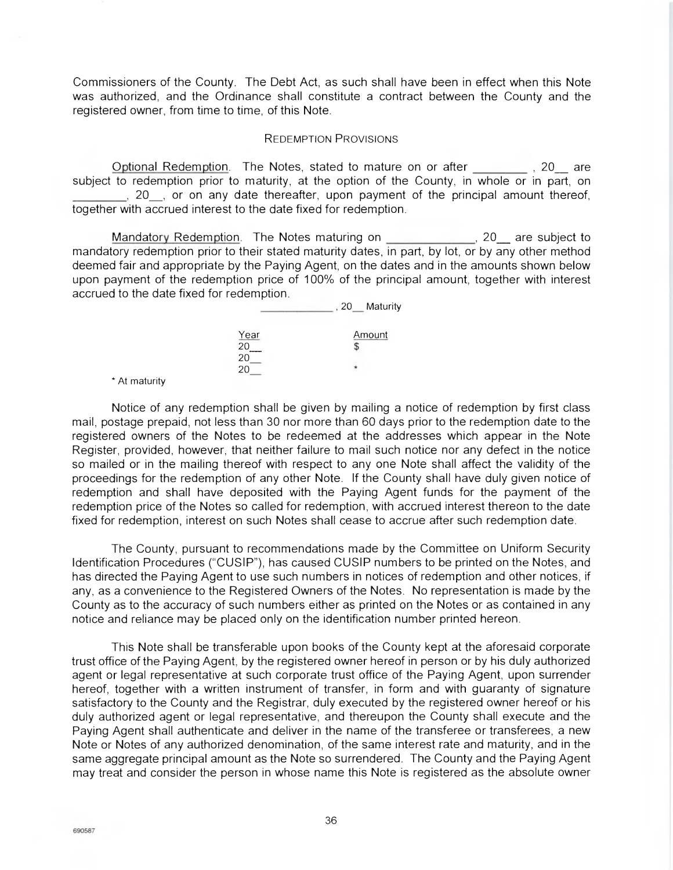Commissioners of the County. The Debt Act, as such shall have been in effect when this Note was authorized, and the Ordinance shall constitute a contract between the County and the registered owner, from time to time, of this Note.

#### REDEMPTION PRovisioNs

Optional Redemption. The Notes, stated to mature on or after \_\_\_\_\_\_\_\_\_, 20\_\_ are subject to redemption prior to maturity, at the option of the County, in whole or in part, on 20, or on any date thereafter, upon payment of the principal amount thereof, together with accrued interest to the date fixed for redemption.

Mandatory Redemption. The Notes maturing on **1999**, 20 are subject to mandatory redemption prior to their stated maturity dates, in part, by lot, or by any other method deemed fair and appropriate by the Paying Agent, on the dates and in the amounts shown below upon payment of the redemption price of 100% of the principal amount, together with interest accrued to the date fixed for redemption.

|                   | Maturity<br>, 20 |
|-------------------|------------------|
| $\frac{Year}{20}$ | <u>Amount</u>    |
| 20<br>20          |                  |

\* At maturity

Notice of any redemption shall be given by mailing a notice of redemption by first class mail, postage prepaid, not less than 30 nor more than 60 days prior to the redemption date to the registered owners of the Notes to be redeemed at the addresses which appear in the Note Register, provided, however, that neither failure to mail such notice nor any defect in the notice so mailed or in the mailing thereof with respect to any one Note shall affect the validity of the proceedings for the redemption of any other Note. If the County shall have duly given notice of redemption and shall have deposited with the Paying Agent funds for the payment of the redemption price of the Notes so called for redemption, with accrued interest thereon to the date fixed for redemption, interest on such Notes shall cease to accrue after such redemption date.

The County, pursuant to recommendations made by the Committee on Uniform Security Identification Procedures ('CUSIP"), has caused CUSIP numbers to be printed on the Notes, and has directed the Paying Agent to use such numbers in notices of redemption and other notices, if any, as a convenience to the Registered Owners of the Notes. No representation is made by the County as to the accuracy of such numbers either as printed on the Notes or as contained in any notice and reliance may be placed only on the identification number printed hereon.

This Note shall be transferable upon books of the County kept at the aforesaid corporate trust office of the Paying Agent, by the registered owner hereof in person or by his duly authorized agent or legal representative at such corporate trust office of the Paying Agent, upon surrender hereof, together with a written instrument of transfer, in form and with guaranty of signature satisfactory to the County and the Registrar, duly executed by the registered owner hereof or his duly authorized agent or legal representative, and thereupon the County shall execute and the Paying Agent shall authenticate and deliver in the name of the transferee or transferees, a new Note or Notes of any authorized denomination, of the same interest rate and maturity, and in the same aggregate principal amount as the Note so surrendered. The County and the Paying Agent may treat and consider the person in whose name this Note is registered as the absolute owner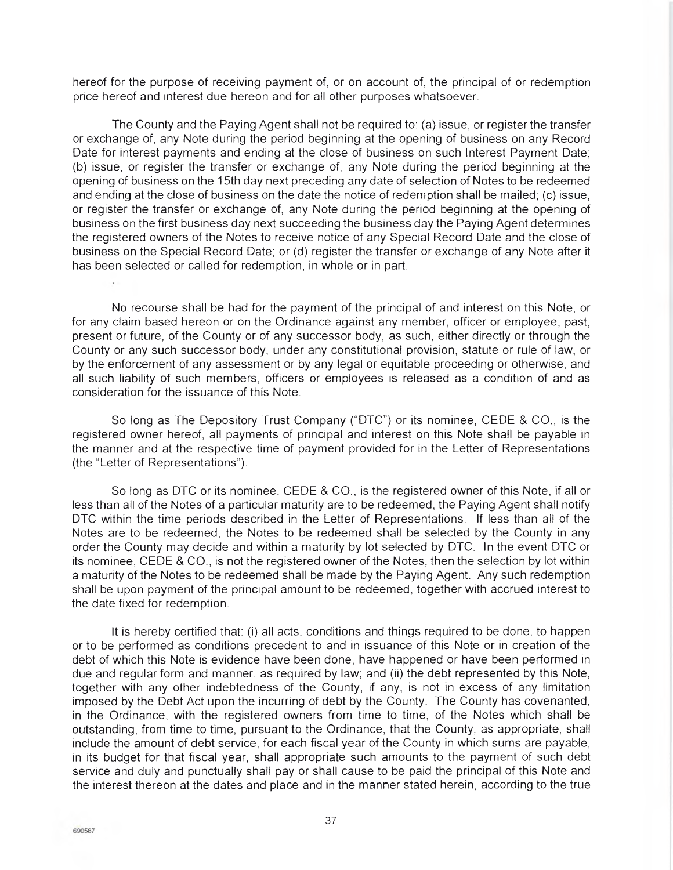hereof for the purpose of receiving payment of, or on account of, the principal of or redemption price hereof and interest due hereon and for all other purposes whatsoever.

The County and the Paying Agent shall not be required to: (a) issue, or register the transfer or exchange of, any Note during the period beginning at the opening of business on any Record Date for interest payments and ending at the close of business on such Interest Payment Date; (b) issue, or register the transfer or exchange of, any Note during the period beginning at the opening of business on the 15th day next preceding any date of selection of Notes to be redeemed and ending at the close of business on the date the notice of redemption shall be mailed; (c) issue, or register the transfer or exchange of, any Note during the period beginning at the opening of business on the first business day next succeeding the business day the Paying Agent determines the registered owners of the Notes to receive notice of any Special Record Date and the close of business on the Special Record Date; or (d) register the transfer or exchange of any Note after it has been selected or called for redemption, in whole or in part.

No recourse shall be had for the payment of the principal of and interest on this Note, or for any claim based hereon or on the Ordinance against any member, officer or employee, past, present or future, of the County or of any successor body, as such, either directly or through the County or any such successor body, under any constitutional provision, statute or rule of law, or by the enforcement of any assessment or by any legal or equitable proceeding or otherwise, and all such liability of such members, officers or employees is released as a condition of and as consideration for the issuance of this Note.

So long as The Depository Trust Company ("DTC") or its nominee, CEDE & CO., is the registered owner hereof, all payments of principal and interest on this Note shall be payable in the manner and at the respective time of payment provided for in the Letter of Representations (the "Letter of Representations").

So long as DTC or its nominee, CEDE & CO., is the registered owner of this Note, if all or less than all of the Notes of a particular maturity are to be redeemed, the Paying Agent shall notify DTC within the time periods described in the Letter of Representations. If less than all of the Notes are to be redeemed, the Notes to be redeemed shall be selected by the County in any order the County may decide and within a maturity by lot selected by DTC. In the event DTC or its nominee, CEDE & CO., is not the registered owner of the Notes, then the selection by lot within a maturity of the Notes to be redeemed shall be made by the Paying Agent. Any such redemption shall be upon payment of the principal amount to be redeemed, together with accrued interest to the date fixed for redemption.

It is hereby certified that: (i) all acts, conditions and things required to be done, to happen or to be performed as conditions precedent to and in issuance of this Note or in creation of the debt of which this Note is evidence have been done, have happened or have been performed in due and regular form and manner, as required by law; and (ii) the debt represented by this Note, together with any other indebtedness of the County, if any, is not in excess of any limitation imposed by the Debt Act upon the incurring of debt by the County. The County has covenanted, in the Ordinance, with the registered owners from time to time, of the Notes which shall be outstanding, from time to time, pursuant to the Ordinance, that the County, as appropriate, shall include the amount of debt service, for each fiscal year of the County in which sums are payable, in its budget for that fiscal year, shall appropriate such amounts to the payment of such debt service and duly and punctually shall pay or shall cause to be paid the principal of this Note and the interest thereon at the dates and place and in the manner stated herein, according to the true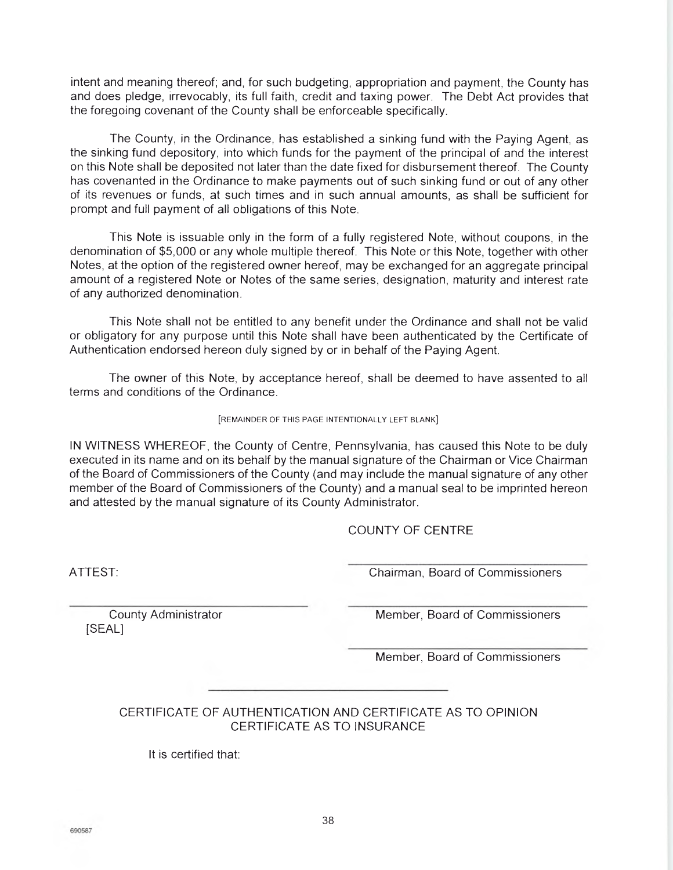intent and meaning thereof; and, for such budgeting, appropriation and payment, the County has and does pledge, irrevocably, its full faith, credit and taxing power. The Debt Act provides that the foregoing covenant of the County shall be enforceable specifically.

The County, in the Ordinance, has established a sinking fund with the Paying Agent, as the sinking fund depository, into which funds for the payment of the principal of and the interest on this Note shall be deposited not later than the date fixed for disbursement thereof. The County has covenanted in the Ordinance to make payments out of such sinking fund or out of any other of its revenues or funds, at such times and in such annual amounts, as shall be sufficient for prompt and full payment of all obligations of this Note.

This Note is issuable only in the form of a fully registered Note, without coupons, in the denomination of \$5,000 or any whole multiple thereof. This Note or this Note, together with other Notes, at the option of the registered owner hereof, may be exchanged for an aggregate principal amount of a registered Note or Notes of the same series, designation, maturity and interest rate of any authorized denomination.

This Note shall not be entitled to any benefit under the Ordinance and shall not be valid or obligatory for any purpose until this Note shall have been authenticated by the Certificate of Authentication endorsed hereon duly signed by or in behalf of the Paying Agent.

The owner of this Note, by acceptance hereof, shall be deemed to have assented to all terms and conditions of the Ordinance.

#### [REMAINDER OF THIS PAGE INTENTIONALLY LEFT BLANK]

IN WITNESS WHEREOF, the County of Centre, Pennsylvania, has caused this Note to be duly executed in its name and on its behalf by the manual signature of the Chairman or Vice Chairman of the Board of Commissioners of the County (and may include the manual signature of any other member of the Board of Commissioners of the County) and a manual seal to be imprinted hereon and attested by the manual signature of its County Administrator.

COUNTY OF CENTRE

ATTEST: Chairman, Board of Commissioners

[SEAL]

County Administrator **Member, Board of Commissioners** Member, Board of Commissioners

Member, Board of Commissioners

CERTIFICATE OF AUTHENTICATION AND CERTIFICATE AS TO OPINION CERTIFICATE AS TO INSURANCE

It is certified that: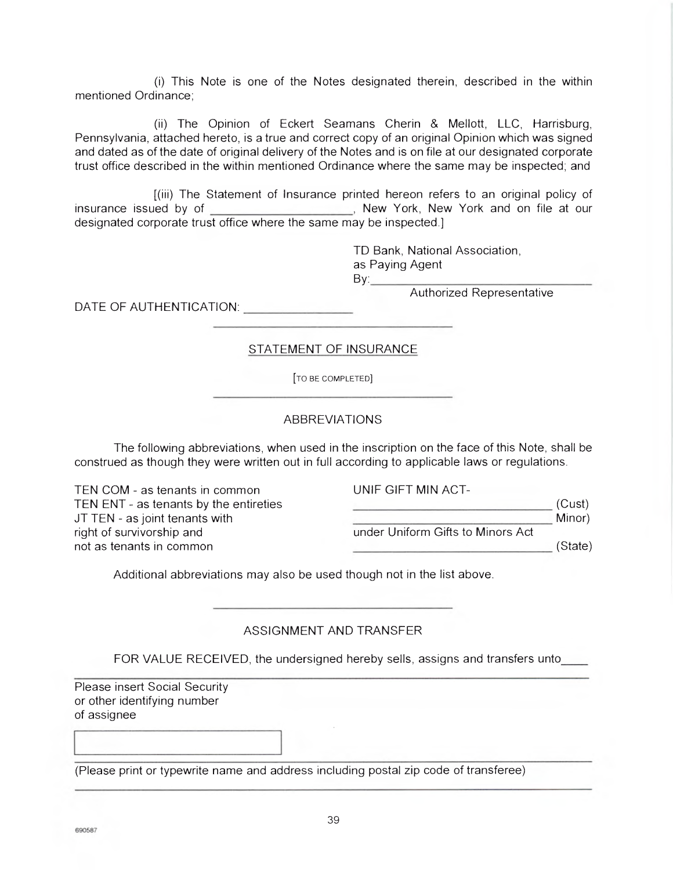(i) This Note is one of the Notes designated therein, described in the within mentioned Ordinance;

(ii) The Opinion of Eckert Seamans Cherin & Mellott, LLC, Harrisburg, Pennsylvania, attached hereto, is a true and correct copy of an original Opinion which was signed and dated as of the date of original delivery of the Notes and is on file at our designated corporate trust office described in the within mentioned Ordinance where the same may be inspected; and

[(iii) The Statement of Insurance printed hereon refers to an original policy of insurance issued by of **Commission Commission**, New York, New York and on file at our designated corporate trust office where the same may be inspected.]

> TD Bank, National Association, as Paying Agent  $\mathsf{By:}$

Authorized Representative

DATE OF AUTHENTICATION: UNITED ACCOUNTS

[TO BE COMPLETED]

STATEMENT OF INSURANCE

## ABBREVIATIONS

The following abbreviations, when used in the inscription on the face of this Note, shall be construed as though they were written out in full according to applicable laws or regulations.

TEN COM - as tenants in common TEN ENT - as tenants by the entireties JT TEN - as joint tenants with right of survivorship and under Uniform Gifts to Minors Act not as tenants in common

UNIF GIFT MIN ACT-

Minor)

(State)

(Cust)

Additional abbreviations may also be used though not in the list above.

## ASSIGNMENT AND TRANSFER

FOR VALUE RECEIVED, the undersigned hereby sells, assigns and transfers unto

Please insert Social Security or other identifying number of assignee

(Please print or typewrite name and address including postal zip code of transferee)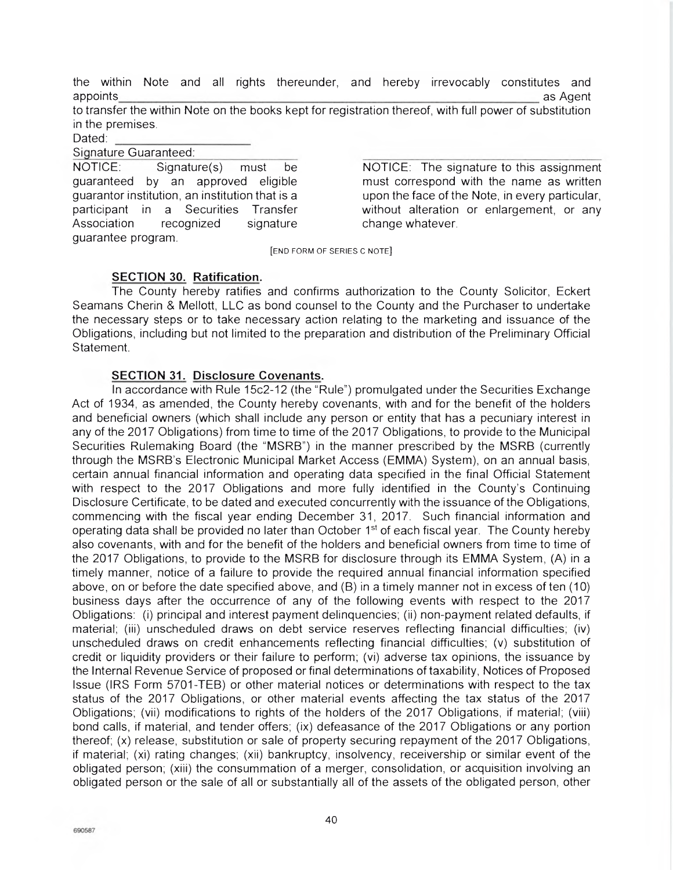the within Note and all rights thereunder, and hereby irrevocably constitutes and appoints as Agent

to transfer the within Note on the books kept for registration thereof, with full power of substitution in the premises.

Dated:

Sianature Guaranteed:

NOTICE: Signature(s) must be guaranteed by an approved eligible guarantor institution, an institution that is a participant in a Securities Transfer Association recognized signature guarantee program.

NOTICE: The signature to this assignment must correspond with the name as written upon the face of the Note, in every particular, without alteration or enlargement, or any change whatever.

[END FORM OF SERIES C NOTE]

## **SECTION 30. Ratification.**

The County hereby ratifies and confirms authorization to the County Solicitor, Eckert Seamans Cherin & Mellott, LLC as bond counsel to the County and the Purchaser to undertake the necessary steps or to take necessary action relating to the marketing and issuance of the Obligations, including but not limited to the preparation and distribution of the Preliminary Official Statement.

## **SECTION 31. Disclosure Covenants.**

In accordance with Rule 15c2-12 (the "Rule") promulgated under the Securities Exchange Act of 1934, as amended, the County hereby covenants, with and for the benefit of the holders and beneficial owners (which shall include any person or entity that has a pecuniary interest in any of the 2017 Obligations) from time to time of the 2017 Obligations, to provide to the Municipal Securities Rulemaking Board (the 'MSRB") in the manner prescribed by the MSRB (currently through the MSRB's Electronic Municipal Market Access (EMMA) System), on an annual basis, certain annual financial information and operating data specified in the final Official Statement with respect to the 2017 Obligations and more fully identified in the County's Continuing Disclosure Certificate, to be dated and executed concurrently with the issuance of the Obligations, commencing with the fiscal year ending December 31, 2017. Such financial information and operating data shall be provided no later than October  $1<sup>st</sup>$  of each fiscal year. The County hereby also covenants, with and for the benefit of the holders and beneficial owners from time to time of the 2017 Obligations, to provide to the MSRB for disclosure through its EMMA System, (A) in a timely manner, notice of a failure to provide the required annual financial information specified above, on or before the date specified above, and (B) in a timely manner not in excess of ten (10) business days after the occurrence of any of the following events with respect to the 2017 Obligations: (i) principal and interest payment delinquencies; (ii) non-payment related defaults, if material; (iii) unscheduled draws on debt service reserves reflecting financial difficulties; (iv) unscheduled draws on credit enhancements reflecting financial difficulties; (v) substitution of credit or liquidity providers or their failure to perform; (vi) adverse tax opinions, the issuance by the Internal Revenue Service of proposed or final determinations of taxability, Notices of Proposed Issue (IRS Form 5701-TEB) or other material notices or determinations with respect to the tax status of the 2017 Obligations, or other material events affecting the tax status of the 2017 Obligations; (vii) modifications to rights of the holders of the 2017 Obligations, if material; (viii) bond calls, if material, and tender offers; (ix) defeasance of the 2017 Obligations or any portion thereof; (x) release, substitution or sale of property securing repayment of the 2017 Obligations, if material; (xi) rating changes; (xii) bankruptcy, insolvency, receivership or similar event of the obligated person; (xiii) the consummation of a merger, consolidation, or acquisition involving an obligated person or the sale of all or substantially all of the assets of the obligated person, other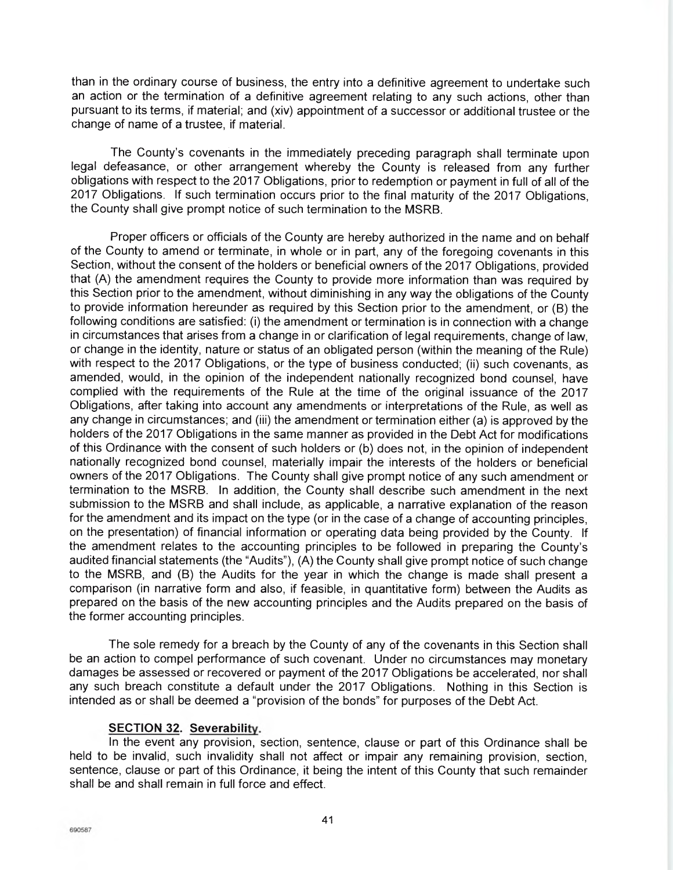than in the ordinary course of business, the entry into a definitive agreement to undertake such an action or the termination of a definitive agreement relating to any such actions, other than pursuant to its terms, if material; and (xiv) appointment of a successor or additional trustee or the change of name of a trustee, if material.

The County's covenants in the immediately preceding paragraph shall terminate upon legal defeasance, or other arrangement whereby the County is released from any further obligations with respect to the 2017 Obligations, prior to redemption or payment in full of all of the 2017 Obligations. If such termination occurs prior to the final maturity of the 2017 Obligations, the County shall give prompt notice of such termination to the MSRB.

Proper officers or officials of the County are hereby authorized in the name and on behalf of the County to amend or terminate, in whole or in part, any of the foregoing covenants in this Section, without the consent of the holders or beneficial owners of the 2017 Obligations, provided that (A) the amendment requires the County to provide more information than was required by this Section prior to the amendment, without diminishing in any way the obligations of the County to provide information hereunder as required by this Section prior to the amendment, or (B) the following conditions are satisfied: (i) the amendment or termination is in connection with a change in circumstances that arises from a change in or clarification of legal requirements, change of law, or change in the identity, nature or status of an obligated person (within the meaning of the Rule) with respect to the 2017 Obligations, or the type of business conducted; (ii) such covenants, as amended, would, in the opinion of the independent nationally recognized bond counsel, have complied with the requirements of the Rule at the time of the original issuance of the 2017 Obligations, after taking into account any amendments or interpretations of the Rule, as well as any change in circumstances; and (iii) the amendment or termination either (a) is approved by the holders of the 2017 Obligations in the same manner as provided in the Debt Act for modifications of this Ordinance with the consent of such holders or (b) does not, in the opinion of independent nationally recognized bond counsel, materially impair the interests of the holders or beneficial owners of the 2017 Obligations. The County shall give prompt notice of any such amendment or termination to the MSRB. In addition, the County shall describe such amendment in the next submission to the MSRB and shall include, as applicable, a narrative explanation of the reason for the amendment and its impact on the type (or in the case of a change of accounting principles, on the presentation) of financial information or operating data being provided by the County. If the amendment relates to the accounting principles to be followed in preparing the County's audited financial statements (the "Audits"), (A) the County shall give prompt notice of such change to the MSRB, and (B) the Audits for the year in which the change is made shall present a comparison (in narrative form and also, if feasible, in quantitative form) between the Audits as prepared on the basis of the new accounting principles and the Audits prepared on the basis of the former accounting principles.

The sole remedy for a breach by the County of any of the covenants in this Section shall be an action to compel performance of such covenant. Under no circumstances may monetary damages be assessed or recovered or payment of the 2017 Obligations be accelerated, nor shall any such breach constitute a default under the 2017 Obligations. Nothing in this Section is intended as or shall be deemed a "provision of the bonds" for purposes of the Debt Act.

## **SECTION 32. Severability.**

In the event any provision, section, sentence, clause or part of this Ordinance shall be held to be invalid, such invalidity shall not affect or impair any remaining provision, section, sentence, clause or part of this Ordinance, it being the intent of this County that such remainder shall be and shall remain in full force and effect.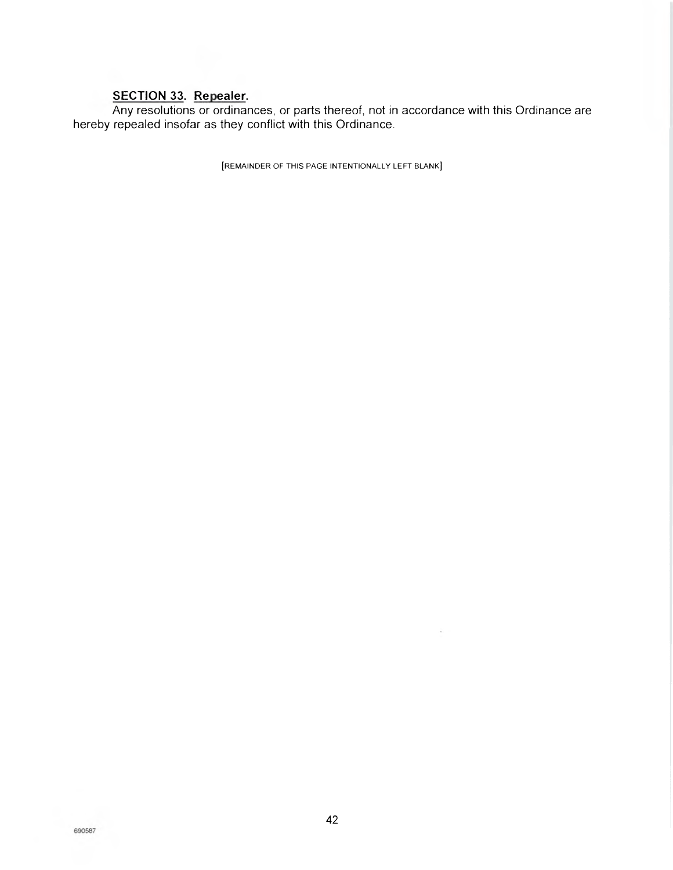## **SECTION 33. Repealer.**

Any resolutions or ordinances, or parts thereof, not in accordance with this Ordinance are hereby repealed insofar as they conflict with this Ordinance.

[REMAINDER OF THIS PAGE INTENTIONALLY LEFT BLANK]

.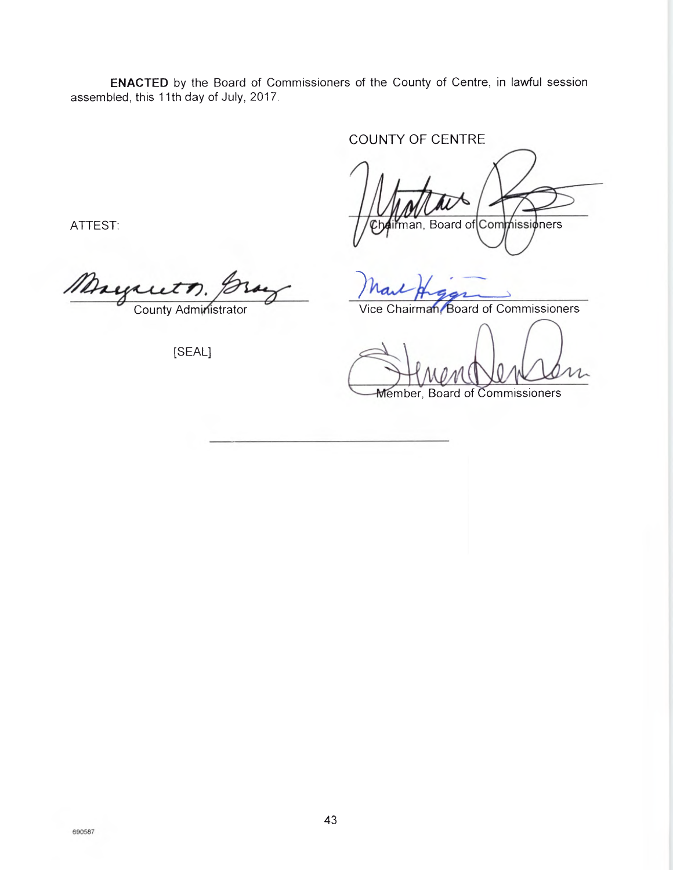**ENACTED** by the Board of Commissioners of the County of Centre, in lawful session assembled, this 11th day of July, 2017.

COUNTY OF CENTRE

nan, Board of Commissioners

Member, Board of Commissioners

ATTEST:

*County Administrator* Mayauth, Gray Mart Higgs

[SEAL]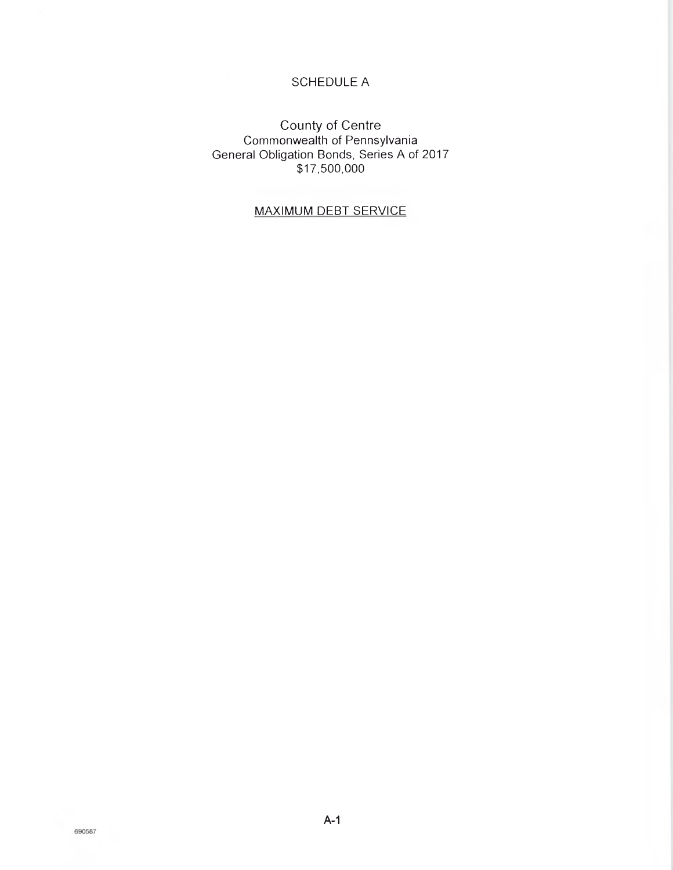## SCHEDULE A

## County of Centre Commonwealth of Pennsylvania General Obligation Bonds, Series A of 2017 \$17,500,000

## MAXIMUM DEBT SERVICE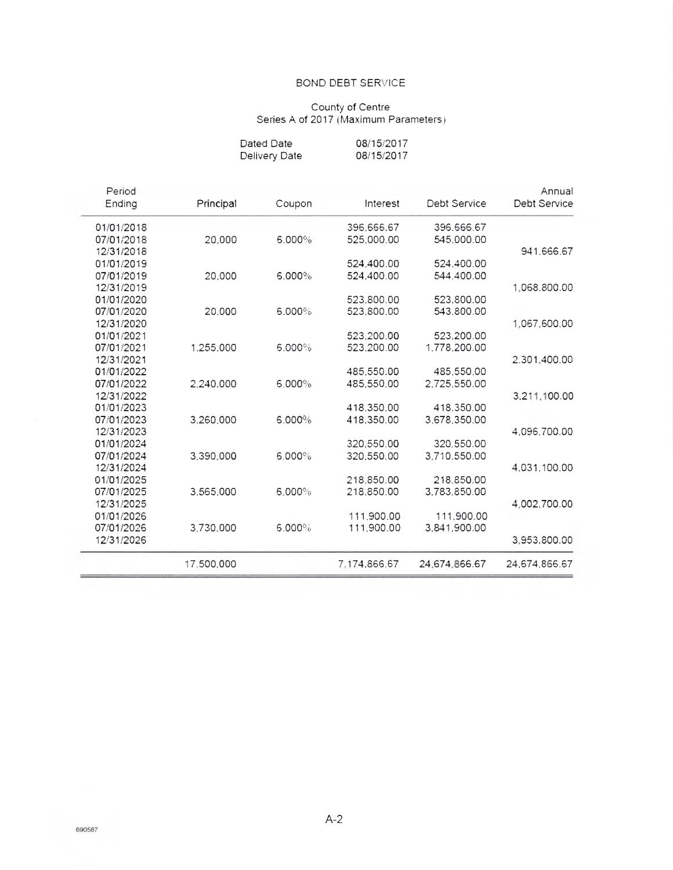#### BOND DEBT SERVICE

## County of Centre Series A of 2017 (Maximum Parameters)

| Dated Date    | 08/15/2017 |
|---------------|------------|
| Delivery Date | 08/15/2017 |

| Annual              |               |              |        |            | Period     |
|---------------------|---------------|--------------|--------|------------|------------|
| <b>Debt Service</b> | Debt Service  | Interest     | Coupon | Principal  | Ending     |
|                     | 396.666.67    | 396.666.67   |        |            | 01/01/2018 |
|                     | 545.000.00    | 525,000.00   | 6.000% | 20,000     | 07/01/2018 |
| 941.666.67          |               |              |        |            | 12/31/2018 |
|                     | 524.400.00    | 524.400.00   |        |            | 01/01/2019 |
|                     | 544,400.00    | 524.400.00   | 6.000% | 20,000     | 07/01/2019 |
| 1.068,800.00        |               |              |        |            | 12/31/2019 |
|                     | 523,800.00    | 523.800.00   |        |            | 01/01/2020 |
|                     | 543.800.00    | 523.800.00   | 6.000% | 20,000     | 07/01/2020 |
| 1.067,600.00        |               |              |        |            | 12/31/2020 |
|                     | 523,200.00    | 523,200.00   |        |            | 01/01/2021 |
|                     | 1,778,200.00  | 523,200.00   | 6.000% | 1,255,000  | 07/01/2021 |
| 2.301.400.00        |               |              |        |            | 12/31/2021 |
|                     | 485.550.00    | 485,550.00   |        |            | 01/01/2022 |
|                     | 2,725,550.00  | 485,550.00   | 6.000% | 2.240.000  | 07/01/2022 |
| 3,211,100.00        |               |              |        |            | 12/31/2022 |
|                     | 418.350.00    | 418.350.00   |        |            | 01/01/2023 |
|                     | 3.678,350.00  | 418.350.00   | 6.000% | 3.260.000  | 07/01/2023 |
| 4,096,700.00        |               |              |        |            | 12/31/2023 |
|                     | 320.550.00    | 320,550.00   |        |            | 01/01/2024 |
|                     | 3.710.550.00  | 320.550.00   | 6.000% | 3.390.000  | 07/01/2024 |
| 4,031,100.00        |               |              |        |            | 12/31/2024 |
|                     | 218,850.00    | 218,850.00   |        |            | 01/01/2025 |
|                     | 3.783.850.00  | 218.850.00   | 6.000% | 3.565.000  | 07/01/2025 |
| 4.002.700.00        |               |              |        |            | 12/31/2025 |
|                     | 111,900.00    | 111.900.00   |        |            | 01/01/2026 |
|                     | 3,841,900.00  | 111,900.00   | 6.000% | 3,730,000  | 07/01/2026 |
| 3,953,800.00        |               |              |        |            | 12/31/2026 |
| 24.674.866.67       | 24.674.866.67 | 7.174.866.67 |        | 17,500,000 |            |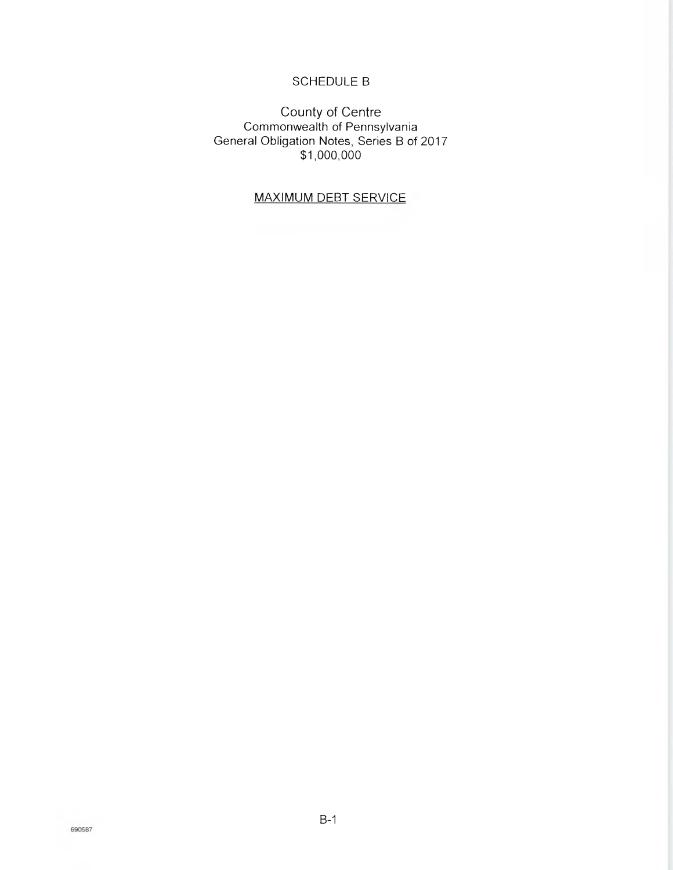# SCHEDULE B

County of Centre Commonwealth of Pennsylvania General Obligation Notes, Series B of 2017 \$1,000,000

# MAXIMUM DEBT SERVICE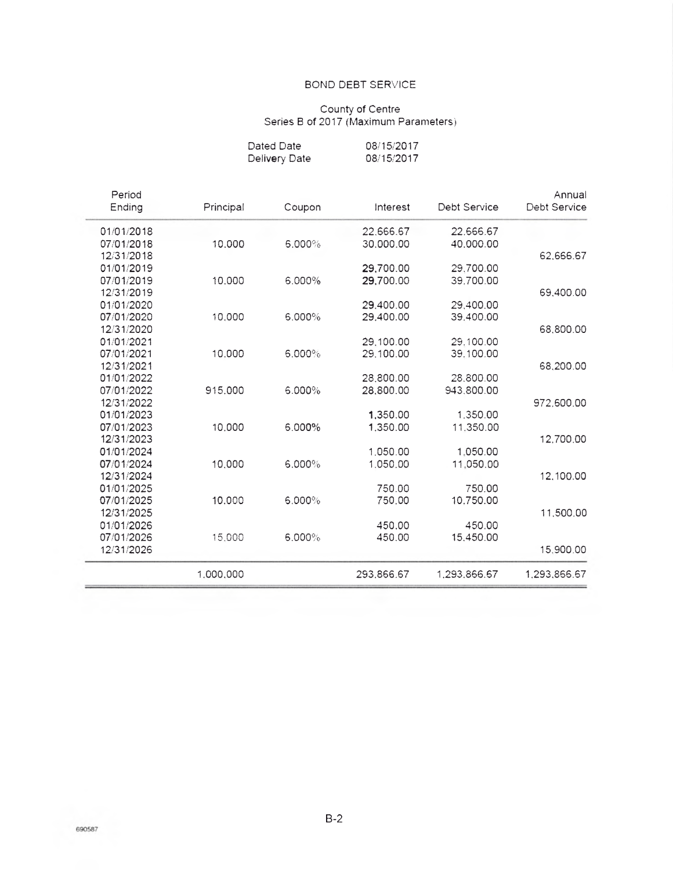#### **BOND DEBT SERVICE**

#### County of Centre Series B of 2017 (Maximum Parameters

| Dated Date    | 08/15/2017 |
|---------------|------------|
| Delivery Date | 08/15/2017 |

| Annual<br>Debt Service | Debt Service | Interest   | Coupon | Principal | Period<br>Ending |
|------------------------|--------------|------------|--------|-----------|------------------|
|                        | 22.666.67    | 22.666.67  |        |           | 01/01/2018       |
|                        | 40.000.00    | 30.000.00  | 6.000% | 10,000    | 07/01/2018       |
| 62,666.67              |              |            |        |           | 12/31/2018       |
|                        | 29.700.00    | 29,700.00  |        |           | 01/01/2019       |
|                        | 39,700.00    | 29,700.00  | 6.000% | 10.000    | 07/01/2019       |
| 69,400.00              |              |            |        |           | 12/31/2019       |
|                        | 29,400.00    | 29,400.00  |        |           | 01/01/2020       |
|                        | 39.400.00    | 29,400.00  | 6.000% | 10.000    | 07/01/2020       |
| 68,800.00              |              |            |        |           | 12/31/2020       |
|                        | 29,100.00    | 29.100.00  |        |           | 01/01/2021       |
|                        | 39.100.00    | 29.100.00  | 6.000% | 10,000    | 07/01/2021       |
| 68,200.00              |              |            |        |           | 12/31/2021       |
|                        | 28,800.00    | 28,800.00  |        |           | 01/01/2022       |
|                        | 943,800.00   | 28,800.00  | 6.000% | 915,000   | 07/01/2022       |
| 972.600.00             |              |            |        |           | 12/31/2022       |
|                        | 1,350.00     | 1,350.00   |        |           | 01/01/2023       |
|                        | 11.350.00    | 1,350.00   | 6.000% | 10,000    | 07/01/2023       |
| 12,700.00              |              |            |        |           | 12/31/2023       |
|                        | 1.050.00     | 1.050.00   |        |           | 01/01/2024       |
|                        | 11.050.00    | 1,050,00   | 6.000% | 10.000    | 07/01/2024       |
| 12.100.00              |              |            |        |           | 12/31/2024       |
|                        | 750.00       | 750.00     |        |           | 01/01/2025       |
|                        | 10.750.00    | 750.00     | 6.000% | 10,000    | 07/01/2025       |
| 11,500,00              |              |            |        |           | 12/31/2025       |
|                        | 450.00       | 450.00     |        |           | 01/01/2026       |
|                        | 15,450.00    | 450.00     | 6.000% | 15,000    | 07/01/2026       |
| 15,900.00              |              |            |        |           | 12/31/2026       |
| 1,293,866.67           | 1,293,866.67 | 293,866.67 |        | 1,000,000 |                  |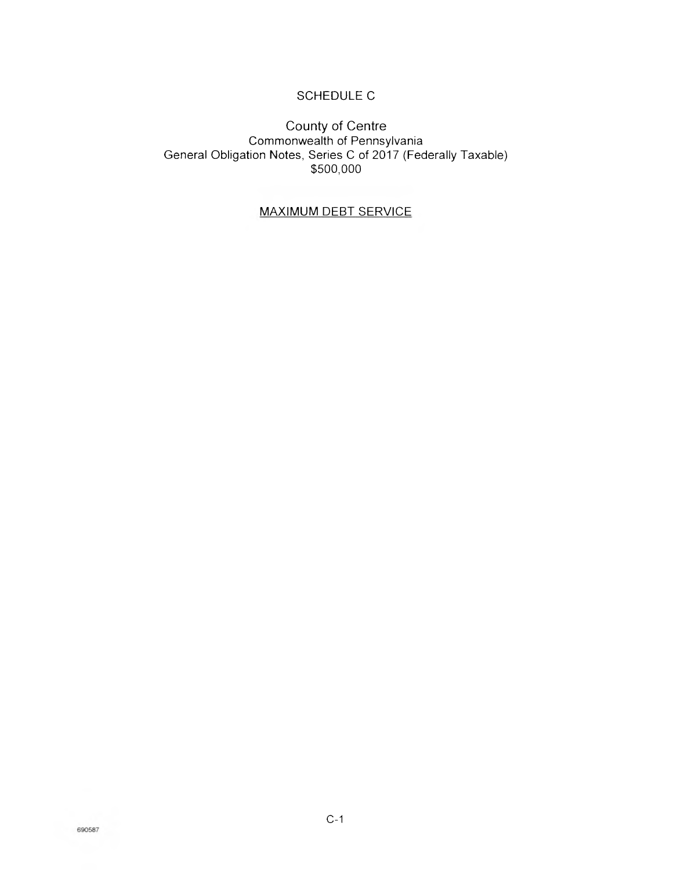# SCHEDULE C

## County of Centre Commonwealth of Pennsylvania General Obligation Notes, Series C of 2017 (Federally Taxable) \$500,000

## MAXIMUM DEBT SERVICE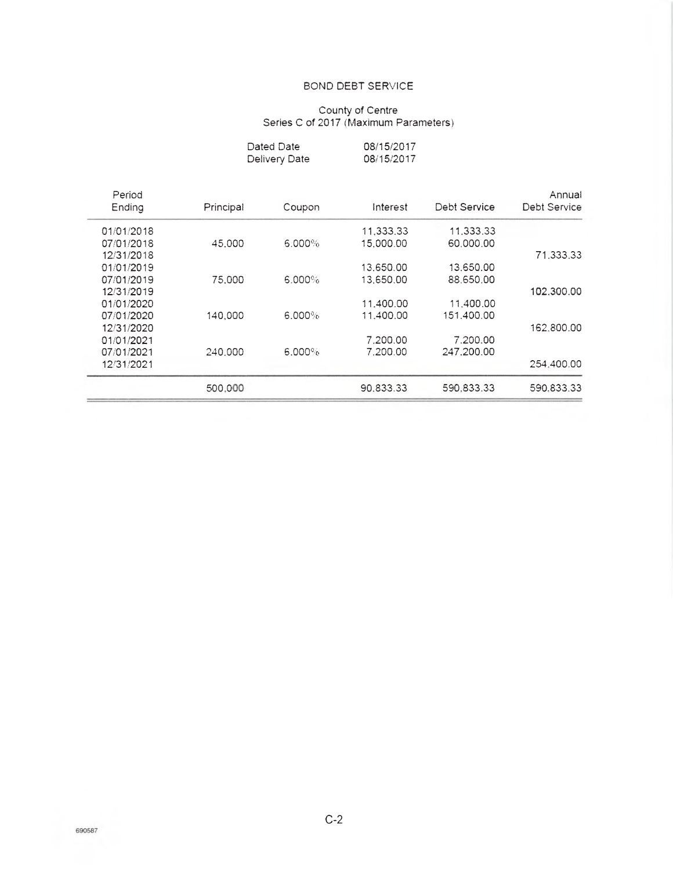## BOND DEBT SERVICE

#### County of Centre Series C of 2017 (Maximum Parameters)

| Dated Date    | 08/15/2017 |
|---------------|------------|
| Delivery Date | 08/15/2017 |

| Annual<br>Debt Service | Debt Service | Interest  | Coupon    | Principal | Period<br>Ending |
|------------------------|--------------|-----------|-----------|-----------|------------------|
|                        |              |           |           |           |                  |
|                        | 11.333.33    | 11,333,33 |           |           | 01/01/2018       |
|                        | 60,000.00    | 15,000.00 | $6.000\%$ | 45,000    | 07/01/2018       |
| 71,333,33              |              |           |           |           | 12/31/2018       |
|                        | 13.650.00    | 13.650.00 |           |           | 01/01/2019       |
|                        | 88.650.00    | 13,650.00 | 6.000%    | 75,000    | 07/01/2019       |
| 102,300.00             |              |           |           |           | 12/31/2019       |
|                        | 11,400.00    | 11,400.00 |           |           | 01/01/2020       |
|                        | 151.400.00   | 11.400.00 | $6.000\%$ | 140,000   | 07/01/2020       |
| 162,800.00             |              |           |           |           | 12/31/2020       |
|                        | 7.200.00     | 7.200.00  |           |           | 01/01/2021       |
|                        | 247.200.00   | 7.200.00  | $6.000\%$ | 240.000   | 07/01/2021       |
| 254.400.00             |              |           |           |           | 12/31/2021       |
| 590.833.33             | 590.833.33   | 90.833.33 |           | 500,000   |                  |